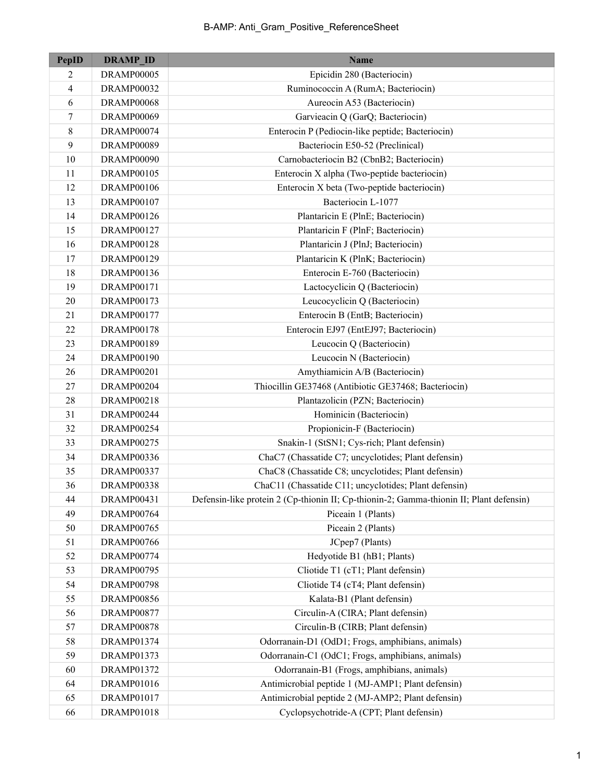| <b>PepID</b>             | <b>DRAMP ID</b>   | <b>Name</b>                                                                             |
|--------------------------|-------------------|-----------------------------------------------------------------------------------------|
| 2                        | DRAMP00005        | Epicidin 280 (Bacteriocin)                                                              |
| $\overline{\mathcal{L}}$ | DRAMP00032        | Ruminococcin A (RumA; Bacteriocin)                                                      |
| 6                        | <b>DRAMP00068</b> | Aureocin A53 (Bacteriocin)                                                              |
| 7                        | <b>DRAMP00069</b> | Garvieacin Q (GarQ; Bacteriocin)                                                        |
| 8                        | DRAMP00074        | Enterocin P (Pediocin-like peptide; Bacteriocin)                                        |
| 9                        | DRAMP00089        | Bacteriocin E50-52 (Preclinical)                                                        |
| 10                       | DRAMP00090        | Carnobacteriocin B2 (CbnB2; Bacteriocin)                                                |
| 11                       | <b>DRAMP00105</b> | Enterocin X alpha (Two-peptide bacteriocin)                                             |
| 12                       | <b>DRAMP00106</b> | Enterocin X beta (Two-peptide bacteriocin)                                              |
| 13                       | <b>DRAMP00107</b> | Bacteriocin L-1077                                                                      |
| 14                       | <b>DRAMP00126</b> | Plantaricin E (PlnE; Bacteriocin)                                                       |
| 15                       | <b>DRAMP00127</b> | Plantaricin F (PlnF; Bacteriocin)                                                       |
| 16                       | <b>DRAMP00128</b> | Plantaricin J (PlnJ; Bacteriocin)                                                       |
| 17                       | DRAMP00129        | Plantaricin K (PlnK; Bacteriocin)                                                       |
| 18                       | <b>DRAMP00136</b> | Enterocin E-760 (Bacteriocin)                                                           |
| 19                       | <b>DRAMP00171</b> | Lactocyclicin Q (Bacteriocin)                                                           |
| 20                       | DRAMP00173        | Leucocyclicin Q (Bacteriocin)                                                           |
| 21                       | <b>DRAMP00177</b> | Enterocin B (EntB; Bacteriocin)                                                         |
| 22                       | <b>DRAMP00178</b> | Enterocin EJ97 (EntEJ97; Bacteriocin)                                                   |
| 23                       | DRAMP00189        | Leucocin Q (Bacteriocin)                                                                |
| 24                       | <b>DRAMP00190</b> | Leucocin N (Bacteriocin)                                                                |
| 26                       | <b>DRAMP00201</b> | Amythiamicin A/B (Bacteriocin)                                                          |
| 27                       | DRAMP00204        | Thiocillin GE37468 (Antibiotic GE37468; Bacteriocin)                                    |
| 28                       | <b>DRAMP00218</b> | Plantazolicin (PZN; Bacteriocin)                                                        |
| 31                       | DRAMP00244        | Hominicin (Bacteriocin)                                                                 |
| 32                       | DRAMP00254        | Propionicin-F (Bacteriocin)                                                             |
| 33                       | <b>DRAMP00275</b> | Snakin-1 (StSN1; Cys-rich; Plant defensin)                                              |
| 34                       | DRAMP00336        | ChaC7 (Chassatide C7; uncyclotides; Plant defensin)                                     |
| 35                       | DRAMP00337        | ChaC8 (Chassatide C8; uncyclotides; Plant defensin)                                     |
| 36                       | DRAMP00338        | ChaC11 (Chassatide C11; uncyclotides; Plant defensin)                                   |
| 44                       | <b>DRAMP00431</b> | Defensin-like protein 2 (Cp-thionin II; Cp-thionin-2; Gamma-thionin II; Plant defensin) |
| 49                       | DRAMP00764        | Piceain 1 (Plants)                                                                      |
| 50                       | DRAMP00765        | Piceain 2 (Plants)                                                                      |
| 51                       | DRAMP00766        | JCpep7 (Plants)                                                                         |
| 52                       | DRAMP00774        | Hedyotide B1 (hB1; Plants)                                                              |
| 53                       | DRAMP00795        | Cliotide T1 (cT1; Plant defensin)                                                       |
| 54                       | <b>DRAMP00798</b> | Cliotide T4 (cT4; Plant defensin)                                                       |
| 55                       | DRAMP00856        | Kalata-B1 (Plant defensin)                                                              |
| 56                       | <b>DRAMP00877</b> | Circulin-A (CIRA; Plant defensin)                                                       |
| 57                       | <b>DRAMP00878</b> | Circulin-B (CIRB; Plant defensin)                                                       |
| 58                       | DRAMP01374        | Odorranain-D1 (OdD1; Frogs, amphibians, animals)                                        |
| 59                       | DRAMP01373        | Odorranain-C1 (OdC1; Frogs, amphibians, animals)                                        |
| 60                       | DRAMP01372        | Odorranain-B1 (Frogs, amphibians, animals)                                              |
| 64                       | DRAMP01016        | Antimicrobial peptide 1 (MJ-AMP1; Plant defensin)                                       |
| 65                       | DRAMP01017        | Antimicrobial peptide 2 (MJ-AMP2; Plant defensin)                                       |
| 66                       | DRAMP01018        | Cyclopsychotride-A (CPT; Plant defensin)                                                |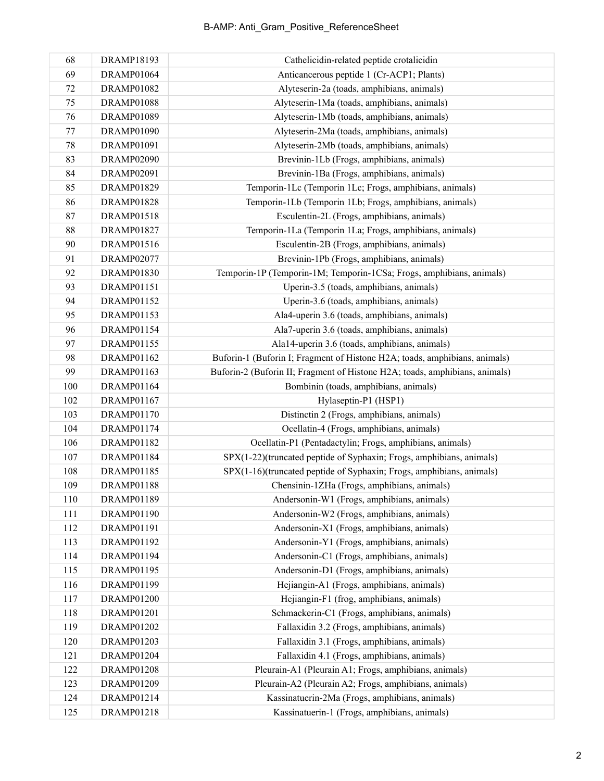| 68  | <b>DRAMP18193</b> | Cathelicidin-related peptide crotalicidin                                   |
|-----|-------------------|-----------------------------------------------------------------------------|
| 69  | DRAMP01064        | Anticancerous peptide 1 (Cr-ACP1; Plants)                                   |
| 72  | <b>DRAMP01082</b> | Alyteserin-2a (toads, amphibians, animals)                                  |
| 75  | <b>DRAMP01088</b> | Alyteserin-1Ma (toads, amphibians, animals)                                 |
| 76  | DRAMP01089        | Alyteserin-1Mb (toads, amphibians, animals)                                 |
| 77  | DRAMP01090        | Alyteserin-2Ma (toads, amphibians, animals)                                 |
| 78  | DRAMP01091        | Alyteserin-2Mb (toads, amphibians, animals)                                 |
| 83  | <b>DRAMP02090</b> | Brevinin-1Lb (Frogs, amphibians, animals)                                   |
| 84  | DRAMP02091        | Brevinin-1Ba (Frogs, amphibians, animals)                                   |
| 85  | DRAMP01829        | Temporin-1Lc (Temporin 1Lc; Frogs, amphibians, animals)                     |
| 86  | <b>DRAMP01828</b> | Temporin-1Lb (Temporin 1Lb; Frogs, amphibians, animals)                     |
| 87  | DRAMP01518        | Esculentin-2L (Frogs, amphibians, animals)                                  |
| 88  | DRAMP01827        | Temporin-1La (Temporin 1La; Frogs, amphibians, animals)                     |
| 90  | DRAMP01516        | Esculentin-2B (Frogs, amphibians, animals)                                  |
| 91  | <b>DRAMP02077</b> | Brevinin-1Pb (Frogs, amphibians, animals)                                   |
| 92  | DRAMP01830        | Temporin-1P (Temporin-1M; Temporin-1CSa; Frogs, amphibians, animals)        |
| 93  | <b>DRAMP01151</b> | Uperin-3.5 (toads, amphibians, animals)                                     |
| 94  | DRAMP01152        | Uperin-3.6 (toads, amphibians, animals)                                     |
| 95  | DRAMP01153        | Ala4-uperin 3.6 (toads, amphibians, animals)                                |
| 96  | DRAMP01154        | Ala7-uperin 3.6 (toads, amphibians, animals)                                |
| 97  | DRAMP01155        | Ala14-uperin 3.6 (toads, amphibians, animals)                               |
| 98  | DRAMP01162        | Buforin-1 (Buforin I; Fragment of Histone H2A; toads, amphibians, animals)  |
| 99  | DRAMP01163        | Buforin-2 (Buforin II; Fragment of Histone H2A; toads, amphibians, animals) |
| 100 | DRAMP01164        | Bombinin (toads, amphibians, animals)                                       |
| 102 | DRAMP01167        | Hylaseptin-P1 (HSP1)                                                        |
| 103 | DRAMP01170        | Distinctin 2 (Frogs, amphibians, animals)                                   |
| 104 | DRAMP01174        | Ocellatin-4 (Frogs, amphibians, animals)                                    |
| 106 | DRAMP01182        | Ocellatin-P1 (Pentadactylin; Frogs, amphibians, animals)                    |
| 107 | DRAMP01184        | SPX(1-22)(truncated peptide of Syphaxin; Frogs, amphibians, animals)        |
| 108 | DRAMP01185        | SPX(1-16)(truncated peptide of Syphaxin; Frogs, amphibians, animals)        |
| 109 | <b>DRAMP01188</b> | Chensinin-1ZHa (Frogs, amphibians, animals)                                 |
| 110 | DRAMP01189        | Andersonin-W1 (Frogs, amphibians, animals)                                  |
| 111 | DRAMP01190        | Andersonin-W2 (Frogs, amphibians, animals)                                  |
| 112 | DRAMP01191        | Andersonin-X1 (Frogs, amphibians, animals)                                  |
| 113 | DRAMP01192        | Andersonin-Y1 (Frogs, amphibians, animals)                                  |
| 114 | DRAMP01194        | Andersonin-C1 (Frogs, amphibians, animals)                                  |
| 115 | DRAMP01195        | Andersonin-D1 (Frogs, amphibians, animals)                                  |
| 116 | DRAMP01199        | Hejiangin-A1 (Frogs, amphibians, animals)                                   |
| 117 | <b>DRAMP01200</b> | Hejiangin-F1 (frog, amphibians, animals)                                    |
| 118 | DRAMP01201        | Schmackerin-C1 (Frogs, amphibians, animals)                                 |
| 119 | DRAMP01202        | Fallaxidin 3.2 (Frogs, amphibians, animals)                                 |
| 120 | DRAMP01203        | Fallaxidin 3.1 (Frogs, amphibians, animals)                                 |
| 121 | <b>DRAMP01204</b> | Fallaxidin 4.1 (Frogs, amphibians, animals)                                 |
| 122 | <b>DRAMP01208</b> | Pleurain-A1 (Pleurain A1; Frogs, amphibians, animals)                       |
| 123 | DRAMP01209        | Pleurain-A2 (Pleurain A2; Frogs, amphibians, animals)                       |
| 124 | DRAMP01214        | Kassinatuerin-2Ma (Frogs, amphibians, animals)                              |
| 125 | DRAMP01218        | Kassinatuerin-1 (Frogs, amphibians, animals)                                |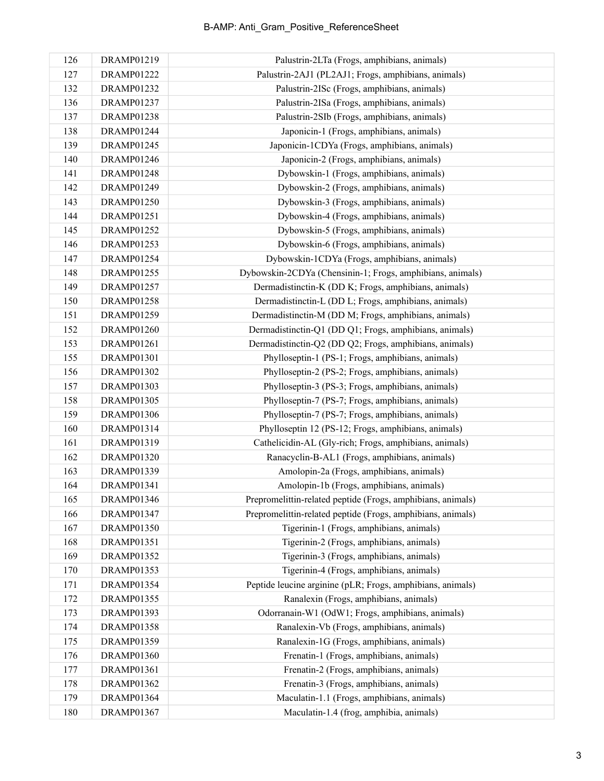| 126 | DRAMP01219        | Palustrin-2LTa (Frogs, amphibians, animals)                 |
|-----|-------------------|-------------------------------------------------------------|
| 127 | DRAMP01222        | Palustrin-2AJ1 (PL2AJ1; Frogs, amphibians, animals)         |
| 132 | DRAMP01232        | Palustrin-2ISc (Frogs, amphibians, animals)                 |
| 136 | DRAMP01237        | Palustrin-2ISa (Frogs, amphibians, animals)                 |
| 137 | <b>DRAMP01238</b> | Palustrin-2SIb (Frogs, amphibians, animals)                 |
| 138 | DRAMP01244        | Japonicin-1 (Frogs, amphibians, animals)                    |
| 139 | DRAMP01245        | Japonicin-1CDYa (Frogs, amphibians, animals)                |
| 140 | DRAMP01246        | Japonicin-2 (Frogs, amphibians, animals)                    |
| 141 | <b>DRAMP01248</b> | Dybowskin-1 (Frogs, amphibians, animals)                    |
| 142 | DRAMP01249        | Dybowskin-2 (Frogs, amphibians, animals)                    |
| 143 | DRAMP01250        | Dybowskin-3 (Frogs, amphibians, animals)                    |
| 144 | DRAMP01251        | Dybowskin-4 (Frogs, amphibians, animals)                    |
| 145 | DRAMP01252        | Dybowskin-5 (Frogs, amphibians, animals)                    |
| 146 | DRAMP01253        | Dybowskin-6 (Frogs, amphibians, animals)                    |
| 147 | DRAMP01254        | Dybowskin-1CDYa (Frogs, amphibians, animals)                |
| 148 | <b>DRAMP01255</b> | Dybowskin-2CDYa (Chensinin-1; Frogs, amphibians, animals)   |
| 149 | <b>DRAMP01257</b> | Dermadistinctin-K (DD K; Frogs, amphibians, animals)        |
| 150 | <b>DRAMP01258</b> | Dermadistinctin-L (DD L; Frogs, amphibians, animals)        |
| 151 | DRAMP01259        | Dermadistinctin-M (DD M; Frogs, amphibians, animals)        |
| 152 | <b>DRAMP01260</b> | Dermadistinctin-Q1 (DD Q1; Frogs, amphibians, animals)      |
| 153 | DRAMP01261        | Dermadistinctin-Q2 (DD Q2; Frogs, amphibians, animals)      |
| 155 | DRAMP01301        | Phylloseptin-1 (PS-1; Frogs, amphibians, animals)           |
| 156 | DRAMP01302        | Phylloseptin-2 (PS-2; Frogs, amphibians, animals)           |
| 157 | DRAMP01303        | Phylloseptin-3 (PS-3; Frogs, amphibians, animals)           |
| 158 | <b>DRAMP01305</b> | Phylloseptin-7 (PS-7; Frogs, amphibians, animals)           |
| 159 | <b>DRAMP01306</b> | Phylloseptin-7 (PS-7; Frogs, amphibians, animals)           |
| 160 | DRAMP01314        | Phylloseptin 12 (PS-12; Frogs, amphibians, animals)         |
| 161 | DRAMP01319        | Cathelicidin-AL (Gly-rich; Frogs, amphibians, animals)      |
| 162 | <b>DRAMP01320</b> | Ranacyclin-B-AL1 (Frogs, amphibians, animals)               |
| 163 | DRAMP01339        | Amolopin-2a (Frogs, amphibians, animals)                    |
| 164 | DRAMP01341        | Amolopin-1b (Frogs, amphibians, animals)                    |
| 165 | DRAMP01346        | Prepromelittin-related peptide (Frogs, amphibians, animals) |
| 166 | DRAMP01347        | Prepromelittin-related peptide (Frogs, amphibians, animals) |
| 167 | DRAMP01350        | Tigerinin-1 (Frogs, amphibians, animals)                    |
| 168 | DRAMP01351        | Tigerinin-2 (Frogs, amphibians, animals)                    |
| 169 | DRAMP01352        | Tigerinin-3 (Frogs, amphibians, animals)                    |
| 170 | <b>DRAMP01353</b> | Tigerinin-4 (Frogs, amphibians, animals)                    |
| 171 | DRAMP01354        | Peptide leucine arginine (pLR; Frogs, amphibians, animals)  |
| 172 | <b>DRAMP01355</b> | Ranalexin (Frogs, amphibians, animals)                      |
| 173 | DRAMP01393        | Odorranain-W1 (OdW1; Frogs, amphibians, animals)            |
| 174 | <b>DRAMP01358</b> | Ranalexin-Vb (Frogs, amphibians, animals)                   |
| 175 | DRAMP01359        | Ranalexin-1G (Frogs, amphibians, animals)                   |
| 176 | <b>DRAMP01360</b> | Frenatin-1 (Frogs, amphibians, animals)                     |
| 177 | DRAMP01361        | Frenatin-2 (Frogs, amphibians, animals)                     |
| 178 | DRAMP01362        | Frenatin-3 (Frogs, amphibians, animals)                     |
| 179 | DRAMP01364        | Maculatin-1.1 (Frogs, amphibians, animals)                  |
| 180 | DRAMP01367        | Maculatin-1.4 (frog, amphibia, animals)                     |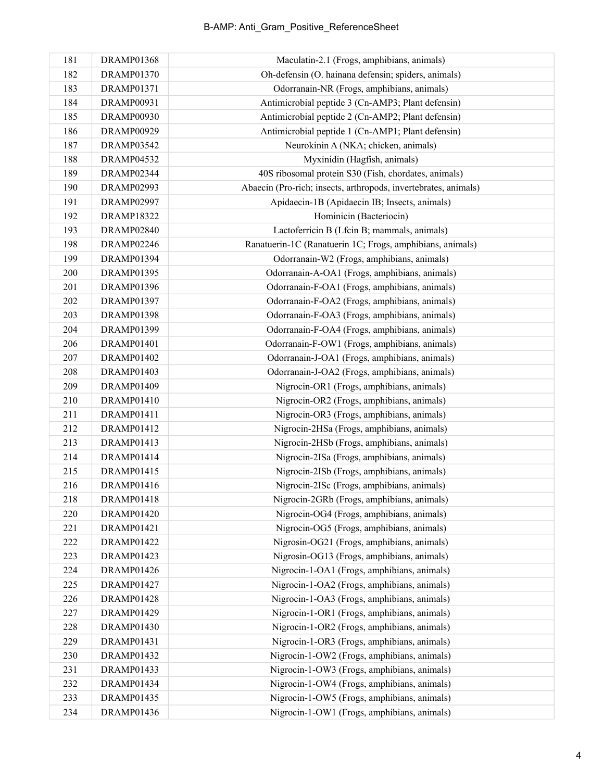| 181 | DRAMP01368        | Maculatin-2.1 (Frogs, amphibians, animals)                      |
|-----|-------------------|-----------------------------------------------------------------|
| 182 | <b>DRAMP01370</b> | Oh-defensin (O. hainana defensin; spiders, animals)             |
| 183 | DRAMP01371        | Odorranain-NR (Frogs, amphibians, animals)                      |
| 184 | DRAMP00931        | Antimicrobial peptide 3 (Cn-AMP3; Plant defensin)               |
| 185 | <b>DRAMP00930</b> | Antimicrobial peptide 2 (Cn-AMP2; Plant defensin)               |
| 186 | <b>DRAMP00929</b> | Antimicrobial peptide 1 (Cn-AMP1; Plant defensin)               |
| 187 | <b>DRAMP03542</b> | Neurokinin A (NKA; chicken, animals)                            |
| 188 | <b>DRAMP04532</b> | Myxinidin (Hagfish, animals)                                    |
| 189 | DRAMP02344        | 40S ribosomal protein S30 (Fish, chordates, animals)            |
| 190 | DRAMP02993        | Abaecin (Pro-rich; insects, arthropods, invertebrates, animals) |
| 191 | DRAMP02997        | Apidaecin-1B (Apidaecin IB; Insects, animals)                   |
| 192 | DRAMP18322        | Hominicin (Bacteriocin)                                         |
| 193 | <b>DRAMP02840</b> | Lactoferricin B (Lfcin B; mammals, animals)                     |
| 198 | DRAMP02246        | Ranatuerin-1C (Ranatuerin 1C; Frogs, amphibians, animals)       |
| 199 | DRAMP01394        | Odorranain-W2 (Frogs, amphibians, animals)                      |
| 200 | DRAMP01395        | Odorranain-A-OA1 (Frogs, amphibians, animals)                   |
| 201 | <b>DRAMP01396</b> | Odorranain-F-OA1 (Frogs, amphibians, animals)                   |
| 202 | DRAMP01397        | Odorranain-F-OA2 (Frogs, amphibians, animals)                   |
| 203 | <b>DRAMP01398</b> | Odorranain-F-OA3 (Frogs, amphibians, animals)                   |
| 204 | DRAMP01399        | Odorranain-F-OA4 (Frogs, amphibians, animals)                   |
| 206 | DRAMP01401        | Odorranain-F-OW1 (Frogs, amphibians, animals)                   |
| 207 | DRAMP01402        | Odorranain-J-OA1 (Frogs, amphibians, animals)                   |
| 208 | DRAMP01403        | Odorranain-J-OA2 (Frogs, amphibians, animals)                   |
| 209 | DRAMP01409        | Nigrocin-OR1 (Frogs, amphibians, animals)                       |
| 210 | DRAMP01410        | Nigrocin-OR2 (Frogs, amphibians, animals)                       |
| 211 | DRAMP01411        | Nigrocin-OR3 (Frogs, amphibians, animals)                       |
| 212 | DRAMP01412        | Nigrocin-2HSa (Frogs, amphibians, animals)                      |
| 213 | DRAMP01413        | Nigrocin-2HSb (Frogs, amphibians, animals)                      |
| 214 | DRAMP01414        | Nigrocin-2ISa (Frogs, amphibians, animals)                      |
| 215 | DRAMP01415        | Nigrocin-2ISb (Frogs, amphibians, animals)                      |
| 216 | DRAMP01416        | Nigrocin-2ISc (Frogs, amphibians, animals)                      |
| 218 | DRAMP01418        | Nigrocin-2GRb (Frogs, amphibians, animals)                      |
| 220 | DRAMP01420        | Nigrocin-OG4 (Frogs, amphibians, animals)                       |
| 221 | DRAMP01421        | Nigrocin-OG5 (Frogs, amphibians, animals)                       |
| 222 | DRAMP01422        | Nigrosin-OG21 (Frogs, amphibians, animals)                      |
| 223 | DRAMP01423        | Nigrosin-OG13 (Frogs, amphibians, animals)                      |
| 224 | DRAMP01426        | Nigrocin-1-OA1 (Frogs, amphibians, animals)                     |
| 225 | DRAMP01427        | Nigrocin-1-OA2 (Frogs, amphibians, animals)                     |
| 226 | DRAMP01428        | Nigrocin-1-OA3 (Frogs, amphibians, animals)                     |
| 227 | DRAMP01429        | Nigrocin-1-OR1 (Frogs, amphibians, animals)                     |
| 228 | DRAMP01430        | Nigrocin-1-OR2 (Frogs, amphibians, animals)                     |
| 229 | DRAMP01431        | Nigrocin-1-OR3 (Frogs, amphibians, animals)                     |
| 230 | DRAMP01432        | Nigrocin-1-OW2 (Frogs, amphibians, animals)                     |
| 231 | DRAMP01433        | Nigrocin-1-OW3 (Frogs, amphibians, animals)                     |
| 232 | DRAMP01434        | Nigrocin-1-OW4 (Frogs, amphibians, animals)                     |
| 233 | DRAMP01435        | Nigrocin-1-OW5 (Frogs, amphibians, animals)                     |
| 234 | DRAMP01436        | Nigrocin-1-OW1 (Frogs, amphibians, animals)                     |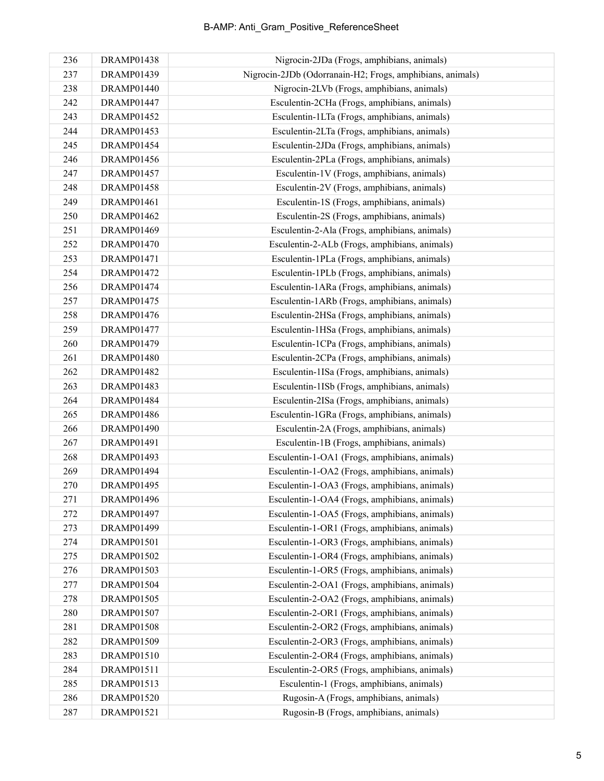## B-AMP: Anti\_Gram\_Positive\_ReferenceSheet

| 236 | DRAMP01438        | Nigrocin-2JDa (Frogs, amphibians, animals)                |
|-----|-------------------|-----------------------------------------------------------|
| 237 | DRAMP01439        | Nigrocin-2JDb (Odorranain-H2; Frogs, amphibians, animals) |
| 238 | DRAMP01440        | Nigrocin-2LVb (Frogs, amphibians, animals)                |
| 242 | DRAMP01447        | Esculentin-2CHa (Frogs, amphibians, animals)              |
| 243 | DRAMP01452        | Esculentin-1LTa (Frogs, amphibians, animals)              |
| 244 | DRAMP01453        | Esculentin-2LTa (Frogs, amphibians, animals)              |
| 245 | DRAMP01454        | Esculentin-2JDa (Frogs, amphibians, animals)              |
| 246 | DRAMP01456        | Esculentin-2PLa (Frogs, amphibians, animals)              |
| 247 | <b>DRAMP01457</b> | Esculentin-1V (Frogs, amphibians, animals)                |
| 248 | <b>DRAMP01458</b> | Esculentin-2V (Frogs, amphibians, animals)                |
| 249 | DRAMP01461        | Esculentin-1S (Frogs, amphibians, animals)                |
| 250 | DRAMP01462        | Esculentin-2S (Frogs, amphibians, animals)                |
| 251 | DRAMP01469        | Esculentin-2-Ala (Frogs, amphibians, animals)             |
| 252 | <b>DRAMP01470</b> | Esculentin-2-ALb (Frogs, amphibians, animals)             |
| 253 | DRAMP01471        | Esculentin-1PLa (Frogs, amphibians, animals)              |
| 254 | DRAMP01472        | Esculentin-1PLb (Frogs, amphibians, animals)              |
| 256 | DRAMP01474        | Esculentin-1ARa (Frogs, amphibians, animals)              |
| 257 | DRAMP01475        | Esculentin-1ARb (Frogs, amphibians, animals)              |
| 258 | DRAMP01476        | Esculentin-2HSa (Frogs, amphibians, animals)              |
| 259 | <b>DRAMP01477</b> | Esculentin-1HSa (Frogs, amphibians, animals)              |
| 260 | DRAMP01479        | Esculentin-1CPa (Frogs, amphibians, animals)              |
| 261 | <b>DRAMP01480</b> | Esculentin-2CPa (Frogs, amphibians, animals)              |
| 262 | DRAMP01482        | Esculentin-1ISa (Frogs, amphibians, animals)              |
| 263 | DRAMP01483        | Esculentin-1ISb (Frogs, amphibians, animals)              |
| 264 | DRAMP01484        | Esculentin-2ISa (Frogs, amphibians, animals)              |
| 265 | DRAMP01486        | Esculentin-1GRa (Frogs, amphibians, animals)              |
| 266 | DRAMP01490        | Esculentin-2A (Frogs, amphibians, animals)                |
| 267 | DRAMP01491        | Esculentin-1B (Frogs, amphibians, animals)                |
| 268 | DRAMP01493        | Esculentin-1-OA1 (Frogs, amphibians, animals)             |
| 269 | DRAMP01494        | Esculentin-1-OA2 (Frogs, amphibians, animals)             |
| 270 | DRAMP01495        | Esculentin-1-OA3 (Frogs, amphibians, animals)             |
| 271 | DRAMP01496        | Esculentin-1-OA4 (Frogs, amphibians, animals)             |
| 272 | DRAMP01497        | Esculentin-1-OA5 (Frogs, amphibians, animals)             |
| 273 | DRAMP01499        | Esculentin-1-OR1 (Frogs, amphibians, animals)             |
| 274 | DRAMP01501        | Esculentin-1-OR3 (Frogs, amphibians, animals)             |
| 275 | DRAMP01502        | Esculentin-1-OR4 (Frogs, amphibians, animals)             |
| 276 | DRAMP01503        | Esculentin-1-OR5 (Frogs, amphibians, animals)             |
| 277 | DRAMP01504        | Esculentin-2-OA1 (Frogs, amphibians, animals)             |
| 278 | <b>DRAMP01505</b> | Esculentin-2-OA2 (Frogs, amphibians, animals)             |
| 280 | DRAMP01507        | Esculentin-2-OR1 (Frogs, amphibians, animals)             |
| 281 | <b>DRAMP01508</b> | Esculentin-2-OR2 (Frogs, amphibians, animals)             |
| 282 | DRAMP01509        | Esculentin-2-OR3 (Frogs, amphibians, animals)             |
| 283 | DRAMP01510        | Esculentin-2-OR4 (Frogs, amphibians, animals)             |
| 284 | DRAMP01511        | Esculentin-2-OR5 (Frogs, amphibians, animals)             |
| 285 | DRAMP01513        | Esculentin-1 (Frogs, amphibians, animals)                 |
| 286 | DRAMP01520        | Rugosin-A (Frogs, amphibians, animals)                    |
| 287 | DRAMP01521        | Rugosin-B (Frogs, amphibians, animals)                    |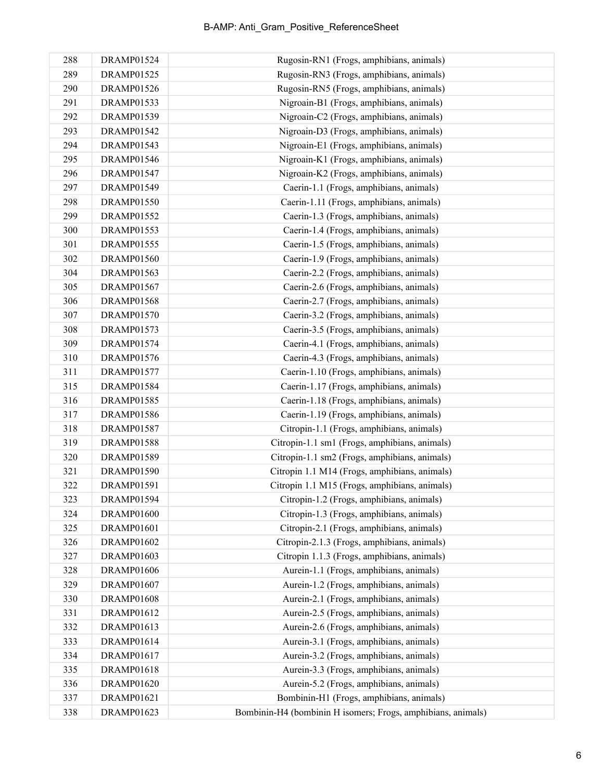| 288 | DRAMP01524        | Rugosin-RN1 (Frogs, amphibians, animals)                     |
|-----|-------------------|--------------------------------------------------------------|
| 289 | <b>DRAMP01525</b> | Rugosin-RN3 (Frogs, amphibians, animals)                     |
| 290 | <b>DRAMP01526</b> | Rugosin-RN5 (Frogs, amphibians, animals)                     |
| 291 | DRAMP01533        | Nigroain-B1 (Frogs, amphibians, animals)                     |
| 292 | DRAMP01539        | Nigroain-C2 (Frogs, amphibians, animals)                     |
| 293 | DRAMP01542        | Nigroain-D3 (Frogs, amphibians, animals)                     |
| 294 | DRAMP01543        | Nigroain-E1 (Frogs, amphibians, animals)                     |
| 295 | DRAMP01546        | Nigroain-K1 (Frogs, amphibians, animals)                     |
| 296 | DRAMP01547        | Nigroain-K2 (Frogs, amphibians, animals)                     |
| 297 | <b>DRAMP01549</b> | Caerin-1.1 (Frogs, amphibians, animals)                      |
| 298 | <b>DRAMP01550</b> | Caerin-1.11 (Frogs, amphibians, animals)                     |
| 299 | DRAMP01552        | Caerin-1.3 (Frogs, amphibians, animals)                      |
| 300 | DRAMP01553        | Caerin-1.4 (Frogs, amphibians, animals)                      |
| 301 | DRAMP01555        | Caerin-1.5 (Frogs, amphibians, animals)                      |
| 302 | DRAMP01560        | Caerin-1.9 (Frogs, amphibians, animals)                      |
| 304 | DRAMP01563        | Caerin-2.2 (Frogs, amphibians, animals)                      |
| 305 | DRAMP01567        | Caerin-2.6 (Frogs, amphibians, animals)                      |
| 306 | <b>DRAMP01568</b> | Caerin-2.7 (Frogs, amphibians, animals)                      |
| 307 | DRAMP01570        | Caerin-3.2 (Frogs, amphibians, animals)                      |
| 308 | <b>DRAMP01573</b> | Caerin-3.5 (Frogs, amphibians, animals)                      |
| 309 | DRAMP01574        | Caerin-4.1 (Frogs, amphibians, animals)                      |
| 310 | <b>DRAMP01576</b> | Caerin-4.3 (Frogs, amphibians, animals)                      |
| 311 | DRAMP01577        | Caerin-1.10 (Frogs, amphibians, animals)                     |
| 315 | DRAMP01584        | Caerin-1.17 (Frogs, amphibians, animals)                     |
| 316 | <b>DRAMP01585</b> | Caerin-1.18 (Frogs, amphibians, animals)                     |
| 317 | DRAMP01586        | Caerin-1.19 (Frogs, amphibians, animals)                     |
| 318 | <b>DRAMP01587</b> | Citropin-1.1 (Frogs, amphibians, animals)                    |
| 319 | <b>DRAMP01588</b> | Citropin-1.1 sm1 (Frogs, amphibians, animals)                |
| 320 | DRAMP01589        | Citropin-1.1 sm2 (Frogs, amphibians, animals)                |
| 321 | DRAMP01590        | Citropin 1.1 M14 (Frogs, amphibians, animals)                |
| 322 | DRAMP01591        | Citropin 1.1 M15 (Frogs, amphibians, animals)                |
| 323 | DRAMP01594        | Citropin-1.2 (Frogs, amphibians, animals)                    |
| 324 | DRAMP01600        | Citropin-1.3 (Frogs, amphibians, animals)                    |
| 325 | <b>DRAMP01601</b> | Citropin-2.1 (Frogs, amphibians, animals)                    |
| 326 | DRAMP01602        | Citropin-2.1.3 (Frogs, amphibians, animals)                  |
| 327 | <b>DRAMP01603</b> | Citropin 1.1.3 (Frogs, amphibians, animals)                  |
| 328 | <b>DRAMP01606</b> | Aurein-1.1 (Frogs, amphibians, animals)                      |
| 329 | <b>DRAMP01607</b> | Aurein-1.2 (Frogs, amphibians, animals)                      |
| 330 | <b>DRAMP01608</b> | Aurein-2.1 (Frogs, amphibians, animals)                      |
| 331 | DRAMP01612        | Aurein-2.5 (Frogs, amphibians, animals)                      |
| 332 | DRAMP01613        | Aurein-2.6 (Frogs, amphibians, animals)                      |
| 333 | DRAMP01614        | Aurein-3.1 (Frogs, amphibians, animals)                      |
| 334 | DRAMP01617        | Aurein-3.2 (Frogs, amphibians, animals)                      |
| 335 | <b>DRAMP01618</b> | Aurein-3.3 (Frogs, amphibians, animals)                      |
| 336 | DRAMP01620        | Aurein-5.2 (Frogs, amphibians, animals)                      |
| 337 | DRAMP01621        | Bombinin-H1 (Frogs, amphibians, animals)                     |
| 338 | DRAMP01623        | Bombinin-H4 (bombinin H isomers; Frogs, amphibians, animals) |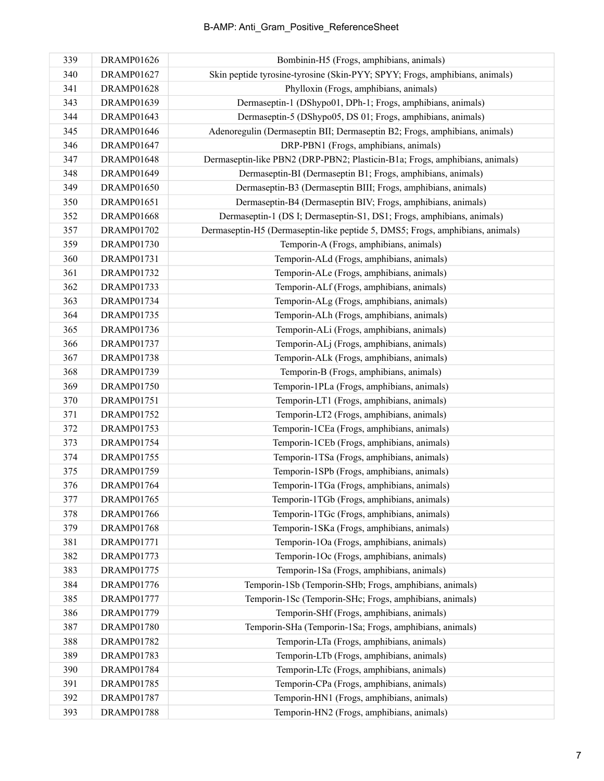| 339 | <b>DRAMP01626</b> | Bombinin-H5 (Frogs, amphibians, animals)                                      |
|-----|-------------------|-------------------------------------------------------------------------------|
| 340 | DRAMP01627        | Skin peptide tyrosine-tyrosine (Skin-PYY; SPYY; Frogs, amphibians, animals)   |
| 341 | <b>DRAMP01628</b> | Phylloxin (Frogs, amphibians, animals)                                        |
| 343 | DRAMP01639        | Dermaseptin-1 (DShypo01, DPh-1; Frogs, amphibians, animals)                   |
| 344 | DRAMP01643        | Dermaseptin-5 (DShypo05, DS 01; Frogs, amphibians, animals)                   |
| 345 | <b>DRAMP01646</b> | Adenoregulin (Dermaseptin BII; Dermaseptin B2; Frogs, amphibians, animals)    |
| 346 | DRAMP01647        | DRP-PBN1 (Frogs, amphibians, animals)                                         |
| 347 | <b>DRAMP01648</b> | Dermaseptin-like PBN2 (DRP-PBN2; Plasticin-B1a; Frogs, amphibians, animals)   |
| 348 | DRAMP01649        | Dermaseptin-BI (Dermaseptin B1; Frogs, amphibians, animals)                   |
| 349 | DRAMP01650        | Dermaseptin-B3 (Dermaseptin BIII; Frogs, amphibians, animals)                 |
| 350 | DRAMP01651        | Dermaseptin-B4 (Dermaseptin BIV; Frogs, amphibians, animals)                  |
| 352 | <b>DRAMP01668</b> | Dermaseptin-1 (DS I; Dermaseptin-S1, DS1; Frogs, amphibians, animals)         |
| 357 | DRAMP01702        | Dermaseptin-H5 (Dermaseptin-like peptide 5, DMS5; Frogs, amphibians, animals) |
| 359 | DRAMP01730        | Temporin-A (Frogs, amphibians, animals)                                       |
| 360 | <b>DRAMP01731</b> | Temporin-ALd (Frogs, amphibians, animals)                                     |
| 361 | DRAMP01732        | Temporin-ALe (Frogs, amphibians, animals)                                     |
| 362 | DRAMP01733        | Temporin-ALf (Frogs, amphibians, animals)                                     |
| 363 | DRAMP01734        | Temporin-ALg (Frogs, amphibians, animals)                                     |
| 364 | DRAMP01735        | Temporin-ALh (Frogs, amphibians, animals)                                     |
| 365 | <b>DRAMP01736</b> | Temporin-ALi (Frogs, amphibians, animals)                                     |
| 366 | DRAMP01737        | Temporin-ALj (Frogs, amphibians, animals)                                     |
| 367 | <b>DRAMP01738</b> | Temporin-ALk (Frogs, amphibians, animals)                                     |
| 368 | DRAMP01739        | Temporin-B (Frogs, amphibians, animals)                                       |
| 369 | <b>DRAMP01750</b> | Temporin-1PLa (Frogs, amphibians, animals)                                    |
| 370 | DRAMP01751        | Temporin-LT1 (Frogs, amphibians, animals)                                     |
| 371 | DRAMP01752        | Temporin-LT2 (Frogs, amphibians, animals)                                     |
| 372 | DRAMP01753        | Temporin-1CEa (Frogs, amphibians, animals)                                    |
| 373 | DRAMP01754        | Temporin-1CEb (Frogs, amphibians, animals)                                    |
| 374 | DRAMP01755        | Temporin-1TSa (Frogs, amphibians, animals)                                    |
| 375 | <b>DRAMP01759</b> | Temporin-1SPb (Frogs, amphibians, animals)                                    |
| 376 | DRAMP01764        | Temporin-1TGa (Frogs, amphibians, animals)                                    |
| 377 | <b>DRAMP01765</b> | Temporin-1TGb (Frogs, amphibians, animals)                                    |
| 378 | DRAMP01766        | Temporin-1TGc (Frogs, amphibians, animals)                                    |
| 379 | <b>DRAMP01768</b> | Temporin-1SKa (Frogs, amphibians, animals)                                    |
| 381 | DRAMP01771        | Temporin-1Oa (Frogs, amphibians, animals)                                     |
| 382 | DRAMP01773        | Temporin-1Oc (Frogs, amphibians, animals)                                     |
| 383 | DRAMP01775        | Temporin-1Sa (Frogs, amphibians, animals)                                     |
| 384 | <b>DRAMP01776</b> | Temporin-1Sb (Temporin-SHb; Frogs, amphibians, animals)                       |
| 385 | DRAMP01777        | Temporin-1Sc (Temporin-SHc; Frogs, amphibians, animals)                       |
| 386 | <b>DRAMP01779</b> | Temporin-SHf (Frogs, amphibians, animals)                                     |
| 387 | DRAMP01780        | Temporin-SHa (Temporin-1Sa; Frogs, amphibians, animals)                       |
| 388 | DRAMP01782        | Temporin-LTa (Frogs, amphibians, animals)                                     |
| 389 | DRAMP01783        | Temporin-LTb (Frogs, amphibians, animals)                                     |
| 390 | DRAMP01784        | Temporin-LTc (Frogs, amphibians, animals)                                     |
| 391 | DRAMP01785        | Temporin-CPa (Frogs, amphibians, animals)                                     |
| 392 | DRAMP01787        | Temporin-HN1 (Frogs, amphibians, animals)                                     |
| 393 | <b>DRAMP01788</b> | Temporin-HN2 (Frogs, amphibians, animals)                                     |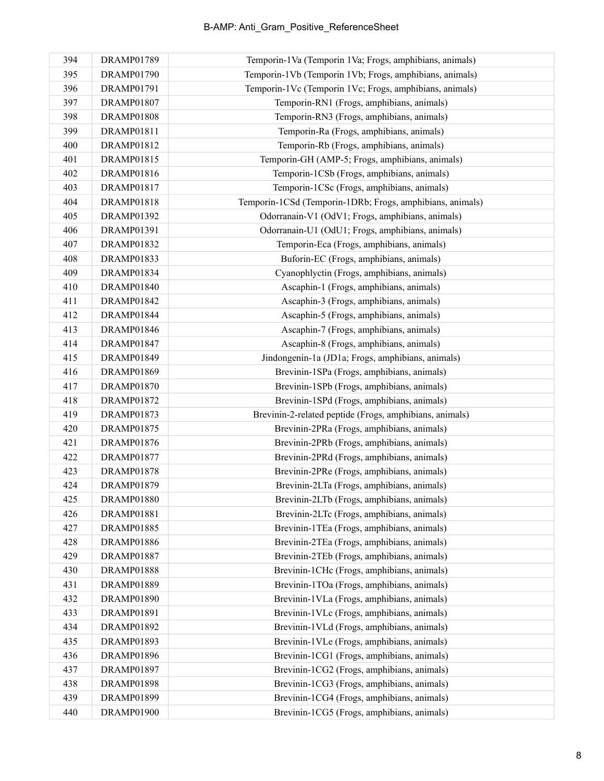| 394 | <b>DRAMP01789</b> | Temporin-1Va (Temporin 1Va; Frogs, amphibians, animals)   |
|-----|-------------------|-----------------------------------------------------------|
| 395 | <b>DRAMP01790</b> | Temporin-1Vb (Temporin 1Vb; Frogs, amphibians, animals)   |
| 396 | DRAMP01791        | Temporin-1Vc (Temporin 1Vc; Frogs, amphibians, animals)   |
| 397 | <b>DRAMP01807</b> | Temporin-RN1 (Frogs, amphibians, animals)                 |
| 398 | <b>DRAMP01808</b> | Temporin-RN3 (Frogs, amphibians, animals)                 |
| 399 | DRAMP01811        | Temporin-Ra (Frogs, amphibians, animals)                  |
| 400 | DRAMP01812        | Temporin-Rb (Frogs, amphibians, animals)                  |
| 401 | DRAMP01815        | Temporin-GH (AMP-5; Frogs, amphibians, animals)           |
| 402 | DRAMP01816        | Temporin-1CSb (Frogs, amphibians, animals)                |
| 403 | <b>DRAMP01817</b> | Temporin-1CSc (Frogs, amphibians, animals)                |
| 404 | DRAMP01818        | Temporin-1CSd (Temporin-1DRb; Frogs, amphibians, animals) |
| 405 | DRAMP01392        | Odorranain-V1 (OdV1; Frogs, amphibians, animals)          |
| 406 | DRAMP01391        | Odorranain-U1 (OdU1; Frogs, amphibians, animals)          |
| 407 | DRAMP01832        | Temporin-Eca (Frogs, amphibians, animals)                 |
| 408 | <b>DRAMP01833</b> | Buforin-EC (Frogs, amphibians, animals)                   |
| 409 | DRAMP01834        | Cyanophlyctin (Frogs, amphibians, animals)                |
| 410 | <b>DRAMP01840</b> | Ascaphin-1 (Frogs, amphibians, animals)                   |
| 411 | DRAMP01842        | Ascaphin-3 (Frogs, amphibians, animals)                   |
| 412 | DRAMP01844        | Ascaphin-5 (Frogs, amphibians, animals)                   |
| 413 | DRAMP01846        | Ascaphin-7 (Frogs, amphibians, animals)                   |
| 414 | <b>DRAMP01847</b> | Ascaphin-8 (Frogs, amphibians, animals)                   |
| 415 | DRAMP01849        | Jindongenin-1a (JD1a; Frogs, amphibians, animals)         |
| 416 | DRAMP01869        | Brevinin-1SPa (Frogs, amphibians, animals)                |
| 417 | <b>DRAMP01870</b> | Brevinin-1SPb (Frogs, amphibians, animals)                |
| 418 | <b>DRAMP01872</b> | Brevinin-1SPd (Frogs, amphibians, animals)                |
| 419 | DRAMP01873        | Brevinin-2-related peptide (Frogs, amphibians, animals)   |
| 420 | <b>DRAMP01875</b> | Brevinin-2PRa (Frogs, amphibians, animals)                |
| 421 | <b>DRAMP01876</b> | Brevinin-2PRb (Frogs, amphibians, animals)                |
| 422 | <b>DRAMP01877</b> | Brevinin-2PRd (Frogs, amphibians, animals)                |
| 423 | <b>DRAMP01878</b> | Brevinin-2PRe (Frogs, amphibians, animals)                |
| 424 | DRAMP01879        | Brevinin-2LTa (Frogs, amphibians, animals)                |
| 425 | <b>DRAMP01880</b> | Brevinin-2LTb (Frogs, amphibians, animals)                |
| 426 | DRAMP01881        | Brevinin-2LTc (Frogs, amphibians, animals)                |
| 427 | <b>DRAMP01885</b> | Brevinin-1TEa (Frogs, amphibians, animals)                |
| 428 | <b>DRAMP01886</b> | Brevinin-2TEa (Frogs, amphibians, animals)                |
| 429 | <b>DRAMP01887</b> | Brevinin-2TEb (Frogs, amphibians, animals)                |
| 430 | <b>DRAMP01888</b> | Brevinin-1CHc (Frogs, amphibians, animals)                |
| 431 | DRAMP01889        | Brevinin-1TOa (Frogs, amphibians, animals)                |
| 432 | DRAMP01890        | Brevinin-1VLa (Frogs, amphibians, animals)                |
| 433 | DRAMP01891        | Brevinin-1VLc (Frogs, amphibians, animals)                |
| 434 | DRAMP01892        | Brevinin-1VLd (Frogs, amphibians, animals)                |
| 435 | DRAMP01893        | Brevinin-1VLe (Frogs, amphibians, animals)                |
| 436 | <b>DRAMP01896</b> | Brevinin-1CG1 (Frogs, amphibians, animals)                |
| 437 | DRAMP01897        | Brevinin-1CG2 (Frogs, amphibians, animals)                |
| 438 | <b>DRAMP01898</b> | Brevinin-1CG3 (Frogs, amphibians, animals)                |
| 439 | DRAMP01899        | Brevinin-1CG4 (Frogs, amphibians, animals)                |
| 440 | DRAMP01900        | Brevinin-1CG5 (Frogs, amphibians, animals)                |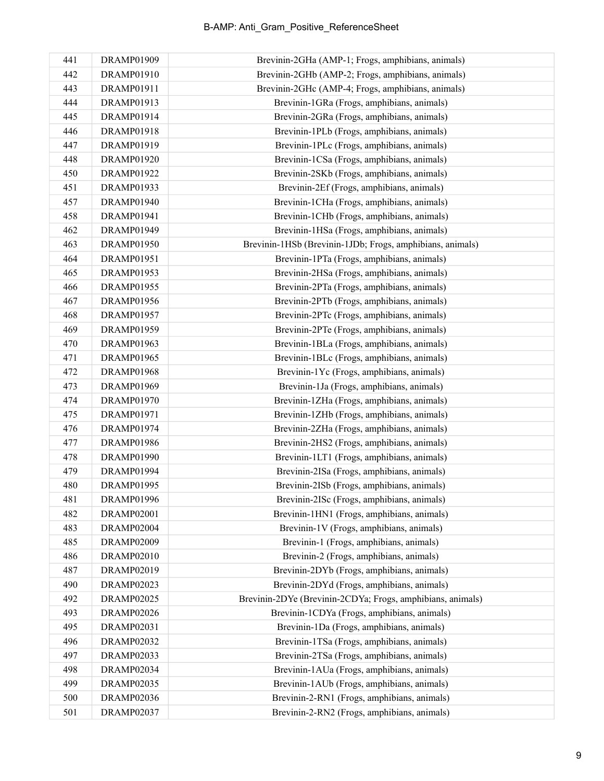| 441 | DRAMP01909        | Brevinin-2GHa (AMP-1; Frogs, amphibians, animals)          |
|-----|-------------------|------------------------------------------------------------|
| 442 | DRAMP01910        | Brevinin-2GHb (AMP-2; Frogs, amphibians, animals)          |
| 443 | DRAMP01911        | Brevinin-2GHc (AMP-4; Frogs, amphibians, animals)          |
| 444 | DRAMP01913        | Brevinin-1GRa (Frogs, amphibians, animals)                 |
| 445 | DRAMP01914        | Brevinin-2GRa (Frogs, amphibians, animals)                 |
| 446 | DRAMP01918        | Brevinin-1PLb (Frogs, amphibians, animals)                 |
| 447 | DRAMP01919        | Brevinin-1PLc (Frogs, amphibians, animals)                 |
| 448 | <b>DRAMP01920</b> | Brevinin-1CSa (Frogs, amphibians, animals)                 |
| 450 | DRAMP01922        | Brevinin-2SKb (Frogs, amphibians, animals)                 |
| 451 | DRAMP01933        | Brevinin-2Ef (Frogs, amphibians, animals)                  |
| 457 | DRAMP01940        | Brevinin-1CHa (Frogs, amphibians, animals)                 |
| 458 | DRAMP01941        | Brevinin-1CHb (Frogs, amphibians, animals)                 |
| 462 | DRAMP01949        | Brevinin-1HSa (Frogs, amphibians, animals)                 |
| 463 | <b>DRAMP01950</b> | Brevinin-1HSb (Brevinin-1JDb; Frogs, amphibians, animals)  |
| 464 | <b>DRAMP01951</b> | Brevinin-1PTa (Frogs, amphibians, animals)                 |
| 465 | DRAMP01953        | Brevinin-2HSa (Frogs, amphibians, animals)                 |
| 466 | <b>DRAMP01955</b> | Brevinin-2PTa (Frogs, amphibians, animals)                 |
| 467 | <b>DRAMP01956</b> | Brevinin-2PTb (Frogs, amphibians, animals)                 |
| 468 | <b>DRAMP01957</b> | Brevinin-2PTc (Frogs, amphibians, animals)                 |
| 469 | DRAMP01959        | Brevinin-2PTe (Frogs, amphibians, animals)                 |
| 470 | DRAMP01963        | Brevinin-1BLa (Frogs, amphibians, animals)                 |
| 471 | <b>DRAMP01965</b> | Brevinin-1BLc (Frogs, amphibians, animals)                 |
| 472 | <b>DRAMP01968</b> | Brevinin-1Yc (Frogs, amphibians, animals)                  |
| 473 | DRAMP01969        | Brevinin-1Ja (Frogs, amphibians, animals)                  |
| 474 | <b>DRAMP01970</b> | Brevinin-1ZHa (Frogs, amphibians, animals)                 |
| 475 | DRAMP01971        | Brevinin-1ZHb (Frogs, amphibians, animals)                 |
| 476 | DRAMP01974        | Brevinin-2ZHa (Frogs, amphibians, animals)                 |
| 477 | <b>DRAMP01986</b> | Brevinin-2HS2 (Frogs, amphibians, animals)                 |
| 478 | DRAMP01990        | Brevinin-1LT1 (Frogs, amphibians, animals)                 |
| 479 | DRAMP01994        | Brevinin-2ISa (Frogs, amphibians, animals)                 |
| 480 | DRAMP01995        | Brevinin-2ISb (Frogs, amphibians, animals)                 |
| 481 | DRAMP01996        | Brevinin-2ISc (Frogs, amphibians, animals)                 |
| 482 | DRAMP02001        | Brevinin-1HN1 (Frogs, amphibians, animals)                 |
| 483 | DRAMP02004        | Brevinin-1V (Frogs, amphibians, animals)                   |
| 485 | <b>DRAMP02009</b> | Brevinin-1 (Frogs, amphibians, animals)                    |
| 486 | <b>DRAMP02010</b> | Brevinin-2 (Frogs, amphibians, animals)                    |
| 487 | DRAMP02019        | Brevinin-2DYb (Frogs, amphibians, animals)                 |
| 490 | <b>DRAMP02023</b> | Brevinin-2DYd (Frogs, amphibians, animals)                 |
| 492 | <b>DRAMP02025</b> | Brevinin-2DYe (Brevinin-2CDYa; Frogs, amphibians, animals) |
| 493 | <b>DRAMP02026</b> | Brevinin-1CDYa (Frogs, amphibians, animals)                |
| 495 | DRAMP02031        | Brevinin-1Da (Frogs, amphibians, animals)                  |
| 496 | <b>DRAMP02032</b> | Brevinin-1TSa (Frogs, amphibians, animals)                 |
| 497 | DRAMP02033        | Brevinin-2TSa (Frogs, amphibians, animals)                 |
| 498 | DRAMP02034        | Brevinin-1AUa (Frogs, amphibians, animals)                 |
| 499 | <b>DRAMP02035</b> | Brevinin-1AUb (Frogs, amphibians, animals)                 |
| 500 | <b>DRAMP02036</b> | Brevinin-2-RN1 (Frogs, amphibians, animals)                |
| 501 | <b>DRAMP02037</b> | Brevinin-2-RN2 (Frogs, amphibians, animals)                |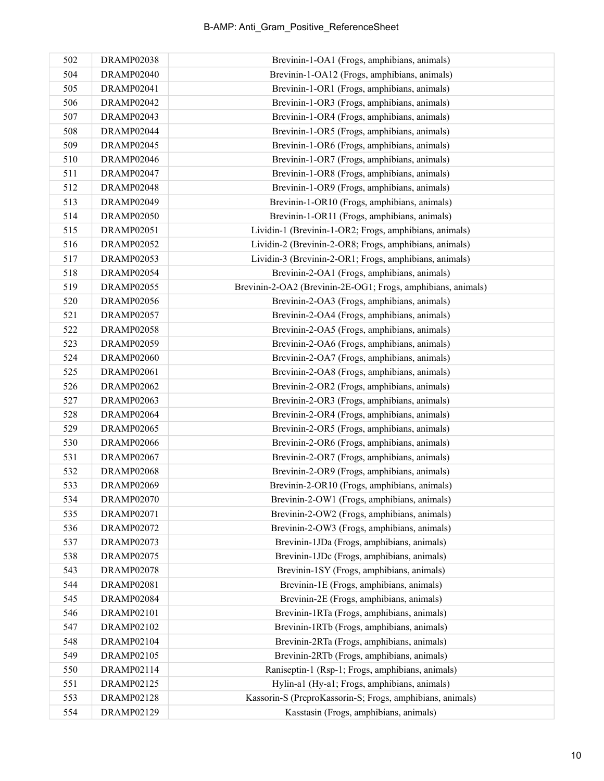| 502 | DRAMP02038        | Brevinin-1-OA1 (Frogs, amphibians, animals)                  |
|-----|-------------------|--------------------------------------------------------------|
| 504 | DRAMP02040        | Brevinin-1-OA12 (Frogs, amphibians, animals)                 |
| 505 | DRAMP02041        | Brevinin-1-OR1 (Frogs, amphibians, animals)                  |
| 506 | <b>DRAMP02042</b> | Brevinin-1-OR3 (Frogs, amphibians, animals)                  |
| 507 | DRAMP02043        | Brevinin-1-OR4 (Frogs, amphibians, animals)                  |
| 508 | DRAMP02044        | Brevinin-1-OR5 (Frogs, amphibians, animals)                  |
| 509 | DRAMP02045        | Brevinin-1-OR6 (Frogs, amphibians, animals)                  |
| 510 | DRAMP02046        | Brevinin-1-OR7 (Frogs, amphibians, animals)                  |
| 511 | DRAMP02047        | Brevinin-1-OR8 (Frogs, amphibians, animals)                  |
| 512 | <b>DRAMP02048</b> | Brevinin-1-OR9 (Frogs, amphibians, animals)                  |
| 513 | DRAMP02049        | Brevinin-1-OR10 (Frogs, amphibians, animals)                 |
| 514 | <b>DRAMP02050</b> | Brevinin-1-OR11 (Frogs, amphibians, animals)                 |
| 515 | <b>DRAMP02051</b> | Lividin-1 (Brevinin-1-OR2; Frogs, amphibians, animals)       |
| 516 | <b>DRAMP02052</b> | Lividin-2 (Brevinin-2-OR8; Frogs, amphibians, animals)       |
| 517 | <b>DRAMP02053</b> | Lividin-3 (Brevinin-2-OR1; Frogs, amphibians, animals)       |
| 518 | DRAMP02054        | Brevinin-2-OA1 (Frogs, amphibians, animals)                  |
| 519 | <b>DRAMP02055</b> | Brevinin-2-OA2 (Brevinin-2E-OG1; Frogs, amphibians, animals) |
| 520 | <b>DRAMP02056</b> | Brevinin-2-OA3 (Frogs, amphibians, animals)                  |
| 521 | <b>DRAMP02057</b> | Brevinin-2-OA4 (Frogs, amphibians, animals)                  |
| 522 | <b>DRAMP02058</b> | Brevinin-2-OA5 (Frogs, amphibians, animals)                  |
| 523 | DRAMP02059        | Brevinin-2-OA6 (Frogs, amphibians, animals)                  |
| 524 | <b>DRAMP02060</b> | Brevinin-2-OA7 (Frogs, amphibians, animals)                  |
| 525 | DRAMP02061        | Brevinin-2-OA8 (Frogs, amphibians, animals)                  |
| 526 | <b>DRAMP02062</b> | Brevinin-2-OR2 (Frogs, amphibians, animals)                  |
| 527 | DRAMP02063        | Brevinin-2-OR3 (Frogs, amphibians, animals)                  |
| 528 | DRAMP02064        | Brevinin-2-OR4 (Frogs, amphibians, animals)                  |
| 529 | <b>DRAMP02065</b> | Brevinin-2-OR5 (Frogs, amphibians, animals)                  |
| 530 | DRAMP02066        | Brevinin-2-OR6 (Frogs, amphibians, animals)                  |
| 531 | <b>DRAMP02067</b> | Brevinin-2-OR7 (Frogs, amphibians, animals)                  |
| 532 | <b>DRAMP02068</b> | Brevinin-2-OR9 (Frogs, amphibians, animals)                  |
| 533 | DRAMP02069        | Brevinin-2-OR10 (Frogs, amphibians, animals)                 |
| 534 | <b>DRAMP02070</b> | Brevinin-2-OW1 (Frogs, amphibians, animals)                  |
| 535 | <b>DRAMP02071</b> | Brevinin-2-OW2 (Frogs, amphibians, animals)                  |
| 536 | <b>DRAMP02072</b> | Brevinin-2-OW3 (Frogs, amphibians, animals)                  |
| 537 | <b>DRAMP02073</b> | Brevinin-1JDa (Frogs, amphibians, animals)                   |
| 538 | <b>DRAMP02075</b> | Brevinin-1JDc (Frogs, amphibians, animals)                   |
| 543 | <b>DRAMP02078</b> | Brevinin-1SY (Frogs, amphibians, animals)                    |
| 544 | <b>DRAMP02081</b> | Brevinin-1E (Frogs, amphibians, animals)                     |
| 545 | <b>DRAMP02084</b> | Brevinin-2E (Frogs, amphibians, animals)                     |
| 546 | DRAMP02101        | Brevinin-1RTa (Frogs, amphibians, animals)                   |
| 547 | DRAMP02102        | Brevinin-1RTb (Frogs, amphibians, animals)                   |
| 548 | DRAMP02104        | Brevinin-2RTa (Frogs, amphibians, animals)                   |
| 549 | DRAMP02105        | Brevinin-2RTb (Frogs, amphibians, animals)                   |
| 550 | DRAMP02114        | Raniseptin-1 (Rsp-1; Frogs, amphibians, animals)             |
| 551 | DRAMP02125        | Hylin-a1 (Hy-a1; Frogs, amphibians, animals)                 |
| 553 | DRAMP02128        | Kassorin-S (PreproKassorin-S; Frogs, amphibians, animals)    |
| 554 | DRAMP02129        | Kasstasin (Frogs, amphibians, animals)                       |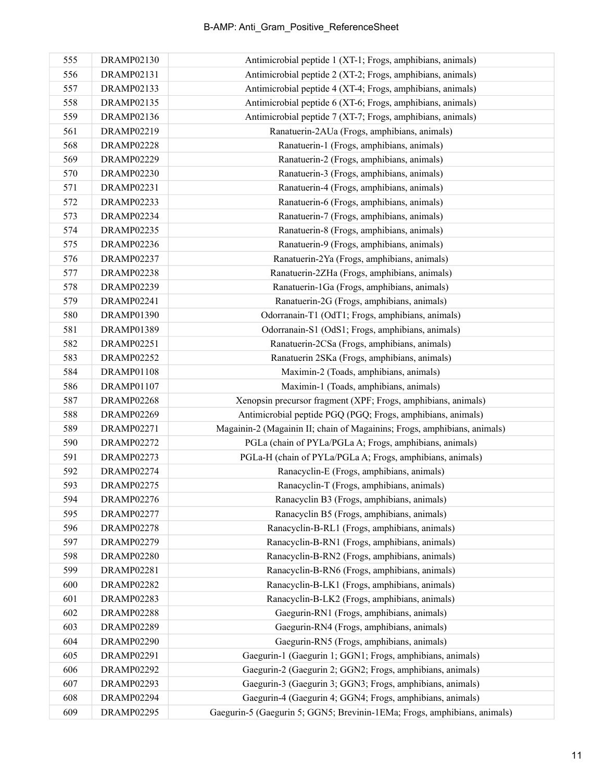| 555 | DRAMP02130        | Antimicrobial peptide 1 (XT-1; Frogs, amphibians, animals)               |
|-----|-------------------|--------------------------------------------------------------------------|
| 556 | DRAMP02131        | Antimicrobial peptide 2 (XT-2; Frogs, amphibians, animals)               |
| 557 | DRAMP02133        | Antimicrobial peptide 4 (XT-4; Frogs, amphibians, animals)               |
| 558 | DRAMP02135        | Antimicrobial peptide 6 (XT-6; Frogs, amphibians, animals)               |
| 559 | DRAMP02136        | Antimicrobial peptide 7 (XT-7; Frogs, amphibians, animals)               |
| 561 | DRAMP02219        | Ranatuerin-2AUa (Frogs, amphibians, animals)                             |
| 568 | <b>DRAMP02228</b> | Ranatuerin-1 (Frogs, amphibians, animals)                                |
| 569 | <b>DRAMP02229</b> | Ranatuerin-2 (Frogs, amphibians, animals)                                |
| 570 | <b>DRAMP02230</b> | Ranatuerin-3 (Frogs, amphibians, animals)                                |
| 571 | DRAMP02231        | Ranatuerin-4 (Frogs, amphibians, animals)                                |
| 572 | <b>DRAMP02233</b> | Ranatuerin-6 (Frogs, amphibians, animals)                                |
| 573 | DRAMP02234        | Ranatuerin-7 (Frogs, amphibians, animals)                                |
| 574 | <b>DRAMP02235</b> | Ranatuerin-8 (Frogs, amphibians, animals)                                |
| 575 | <b>DRAMP02236</b> | Ranatuerin-9 (Frogs, amphibians, animals)                                |
| 576 | <b>DRAMP02237</b> | Ranatuerin-2Ya (Frogs, amphibians, animals)                              |
| 577 | <b>DRAMP02238</b> | Ranatuerin-2ZHa (Frogs, amphibians, animals)                             |
| 578 | <b>DRAMP02239</b> | Ranatuerin-1Ga (Frogs, amphibians, animals)                              |
| 579 | DRAMP02241        | Ranatuerin-2G (Frogs, amphibians, animals)                               |
| 580 | <b>DRAMP01390</b> | Odorranain-T1 (OdT1; Frogs, amphibians, animals)                         |
| 581 | DRAMP01389        | Odorranain-S1 (OdS1; Frogs, amphibians, animals)                         |
| 582 | DRAMP02251        | Ranatuerin-2CSa (Frogs, amphibians, animals)                             |
| 583 | <b>DRAMP02252</b> | Ranatuerin 2SKa (Frogs, amphibians, animals)                             |
| 584 | <b>DRAMP01108</b> | Maximin-2 (Toads, amphibians, animals)                                   |
| 586 | DRAMP01107        | Maximin-1 (Toads, amphibians, animals)                                   |
| 587 | DRAMP02268        | Xenopsin precursor fragment (XPF; Frogs, amphibians, animals)            |
| 588 | DRAMP02269        | Antimicrobial peptide PGQ (PGQ; Frogs, amphibians, animals)              |
| 589 | DRAMP02271        | Magainin-2 (Magainin II; chain of Magainins; Frogs, amphibians, animals) |
| 590 | <b>DRAMP02272</b> | PGLa (chain of PYLa/PGLa A; Frogs, amphibians, animals)                  |
| 591 | <b>DRAMP02273</b> | PGLa-H (chain of PYLa/PGLa A; Frogs, amphibians, animals)                |
| 592 | DRAMP02274        | Ranacyclin-E (Frogs, amphibians, animals)                                |
| 593 | <b>DRAMP02275</b> | Ranacyclin-T (Frogs, amphibians, animals)                                |
| 594 | <b>DRAMP02276</b> | Ranacyclin B3 (Frogs, amphibians, animals)                               |
| 595 | DRAMP02277        | Ranacyclin B5 (Frogs, amphibians, animals)                               |
| 596 | <b>DRAMP02278</b> | Ranacyclin-B-RL1 (Frogs, amphibians, animals)                            |
| 597 | <b>DRAMP02279</b> | Ranacyclin-B-RN1 (Frogs, amphibians, animals)                            |
| 598 | <b>DRAMP02280</b> | Ranacyclin-B-RN2 (Frogs, amphibians, animals)                            |
| 599 | DRAMP02281        | Ranacyclin-B-RN6 (Frogs, amphibians, animals)                            |
| 600 | <b>DRAMP02282</b> | Ranacyclin-B-LK1 (Frogs, amphibians, animals)                            |
| 601 | <b>DRAMP02283</b> | Ranacyclin-B-LK2 (Frogs, amphibians, animals)                            |
| 602 | <b>DRAMP02288</b> | Gaegurin-RN1 (Frogs, amphibians, animals)                                |
| 603 | <b>DRAMP02289</b> | Gaegurin-RN4 (Frogs, amphibians, animals)                                |
| 604 | <b>DRAMP02290</b> | Gaegurin-RN5 (Frogs, amphibians, animals)                                |
| 605 | DRAMP02291        | Gaegurin-1 (Gaegurin 1; GGN1; Frogs, amphibians, animals)                |
| 606 | <b>DRAMP02292</b> | Gaegurin-2 (Gaegurin 2; GGN2; Frogs, amphibians, animals)                |
| 607 | <b>DRAMP02293</b> | Gaegurin-3 (Gaegurin 3; GGN3; Frogs, amphibians, animals)                |
| 608 | DRAMP02294        | Gaegurin-4 (Gaegurin 4; GGN4; Frogs, amphibians, animals)                |
| 609 | <b>DRAMP02295</b> | Gaegurin-5 (Gaegurin 5; GGN5; Brevinin-1EMa; Frogs, amphibians, animals) |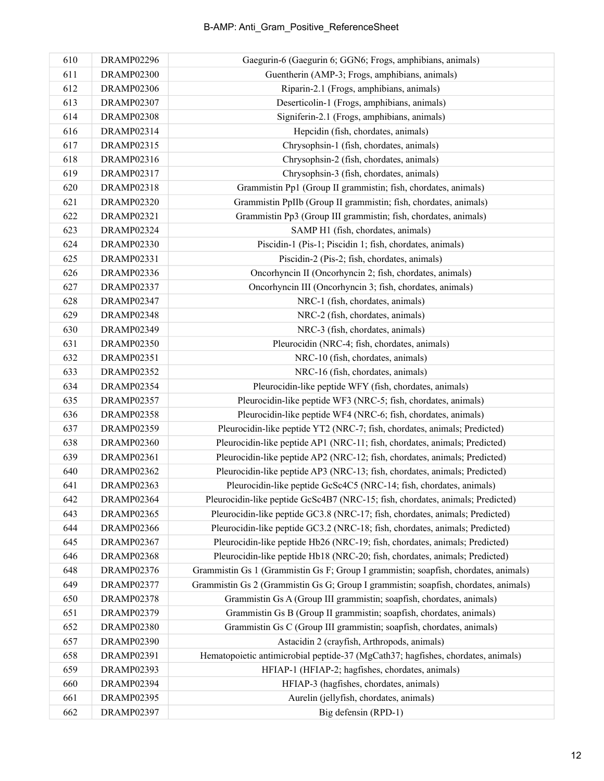| 610 | DRAMP02296        | Gaegurin-6 (Gaegurin 6; GGN6; Frogs, amphibians, animals)                           |
|-----|-------------------|-------------------------------------------------------------------------------------|
| 611 | DRAMP02300        | Guentherin (AMP-3; Frogs, amphibians, animals)                                      |
| 612 | <b>DRAMP02306</b> | Riparin-2.1 (Frogs, amphibians, animals)                                            |
| 613 | <b>DRAMP02307</b> | Deserticolin-1 (Frogs, amphibians, animals)                                         |
| 614 | <b>DRAMP02308</b> | Signiferin-2.1 (Frogs, amphibians, animals)                                         |
| 616 | DRAMP02314        | Hepcidin (fish, chordates, animals)                                                 |
| 617 | DRAMP02315        | Chrysophsin-1 (fish, chordates, animals)                                            |
| 618 | DRAMP02316        | Chrysophsin-2 (fish, chordates, animals)                                            |
| 619 | DRAMP02317        | Chrysophsin-3 (fish, chordates, animals)                                            |
| 620 | <b>DRAMP02318</b> | Grammistin Pp1 (Group II grammistin; fish, chordates, animals)                      |
| 621 | <b>DRAMP02320</b> | Grammistin PpIIb (Group II grammistin; fish, chordates, animals)                    |
| 622 | DRAMP02321        | Grammistin Pp3 (Group III grammistin; fish, chordates, animals)                     |
| 623 | DRAMP02324        | SAMP H1 (fish, chordates, animals)                                                  |
| 624 | <b>DRAMP02330</b> | Piscidin-1 (Pis-1; Piscidin 1; fish, chordates, animals)                            |
| 625 | DRAMP02331        | Piscidin-2 (Pis-2; fish, chordates, animals)                                        |
| 626 | DRAMP02336        | Oncorhyncin II (Oncorhyncin 2; fish, chordates, animals)                            |
| 627 | <b>DRAMP02337</b> | Oncorhyncin III (Oncorhyncin 3; fish, chordates, animals)                           |
| 628 | <b>DRAMP02347</b> | NRC-1 (fish, chordates, animals)                                                    |
| 629 | <b>DRAMP02348</b> | NRC-2 (fish, chordates, animals)                                                    |
| 630 | DRAMP02349        | NRC-3 (fish, chordates, animals)                                                    |
| 631 | <b>DRAMP02350</b> | Pleurocidin (NRC-4; fish, chordates, animals)                                       |
| 632 | DRAMP02351        | NRC-10 (fish, chordates, animals)                                                   |
| 633 | <b>DRAMP02352</b> | NRC-16 (fish, chordates, animals)                                                   |
| 634 | <b>DRAMP02354</b> | Pleurocidin-like peptide WFY (fish, chordates, animals)                             |
| 635 | DRAMP02357        | Pleurocidin-like peptide WF3 (NRC-5; fish, chordates, animals)                      |
| 636 | <b>DRAMP02358</b> | Pleurocidin-like peptide WF4 (NRC-6; fish, chordates, animals)                      |
| 637 | <b>DRAMP02359</b> | Pleurocidin-like peptide YT2 (NRC-7; fish, chordates, animals; Predicted)           |
| 638 | <b>DRAMP02360</b> | Pleurocidin-like peptide AP1 (NRC-11; fish, chordates, animals; Predicted)          |
| 639 | DRAMP02361        | Pleurocidin-like peptide AP2 (NRC-12; fish, chordates, animals; Predicted)          |
| 640 | DRAMP02362        | Pleurocidin-like peptide AP3 (NRC-13; fish, chordates, animals; Predicted)          |
| 641 | DRAMP02363        | Pleurocidin-like peptide GcSc4C5 (NRC-14; fish, chordates, animals)                 |
| 642 | DRAMP02364        | Pleurocidin-like peptide GcSc4B7 (NRC-15; fish, chordates, animals; Predicted)      |
| 643 | DRAMP02365        | Pleurocidin-like peptide GC3.8 (NRC-17; fish, chordates, animals; Predicted)        |
| 644 | <b>DRAMP02366</b> | Pleurocidin-like peptide GC3.2 (NRC-18; fish, chordates, animals; Predicted)        |
| 645 | DRAMP02367        | Pleurocidin-like peptide Hb26 (NRC-19; fish, chordates, animals; Predicted)         |
| 646 | <b>DRAMP02368</b> | Pleurocidin-like peptide Hb18 (NRC-20; fish, chordates, animals; Predicted)         |
| 648 | <b>DRAMP02376</b> | Grammistin Gs 1 (Grammistin Gs F; Group I grammistin; soapfish, chordates, animals) |
| 649 | DRAMP02377        | Grammistin Gs 2 (Grammistin Gs G; Group I grammistin; soapfish, chordates, animals) |
| 650 | <b>DRAMP02378</b> | Grammistin Gs A (Group III grammistin; soapfish, chordates, animals)                |
| 651 | <b>DRAMP02379</b> | Grammistin Gs B (Group II grammistin; soapfish, chordates, animals)                 |
| 652 | <b>DRAMP02380</b> | Grammistin Gs C (Group III grammistin; soapfish, chordates, animals)                |
| 657 | <b>DRAMP02390</b> | Astacidin 2 (crayfish, Arthropods, animals)                                         |
| 658 | DRAMP02391        | Hematopoietic antimicrobial peptide-37 (MgCath37; hagfishes, chordates, animals)    |
| 659 | DRAMP02393        | HFIAP-1 (HFIAP-2; hagfishes, chordates, animals)                                    |
| 660 | DRAMP02394        | HFIAP-3 (hagfishes, chordates, animals)                                             |
| 661 | DRAMP02395        | Aurelin (jellyfish, chordates, animals)                                             |
| 662 | <b>DRAMP02397</b> | Big defensin (RPD-1)                                                                |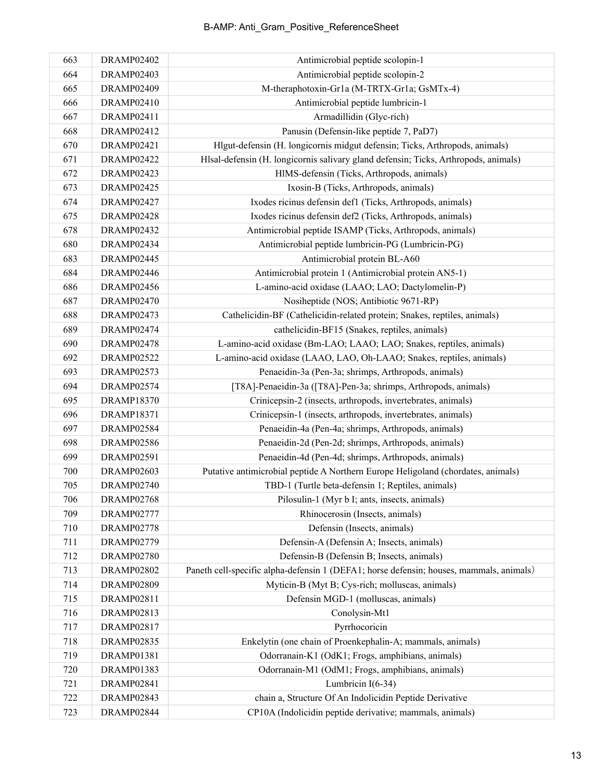| 663 | DRAMP02402        | Antimicrobial peptide scolopin-1                                                        |
|-----|-------------------|-----------------------------------------------------------------------------------------|
| 664 | DRAMP02403        | Antimicrobial peptide scolopin-2                                                        |
| 665 | DRAMP02409        | M-theraphotoxin-Gr1a (M-TRTX-Gr1a; GsMTx-4)                                             |
| 666 | DRAMP02410        | Antimicrobial peptide lumbricin-1                                                       |
| 667 | DRAMP02411        | Armadillidin (Glyc-rich)                                                                |
| 668 | DRAMP02412        | Panusin (Defensin-like peptide 7, PaD7)                                                 |
| 670 | <b>DRAMP02421</b> | Hlgut-defensin (H. longicornis midgut defensin; Ticks, Arthropods, animals)             |
| 671 | <b>DRAMP02422</b> | Hlsal-defensin (H. longicornis salivary gland defensin; Ticks, Arthropods, animals)     |
| 672 | <b>DRAMP02423</b> | HIMS-defensin (Ticks, Arthropods, animals)                                              |
| 673 | <b>DRAMP02425</b> | Ixosin-B (Ticks, Arthropods, animals)                                                   |
| 674 | <b>DRAMP02427</b> | Ixodes ricinus defensin def1 (Ticks, Arthropods, animals)                               |
| 675 | <b>DRAMP02428</b> | Ixodes ricinus defensin def2 (Ticks, Arthropods, animals)                               |
| 678 | DRAMP02432        | Antimicrobial peptide ISAMP (Ticks, Arthropods, animals)                                |
| 680 | DRAMP02434        | Antimicrobial peptide lumbricin-PG (Lumbricin-PG)                                       |
| 683 | <b>DRAMP02445</b> | Antimicrobial protein BL-A60                                                            |
| 684 | DRAMP02446        | Antimicrobial protein 1 (Antimicrobial protein AN5-1)                                   |
| 686 | <b>DRAMP02456</b> | L-amino-acid oxidase (LAAO; LAO; Dactylomelin-P)                                        |
| 687 | <b>DRAMP02470</b> | Nosiheptide (NOS; Antibiotic 9671-RP)                                                   |
| 688 | <b>DRAMP02473</b> | Cathelicidin-BF (Cathelicidin-related protein; Snakes, reptiles, animals)               |
| 689 | <b>DRAMP02474</b> | cathelicidin-BF15 (Snakes, reptiles, animals)                                           |
| 690 | DRAMP02478        | L-amino-acid oxidase (Bm-LAO; LAAO; LAO; Snakes, reptiles, animals)                     |
| 692 | <b>DRAMP02522</b> | L-amino-acid oxidase (LAAO, LAO, Oh-LAAO; Snakes, reptiles, animals)                    |
| 693 | <b>DRAMP02573</b> | Penaeidin-3a (Pen-3a; shrimps, Arthropods, animals)                                     |
| 694 | <b>DRAMP02574</b> | [T8A]-Penaeidin-3a ([T8A]-Pen-3a; shrimps, Arthropods, animals)                         |
| 695 | <b>DRAMP18370</b> | Crinicepsin-2 (insects, arthropods, invertebrates, animals)                             |
| 696 | <b>DRAMP18371</b> | Crinicepsin-1 (insects, arthropods, invertebrates, animals)                             |
| 697 | <b>DRAMP02584</b> | Penaeidin-4a (Pen-4a; shrimps, Arthropods, animals)                                     |
| 698 | <b>DRAMP02586</b> | Penaeidin-2d (Pen-2d; shrimps, Arthropods, animals)                                     |
| 699 | DRAMP02591        | Penaeidin-4d (Pen-4d; shrimps, Arthropods, animals)                                     |
| 700 | <b>DRAMP02603</b> | Putative antimicrobial peptide A Northern Europe Heligoland (chordates, animals)        |
| 705 | <b>DRAMP02740</b> | TBD-1 (Turtle beta-defensin 1; Reptiles, animals)                                       |
| 706 | DRAMP02768        | Pilosulin-1 (Myr b I; ants, insects, animals)                                           |
| 709 | DRAMP02777        | Rhinocerosin (Insects, animals)                                                         |
| 710 | <b>DRAMP02778</b> | Defensin (Insects, animals)                                                             |
| 711 | <b>DRAMP02779</b> | Defensin-A (Defensin A; Insects, animals)                                               |
| 712 | <b>DRAMP02780</b> | Defensin-B (Defensin B; Insects, animals)                                               |
| 713 | <b>DRAMP02802</b> | Paneth cell-specific alpha-defensin 1 (DEFA1; horse defensin; houses, mammals, animals) |
| 714 | DRAMP02809        | Myticin-B (Myt B; Cys-rich; molluscas, animals)                                         |
| 715 | DRAMP02811        | Defensin MGD-1 (molluscas, animals)                                                     |
| 716 | DRAMP02813        | Conolysin-Mt1                                                                           |
| 717 | DRAMP02817        | Pyrrhocoricin                                                                           |
| 718 | DRAMP02835        | Enkelytin (one chain of Proenkephalin-A; mammals, animals)                              |
| 719 | DRAMP01381        | Odorranain-K1 (OdK1; Frogs, amphibians, animals)                                        |
| 720 | DRAMP01383        | Odorranain-M1 (OdM1; Frogs, amphibians, animals)                                        |
| 721 | DRAMP02841        | Lumbricin $I(6-34)$                                                                     |
| 722 | DRAMP02843        | chain a, Structure Of An Indolicidin Peptide Derivative                                 |
| 723 | DRAMP02844        | CP10A (Indolicidin peptide derivative; mammals, animals)                                |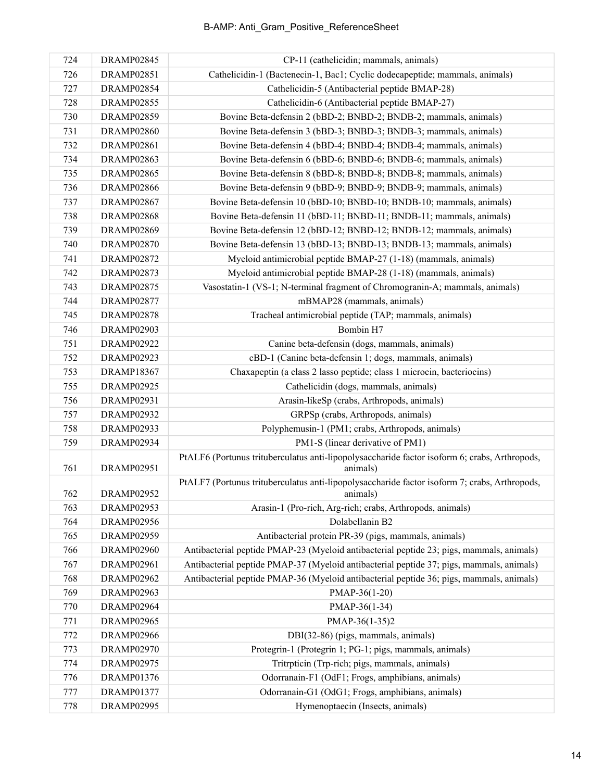| 724 | DRAMP02845        | CP-11 (cathelicidin; mammals, animals)                                                                    |
|-----|-------------------|-----------------------------------------------------------------------------------------------------------|
| 726 | DRAMP02851        | Cathelicidin-1 (Bactenecin-1, Bac1; Cyclic dodecapeptide; mammals, animals)                               |
| 727 | DRAMP02854        | Cathelicidin-5 (Antibacterial peptide BMAP-28)                                                            |
| 728 | <b>DRAMP02855</b> | Cathelicidin-6 (Antibacterial peptide BMAP-27)                                                            |
| 730 | DRAMP02859        | Bovine Beta-defensin 2 (bBD-2; BNBD-2; BNDB-2; mammals, animals)                                          |
| 731 | DRAMP02860        | Bovine Beta-defensin 3 (bBD-3; BNBD-3; BNDB-3; mammals, animals)                                          |
| 732 | DRAMP02861        | Bovine Beta-defensin 4 (bBD-4; BNBD-4; BNDB-4; mammals, animals)                                          |
| 734 | DRAMP02863        | Bovine Beta-defensin 6 (bBD-6; BNBD-6; BNDB-6; mammals, animals)                                          |
| 735 | DRAMP02865        | Bovine Beta-defensin 8 (bBD-8; BNBD-8; BNDB-8; mammals, animals)                                          |
| 736 | <b>DRAMP02866</b> | Bovine Beta-defensin 9 (bBD-9; BNBD-9; BNDB-9; mammals, animals)                                          |
| 737 | DRAMP02867        | Bovine Beta-defensin 10 (bBD-10; BNBD-10; BNDB-10; mammals, animals)                                      |
| 738 | DRAMP02868        | Bovine Beta-defensin 11 (bBD-11; BNBD-11; BNDB-11; mammals, animals)                                      |
| 739 | DRAMP02869        | Bovine Beta-defensin 12 (bBD-12; BNBD-12; BNDB-12; mammals, animals)                                      |
| 740 | <b>DRAMP02870</b> | Bovine Beta-defensin 13 (bBD-13; BNBD-13; BNDB-13; mammals, animals)                                      |
| 741 | <b>DRAMP02872</b> | Myeloid antimicrobial peptide BMAP-27 (1-18) (mammals, animals)                                           |
| 742 | <b>DRAMP02873</b> | Myeloid antimicrobial peptide BMAP-28 (1-18) (mammals, animals)                                           |
| 743 | <b>DRAMP02875</b> | Vasostatin-1 (VS-1; N-terminal fragment of Chromogranin-A; mammals, animals)                              |
| 744 | <b>DRAMP02877</b> | mBMAP28 (mammals, animals)                                                                                |
| 745 | <b>DRAMP02878</b> | Tracheal antimicrobial peptide (TAP; mammals, animals)                                                    |
| 746 | DRAMP02903        | Bombin H7                                                                                                 |
| 751 | DRAMP02922        | Canine beta-defensin (dogs, mammals, animals)                                                             |
| 752 | DRAMP02923        | cBD-1 (Canine beta-defensin 1; dogs, mammals, animals)                                                    |
| 753 | <b>DRAMP18367</b> | Chaxapeptin (a class 2 lasso peptide; class 1 microcin, bacteriocins)                                     |
| 755 | DRAMP02925        | Cathelicidin (dogs, mammals, animals)                                                                     |
| 756 | DRAMP02931        | Arasin-likeSp (crabs, Arthropods, animals)                                                                |
| 757 | DRAMP02932        | GRPSp (crabs, Arthropods, animals)                                                                        |
| 758 | DRAMP02933        | Polyphemusin-1 (PM1; crabs, Arthropods, animals)                                                          |
| 759 | DRAMP02934        | PM1-S (linear derivative of PM1)                                                                          |
| 761 | <b>DRAMP02951</b> | PtALF6 (Portunus trituberculatus anti-lipopolysaccharide factor isoform 6; crabs, Arthropods,<br>animals) |
| 762 | DRAMP02952        | PtALF7 (Portunus trituberculatus anti-lipopolysaccharide factor isoform 7; crabs, Arthropods,<br>animals) |
| 763 | DRAMP02953        | Arasin-1 (Pro-rich, Arg-rich; crabs, Arthropods, animals)                                                 |
| 764 | DRAMP02956        | Dolabellanin B2                                                                                           |
| 765 | DRAMP02959        | Antibacterial protein PR-39 (pigs, mammals, animals)                                                      |
| 766 | DRAMP02960        | Antibacterial peptide PMAP-23 (Myeloid antibacterial peptide 23; pigs, mammals, animals)                  |
| 767 | DRAMP02961        | Antibacterial peptide PMAP-37 (Myeloid antibacterial peptide 37; pigs, mammals, animals)                  |
| 768 | DRAMP02962        | Antibacterial peptide PMAP-36 (Myeloid antibacterial peptide 36; pigs, mammals, animals)                  |
| 769 | DRAMP02963        | PMAP-36(1-20)                                                                                             |
| 770 | DRAMP02964        | PMAP-36(1-34)                                                                                             |
| 771 | DRAMP02965        | PMAP-36(1-35)2                                                                                            |
| 772 | DRAMP02966        | DBI(32-86) (pigs, mammals, animals)                                                                       |
| 773 | DRAMP02970        | Protegrin-1 (Protegrin 1; PG-1; pigs, mammals, animals)                                                   |
| 774 | DRAMP02975        | Tritrpticin (Trp-rich; pigs, mammals, animals)                                                            |
| 776 | DRAMP01376        | Odorranain-F1 (OdF1; Frogs, amphibians, animals)                                                          |
| 777 | <b>DRAMP01377</b> | Odorranain-G1 (OdG1; Frogs, amphibians, animals)                                                          |
| 778 | DRAMP02995        | Hymenoptaecin (Insects, animals)                                                                          |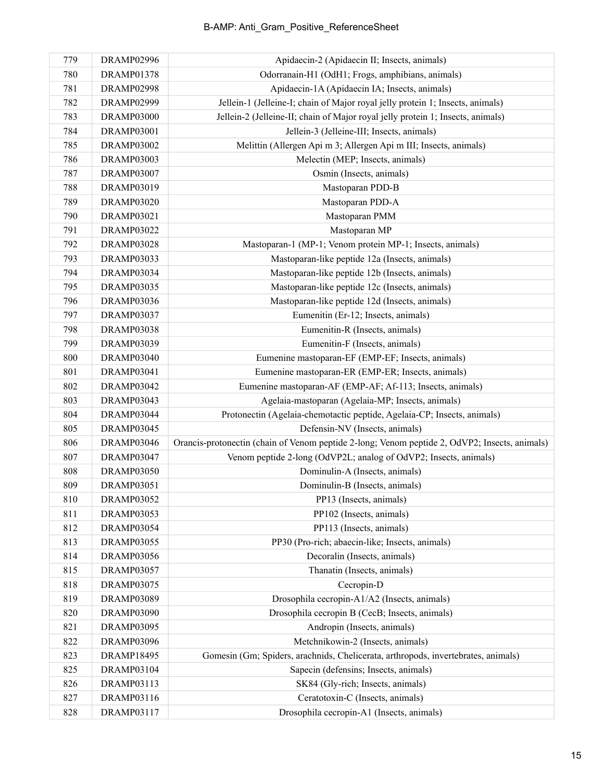| 779 | DRAMP02996        | Apidaecin-2 (Apidaecin II; Insects, animals)                                                  |
|-----|-------------------|-----------------------------------------------------------------------------------------------|
| 780 | <b>DRAMP01378</b> | Odorranain-H1 (OdH1; Frogs, amphibians, animals)                                              |
| 781 | <b>DRAMP02998</b> | Apidaecin-1A (Apidaecin IA; Insects, animals)                                                 |
| 782 | DRAMP02999        | Jellein-1 (Jelleine-I; chain of Major royal jelly protein 1; Insects, animals)                |
| 783 | <b>DRAMP03000</b> | Jellein-2 (Jelleine-II; chain of Major royal jelly protein 1; Insects, animals)               |
| 784 | <b>DRAMP03001</b> | Jellein-3 (Jelleine-III; Insects, animals)                                                    |
| 785 | <b>DRAMP03002</b> | Melittin (Allergen Api m 3; Allergen Api m III; Insects, animals)                             |
| 786 | DRAMP03003        | Melectin (MEP; Insects, animals)                                                              |
| 787 | <b>DRAMP03007</b> | Osmin (Insects, animals)                                                                      |
| 788 | DRAMP03019        | Mastoparan PDD-B                                                                              |
| 789 | <b>DRAMP03020</b> | Mastoparan PDD-A                                                                              |
| 790 | <b>DRAMP03021</b> | Mastoparan PMM                                                                                |
| 791 | <b>DRAMP03022</b> | Mastoparan MP                                                                                 |
| 792 | <b>DRAMP03028</b> | Mastoparan-1 (MP-1; Venom protein MP-1; Insects, animals)                                     |
| 793 | <b>DRAMP03033</b> | Mastoparan-like peptide 12a (Insects, animals)                                                |
| 794 | DRAMP03034        | Mastoparan-like peptide 12b (Insects, animals)                                                |
| 795 | <b>DRAMP03035</b> | Mastoparan-like peptide 12c (Insects, animals)                                                |
| 796 | <b>DRAMP03036</b> | Mastoparan-like peptide 12d (Insects, animals)                                                |
| 797 | <b>DRAMP03037</b> | Eumenitin (Er-12; Insects, animals)                                                           |
| 798 | <b>DRAMP03038</b> | Eumenitin-R (Insects, animals)                                                                |
| 799 | <b>DRAMP03039</b> | Eumenitin-F (Insects, animals)                                                                |
| 800 | DRAMP03040        | Eumenine mastoparan-EF (EMP-EF; Insects, animals)                                             |
| 801 | DRAMP03041        | Eumenine mastoparan-ER (EMP-ER; Insects, animals)                                             |
| 802 | DRAMP03042        | Eumenine mastoparan-AF (EMP-AF; Af-113; Insects, animals)                                     |
| 803 | DRAMP03043        | Agelaia-mastoparan (Agelaia-MP; Insects, animals)                                             |
| 804 | DRAMP03044        | Protonectin (Agelaia-chemotactic peptide, Agelaia-CP; Insects, animals)                       |
| 805 | <b>DRAMP03045</b> | Defensin-NV (Insects, animals)                                                                |
| 806 | DRAMP03046        | Orancis-protonectin (chain of Venom peptide 2-long; Venom peptide 2, OdVP2; Insects, animals) |
| 807 | <b>DRAMP03047</b> | Venom peptide 2-long (OdVP2L; analog of OdVP2; Insects, animals)                              |
| 808 | <b>DRAMP03050</b> | Dominulin-A (Insects, animals)                                                                |
| 809 | <b>DRAMP03051</b> | Dominulin-B (Insects, animals)                                                                |
| 810 | DRAMP03052        | PP13 (Insects, animals)                                                                       |
| 811 | DRAMP03053        | PP102 (Insects, animals)                                                                      |
| 812 | DRAMP03054        | PP113 (Insects, animals)                                                                      |
| 813 | <b>DRAMP03055</b> | PP30 (Pro-rich; abaecin-like; Insects, animals)                                               |
| 814 | <b>DRAMP03056</b> | Decoralin (Insects, animals)                                                                  |
| 815 | <b>DRAMP03057</b> | Thanatin (Insects, animals)                                                                   |
| 818 | <b>DRAMP03075</b> | Cecropin-D                                                                                    |
| 819 | <b>DRAMP03089</b> | Drosophila cecropin-A1/A2 (Insects, animals)                                                  |
| 820 | <b>DRAMP03090</b> | Drosophila cecropin B (CecB; Insects, animals)                                                |
| 821 | <b>DRAMP03095</b> | Andropin (Insects, animals)                                                                   |
| 822 | <b>DRAMP03096</b> | Metchnikowin-2 (Insects, animals)                                                             |
| 823 | <b>DRAMP18495</b> | Gomesin (Gm; Spiders, arachnids, Chelicerata, arthropods, invertebrates, animals)             |
| 825 | DRAMP03104        | Sapecin (defensins; Insects, animals)                                                         |
| 826 | DRAMP03113        | SK84 (Gly-rich; Insects, animals)                                                             |
| 827 | DRAMP03116        | Ceratotoxin-C (Insects, animals)                                                              |
| 828 | DRAMP03117        | Drosophila cecropin-A1 (Insects, animals)                                                     |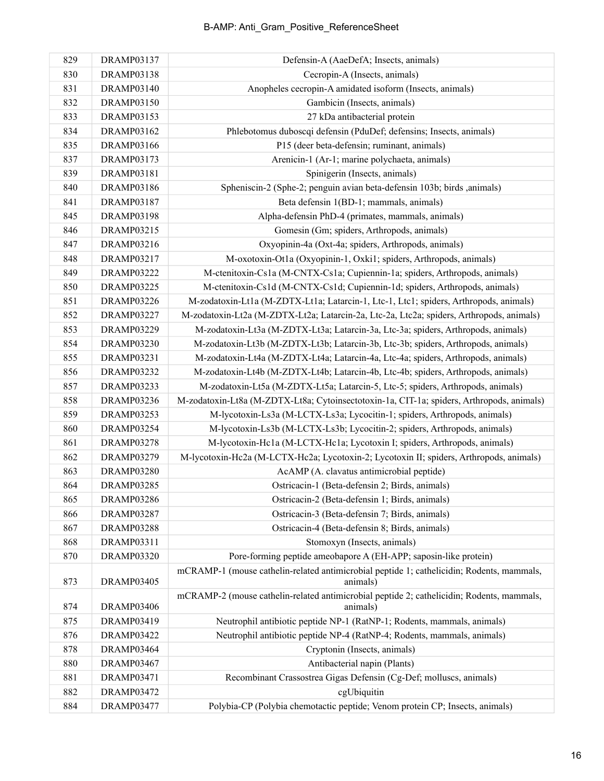| 829 | DRAMP03137        | Defensin-A (AaeDefA; Insects, animals)                                                                |
|-----|-------------------|-------------------------------------------------------------------------------------------------------|
| 830 | DRAMP03138        | Cecropin-A (Insects, animals)                                                                         |
| 831 | <b>DRAMP03140</b> | Anopheles cecropin-A amidated isoform (Insects, animals)                                              |
| 832 | DRAMP03150        | Gambicin (Insects, animals)                                                                           |
| 833 | DRAMP03153        | 27 kDa antibacterial protein                                                                          |
| 834 | DRAMP03162        | Phlebotomus duboscqi defensin (PduDef; defensins; Insects, animals)                                   |
| 835 | DRAMP03166        | P15 (deer beta-defensin; ruminant, animals)                                                           |
| 837 | DRAMP03173        | Arenicin-1 (Ar-1; marine polychaeta, animals)                                                         |
| 839 | DRAMP03181        | Spinigerin (Insects, animals)                                                                         |
| 840 | DRAMP03186        | Spheniscin-2 (Sphe-2; penguin avian beta-defensin 103b; birds ,animals)                               |
| 841 | DRAMP03187        | Beta defensin 1(BD-1; mammals, animals)                                                               |
| 845 | DRAMP03198        | Alpha-defensin PhD-4 (primates, mammals, animals)                                                     |
| 846 | DRAMP03215        | Gomesin (Gm; spiders, Arthropods, animals)                                                            |
| 847 | DRAMP03216        | Oxyopinin-4a (Oxt-4a; spiders, Arthropods, animals)                                                   |
| 848 | <b>DRAMP03217</b> | M-oxotoxin-Ot1a (Oxyopinin-1, Oxki1; spiders, Arthropods, animals)                                    |
| 849 | <b>DRAMP03222</b> | M-ctenitoxin-Cs1a (M-CNTX-Cs1a; Cupiennin-1a; spiders, Arthropods, animals)                           |
| 850 | <b>DRAMP03225</b> | M-ctenitoxin-Cs1d (M-CNTX-Cs1d; Cupiennin-1d; spiders, Arthropods, animals)                           |
| 851 | DRAMP03226        | M-zodatoxin-Lt1a (M-ZDTX-Lt1a; Latarcin-1, Ltc-1, Ltc1; spiders, Arthropods, animals)                 |
| 852 | <b>DRAMP03227</b> | M-zodatoxin-Lt2a (M-ZDTX-Lt2a; Latarcin-2a, Ltc-2a, Ltc2a; spiders, Arthropods, animals)              |
| 853 | <b>DRAMP03229</b> | M-zodatoxin-Lt3a (M-ZDTX-Lt3a; Latarcin-3a, Ltc-3a; spiders, Arthropods, animals)                     |
| 854 | <b>DRAMP03230</b> | M-zodatoxin-Lt3b (M-ZDTX-Lt3b; Latarcin-3b, Ltc-3b; spiders, Arthropods, animals)                     |
| 855 | DRAMP03231        | M-zodatoxin-Lt4a (M-ZDTX-Lt4a; Latarcin-4a, Ltc-4a; spiders, Arthropods, animals)                     |
| 856 | <b>DRAMP03232</b> | M-zodatoxin-Lt4b (M-ZDTX-Lt4b; Latarcin-4b, Ltc-4b; spiders, Arthropods, animals)                     |
| 857 | DRAMP03233        | M-zodatoxin-Lt5a (M-ZDTX-Lt5a; Latarcin-5, Ltc-5; spiders, Arthropods, animals)                       |
| 858 | <b>DRAMP03236</b> | M-zodatoxin-Lt8a (M-ZDTX-Lt8a; Cytoinsectotoxin-1a, CIT-1a; spiders, Arthropods, animals)             |
| 859 | DRAMP03253        | M-lycotoxin-Ls3a (M-LCTX-Ls3a; Lycocitin-1; spiders, Arthropods, animals)                             |
| 860 | <b>DRAMP03254</b> | M-lycotoxin-Ls3b (M-LCTX-Ls3b; Lycocitin-2; spiders, Arthropods, animals)                             |
| 861 | <b>DRAMP03278</b> | M-lycotoxin-Hc1a (M-LCTX-Hc1a; Lycotoxin I; spiders, Arthropods, animals)                             |
| 862 | <b>DRAMP03279</b> | M-lycotoxin-Hc2a (M-LCTX-Hc2a; Lycotoxin-2; Lycotoxin II; spiders, Arthropods, animals)               |
| 863 | <b>DRAMP03280</b> | AcAMP (A. clavatus antimicrobial peptide)                                                             |
| 864 | <b>DRAMP03285</b> | Ostricacin-1 (Beta-defensin 2; Birds, animals)                                                        |
| 865 | DRAMP03286        | Ostricacin-2 (Beta-defensin 1; Birds, animals)                                                        |
| 866 | DRAMP03287        | Ostricacin-3 (Beta-defensin 7; Birds, animals)                                                        |
| 867 | <b>DRAMP03288</b> | Ostricacin-4 (Beta-defensin 8; Birds, animals)                                                        |
| 868 | DRAMP03311        | Stomoxyn (Insects, animals)                                                                           |
| 870 | DRAMP03320        | Pore-forming peptide ameobapore A (EH-APP; saposin-like protein)                                      |
| 873 | DRAMP03405        | mCRAMP-1 (mouse cathelin-related antimicrobial peptide 1; cathelicidin; Rodents, mammals,<br>animals) |
|     |                   | mCRAMP-2 (mouse cathelin-related antimicrobial peptide 2; cathelicidin; Rodents, mammals,             |
| 874 | DRAMP03406        | animals)                                                                                              |
| 875 | DRAMP03419        | Neutrophil antibiotic peptide NP-1 (RatNP-1; Rodents, mammals, animals)                               |
| 876 | <b>DRAMP03422</b> | Neutrophil antibiotic peptide NP-4 (RatNP-4; Rodents, mammals, animals)                               |
| 878 | DRAMP03464        | Cryptonin (Insects, animals)                                                                          |
| 880 | DRAMP03467        | Antibacterial napin (Plants)                                                                          |
| 881 | <b>DRAMP03471</b> | Recombinant Crassostrea Gigas Defensin (Cg-Def; molluscs, animals)                                    |
| 882 | <b>DRAMP03472</b> | cgUbiquitin                                                                                           |
| 884 | <b>DRAMP03477</b> | Polybia-CP (Polybia chemotactic peptide; Venom protein CP; Insects, animals)                          |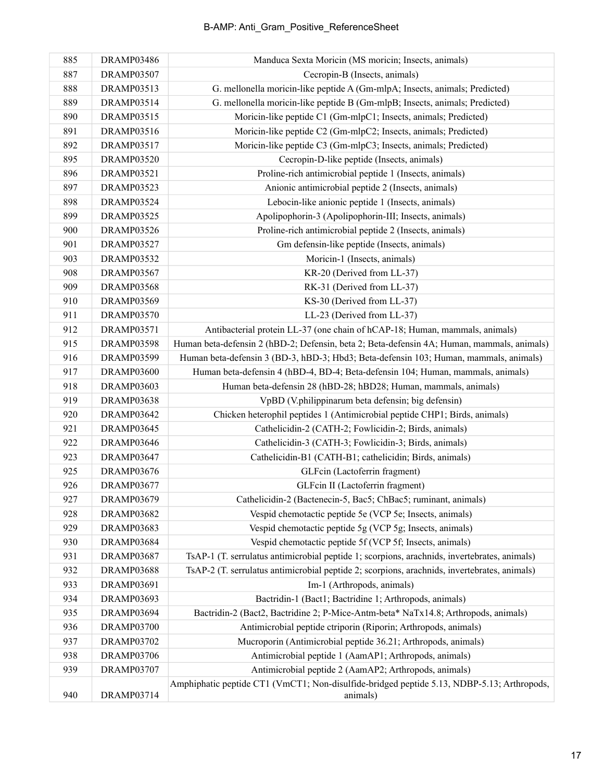## B-AMP: Anti\_Gram\_Positive\_ReferenceSheet

| 885 | DRAMP03486        | Manduca Sexta Moricin (MS moricin; Insects, animals)                                                   |
|-----|-------------------|--------------------------------------------------------------------------------------------------------|
| 887 | <b>DRAMP03507</b> | Cecropin-B (Insects, animals)                                                                          |
| 888 | DRAMP03513        | G. mellonella moricin-like peptide A (Gm-mlpA; Insects, animals; Predicted)                            |
| 889 | DRAMP03514        | G. mellonella moricin-like peptide B (Gm-mlpB; Insects, animals; Predicted)                            |
| 890 | DRAMP03515        | Moricin-like peptide C1 (Gm-mlpC1; Insects, animals; Predicted)                                        |
| 891 | <b>DRAMP03516</b> | Moricin-like peptide C2 (Gm-mlpC2; Insects, animals; Predicted)                                        |
| 892 | <b>DRAMP03517</b> | Moricin-like peptide C3 (Gm-mlpC3; Insects, animals; Predicted)                                        |
| 895 | <b>DRAMP03520</b> | Cecropin-D-like peptide (Insects, animals)                                                             |
| 896 | <b>DRAMP03521</b> | Proline-rich antimicrobial peptide 1 (Insects, animals)                                                |
| 897 | <b>DRAMP03523</b> | Anionic antimicrobial peptide 2 (Insects, animals)                                                     |
| 898 | <b>DRAMP03524</b> | Lebocin-like anionic peptide 1 (Insects, animals)                                                      |
| 899 | <b>DRAMP03525</b> | Apolipophorin-3 (Apolipophorin-III; Insects, animals)                                                  |
| 900 | <b>DRAMP03526</b> | Proline-rich antimicrobial peptide 2 (Insects, animals)                                                |
| 901 | <b>DRAMP03527</b> | Gm defensin-like peptide (Insects, animals)                                                            |
| 903 | <b>DRAMP03532</b> | Moricin-1 (Insects, animals)                                                                           |
| 908 | <b>DRAMP03567</b> | KR-20 (Derived from LL-37)                                                                             |
| 909 | <b>DRAMP03568</b> | RK-31 (Derived from LL-37)                                                                             |
| 910 | <b>DRAMP03569</b> | KS-30 (Derived from LL-37)                                                                             |
| 911 | <b>DRAMP03570</b> | LL-23 (Derived from LL-37)                                                                             |
| 912 | <b>DRAMP03571</b> | Antibacterial protein LL-37 (one chain of hCAP-18; Human, mammals, animals)                            |
| 915 | <b>DRAMP03598</b> | Human beta-defensin 2 (hBD-2; Defensin, beta 2; Beta-defensin 4A; Human, mammals, animals)             |
| 916 | <b>DRAMP03599</b> | Human beta-defensin 3 (BD-3, hBD-3; Hbd3; Beta-defensin 103; Human, mammals, animals)                  |
| 917 | DRAMP03600        | Human beta-defensin 4 (hBD-4, BD-4; Beta-defensin 104; Human, mammals, animals)                        |
| 918 | DRAMP03603        | Human beta-defensin 28 (hBD-28; hBD28; Human, mammals, animals)                                        |
| 919 | DRAMP03638        | VpBD (V.philippinarum beta defensin; big defensin)                                                     |
| 920 | DRAMP03642        | Chicken heterophil peptides 1 (Antimicrobial peptide CHP1; Birds, animals)                             |
| 921 | DRAMP03645        | Cathelicidin-2 (CATH-2; Fowlicidin-2; Birds, animals)                                                  |
| 922 | DRAMP03646        | Cathelicidin-3 (CATH-3; Fowlicidin-3; Birds, animals)                                                  |
| 923 | DRAMP03647        | Cathelicidin-B1 (CATH-B1; cathelicidin; Birds, animals)                                                |
| 925 | <b>DRAMP03676</b> | GLFcin (Lactoferrin fragment)                                                                          |
| 926 | <b>DRAMP03677</b> | GLFcin II (Lactoferrin fragment)                                                                       |
| 927 | <b>DRAMP03679</b> | Cathelicidin-2 (Bactenecin-5, Bac5; ChBac5; ruminant, animals)                                         |
| 928 | DRAMP03682        | Vespid chemotactic peptide 5e (VCP 5e; Insects, animals)                                               |
| 929 | DRAMP03683        | Vespid chemotactic peptide 5g (VCP 5g; Insects, animals)                                               |
| 930 | DRAMP03684        | Vespid chemotactic peptide 5f (VCP 5f; Insects, animals)                                               |
| 931 | DRAMP03687        | TsAP-1 (T. serrulatus antimicrobial peptide 1; scorpions, arachnids, invertebrates, animals)           |
| 932 | DRAMP03688        | TsAP-2 (T. serrulatus antimicrobial peptide 2; scorpions, arachnids, invertebrates, animals)           |
| 933 | DRAMP03691        | Im-1 (Arthropods, animals)                                                                             |
| 934 | DRAMP03693        | Bactridin-1 (Bact1; Bactridine 1; Arthropods, animals)                                                 |
| 935 | DRAMP03694        | Bactridin-2 (Bact2, Bactridine 2; P-Mice-Antm-beta* NaTx14.8; Arthropods, animals)                     |
| 936 | <b>DRAMP03700</b> | Antimicrobial peptide ctriporin (Riporin; Arthropods, animals)                                         |
| 937 | <b>DRAMP03702</b> | Mucroporin (Antimicrobial peptide 36.21; Arthropods, animals)                                          |
| 938 | <b>DRAMP03706</b> | Antimicrobial peptide 1 (AamAP1; Arthropods, animals)                                                  |
| 939 | DRAMP03707        | Antimicrobial peptide 2 (AamAP2; Arthropods, animals)                                                  |
| 940 | DRAMP03714        | Amphiphatic peptide CT1 (VmCT1; Non-disulfide-bridged peptide 5.13, NDBP-5.13; Arthropods,<br>animals) |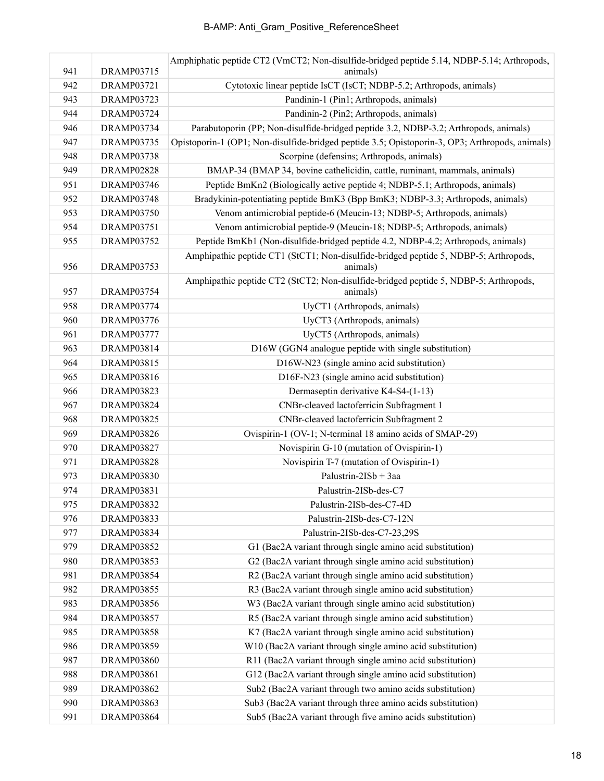|     |                   | Amphiphatic peptide CT2 (VmCT2; Non-disulfide-bridged peptide 5.14, NDBP-5.14; Arthropods,       |
|-----|-------------------|--------------------------------------------------------------------------------------------------|
| 941 | <b>DRAMP03715</b> | animals)                                                                                         |
| 942 | <b>DRAMP03721</b> | Cytotoxic linear peptide IsCT (IsCT; NDBP-5.2; Arthropods, animals)                              |
| 943 | <b>DRAMP03723</b> | Pandinin-1 (Pin1; Arthropods, animals)                                                           |
| 944 | DRAMP03724        | Pandinin-2 (Pin2; Arthropods, animals)                                                           |
| 946 | <b>DRAMP03734</b> | Parabutoporin (PP; Non-disulfide-bridged peptide 3.2, NDBP-3.2; Arthropods, animals)             |
| 947 | DRAMP03735        | Opistoporin-1 (OP1; Non-disulfide-bridged peptide 3.5; Opistoporin-3, OP3; Arthropods, animals)  |
| 948 | <b>DRAMP03738</b> | Scorpine (defensins; Arthropods, animals)                                                        |
| 949 | <b>DRAMP02828</b> | BMAP-34 (BMAP 34, bovine cathelicidin, cattle, ruminant, mammals, animals)                       |
| 951 | DRAMP03746        | Peptide BmKn2 (Biologically active peptide 4; NDBP-5.1; Arthropods, animals)                     |
| 952 | DRAMP03748        | Bradykinin-potentiating peptide BmK3 (Bpp BmK3; NDBP-3.3; Arthropods, animals)                   |
| 953 | <b>DRAMP03750</b> | Venom antimicrobial peptide-6 (Meucin-13; NDBP-5; Arthropods, animals)                           |
| 954 | <b>DRAMP03751</b> | Venom antimicrobial peptide-9 (Meucin-18; NDBP-5; Arthropods, animals)                           |
| 955 | <b>DRAMP03752</b> | Peptide BmKb1 (Non-disulfide-bridged peptide 4.2, NDBP-4.2; Arthropods, animals)                 |
| 956 | DRAMP03753        | Amphipathic peptide CT1 (StCT1; Non-disulfide-bridged peptide 5, NDBP-5; Arthropods,<br>animals) |
| 957 | DRAMP03754        | Amphipathic peptide CT2 (StCT2; Non-disulfide-bridged peptide 5, NDBP-5; Arthropods,<br>animals) |
| 958 | <b>DRAMP03774</b> | UyCT1 (Arthropods, animals)                                                                      |
| 960 | <b>DRAMP03776</b> | UyCT3 (Arthropods, animals)                                                                      |
| 961 | DRAMP03777        | UyCT5 (Arthropods, animals)                                                                      |
| 963 | DRAMP03814        | D16W (GGN4 analogue peptide with single substitution)                                            |
| 964 | DRAMP03815        | D16W-N23 (single amino acid substitution)                                                        |
| 965 | DRAMP03816        | D16F-N23 (single amino acid substitution)                                                        |
| 966 | DRAMP03823        | Dermaseptin derivative K4-S4-(1-13)                                                              |
| 967 | DRAMP03824        | CNBr-cleaved lactoferricin Subfragment 1                                                         |
| 968 | DRAMP03825        | CNBr-cleaved lactoferricin Subfragment 2                                                         |
| 969 | DRAMP03826        | Ovispirin-1 (OV-1; N-terminal 18 amino acids of SMAP-29)                                         |
| 970 | DRAMP03827        | Novispirin G-10 (mutation of Ovispirin-1)                                                        |
| 971 | <b>DRAMP03828</b> | Novispirin T-7 (mutation of Ovispirin-1)                                                         |
| 973 | DRAMP03830        | Palustrin-2ISb + 3aa                                                                             |
| 974 | <b>DRAMP03831</b> | Palustrin-2ISb-des-C7                                                                            |
| 975 | DRAMP03832        | Palustrin-2ISb-des-C7-4D                                                                         |
| 976 | DRAMP03833        | Palustrin-2ISb-des-C7-12N                                                                        |
| 977 | <b>DRAMP03834</b> | Palustrin-2ISb-des-C7-23,29S                                                                     |
| 979 | <b>DRAMP03852</b> | G1 (Bac2A variant through single amino acid substitution)                                        |
| 980 | <b>DRAMP03853</b> | G2 (Bac2A variant through single amino acid substitution)                                        |
| 981 | <b>DRAMP03854</b> | R2 (Bac2A variant through single amino acid substitution)                                        |
| 982 | <b>DRAMP03855</b> | R3 (Bac2A variant through single amino acid substitution)                                        |
| 983 | <b>DRAMP03856</b> | W3 (Bac2A variant through single amino acid substitution)                                        |
| 984 | DRAMP03857        | R5 (Bac2A variant through single amino acid substitution)                                        |
| 985 | <b>DRAMP03858</b> | K7 (Bac2A variant through single amino acid substitution)                                        |
| 986 | <b>DRAMP03859</b> | W10 (Bac2A variant through single amino acid substitution)                                       |
| 987 | DRAMP03860        | R11 (Bac2A variant through single amino acid substitution)                                       |
| 988 | <b>DRAMP03861</b> | G12 (Bac2A variant through single amino acid substitution)                                       |
| 989 | DRAMP03862        | Sub2 (Bac2A variant through two amino acids substitution)                                        |
| 990 | DRAMP03863        | Sub3 (Bac2A variant through three amino acids substitution)                                      |
| 991 | DRAMP03864        | Sub5 (Bac2A variant through five amino acids substitution)                                       |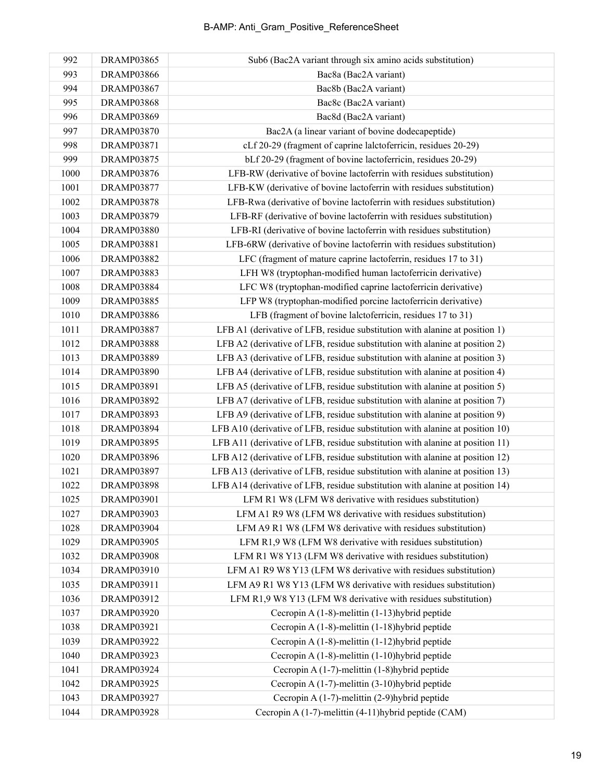| 992  | DRAMP03865        | Sub6 (Bac2A variant through six amino acids substitution)                     |
|------|-------------------|-------------------------------------------------------------------------------|
| 993  | <b>DRAMP03866</b> | Bac8a (Bac2A variant)                                                         |
| 994  | <b>DRAMP03867</b> | Bac8b (Bac2A variant)                                                         |
| 995  | DRAMP03868        | Bac8c (Bac2A variant)                                                         |
| 996  | <b>DRAMP03869</b> | Bac8d (Bac2A variant)                                                         |
| 997  | <b>DRAMP03870</b> | Bac2A (a linear variant of bovine dodecapeptide)                              |
| 998  | <b>DRAMP03871</b> | cLf 20-29 (fragment of caprine lalctoferricin, residues 20-29)                |
| 999  | <b>DRAMP03875</b> | bLf 20-29 (fragment of bovine lactoferricin, residues 20-29)                  |
| 1000 | <b>DRAMP03876</b> | LFB-RW (derivative of bovine lactoferrin with residues substitution)          |
| 1001 | <b>DRAMP03877</b> | LFB-KW (derivative of bovine lactoferrin with residues substitution)          |
| 1002 | <b>DRAMP03878</b> | LFB-Rwa (derivative of bovine lactoferrin with residues substitution)         |
| 1003 | <b>DRAMP03879</b> | LFB-RF (derivative of bovine lactoferrin with residues substitution)          |
| 1004 | <b>DRAMP03880</b> | LFB-RI (derivative of bovine lactoferrin with residues substitution)          |
| 1005 | <b>DRAMP03881</b> | LFB-6RW (derivative of bovine lactoferrin with residues substitution)         |
| 1006 | <b>DRAMP03882</b> | LFC (fragment of mature caprine lactoferrin, residues 17 to 31)               |
| 1007 | <b>DRAMP03883</b> | LFH W8 (tryptophan-modified human lactoferricin derivative)                   |
| 1008 | <b>DRAMP03884</b> | LFC W8 (tryptophan-modified caprine lactoferricin derivative)                 |
| 1009 | <b>DRAMP03885</b> | LFP W8 (tryptophan-modified porcine lactoferricin derivative)                 |
| 1010 | <b>DRAMP03886</b> | LFB (fragment of bovine lalctoferricin, residues 17 to 31)                    |
| 1011 | <b>DRAMP03887</b> | LFB A1 (derivative of LFB, residue substitution with alanine at position 1)   |
| 1012 | <b>DRAMP03888</b> | LFB A2 (derivative of LFB, residue substitution with alanine at position 2)   |
| 1013 | <b>DRAMP03889</b> | LFB A3 (derivative of LFB, residue substitution with alanine at position 3)   |
| 1014 | DRAMP03890        | LFB A4 (derivative of LFB, residue substitution with alanine at position 4)   |
| 1015 | <b>DRAMP03891</b> | LFB A5 (derivative of LFB, residue substitution with alanine at position 5)   |
| 1016 | DRAMP03892        | LFB A7 (derivative of LFB, residue substitution with alanine at position 7)   |
| 1017 | DRAMP03893        | LFB A9 (derivative of LFB, residue substitution with alanine at position 9)   |
| 1018 | DRAMP03894        | LFB A10 (derivative of LFB, residue substitution with alanine at position 10) |
| 1019 | DRAMP03895        | LFB A11 (derivative of LFB, residue substitution with alanine at position 11) |
| 1020 | DRAMP03896        | LFB A12 (derivative of LFB, residue substitution with alanine at position 12) |
| 1021 | DRAMP03897        | LFB A13 (derivative of LFB, residue substitution with alanine at position 13) |
| 1022 | DRAMP03898        | LFB A14 (derivative of LFB, residue substitution with alanine at position 14) |
| 1025 | <b>DRAMP03901</b> | LFM R1 W8 (LFM W8 derivative with residues substitution)                      |
| 1027 | DRAMP03903        | LFM A1 R9 W8 (LFM W8 derivative with residues substitution)                   |
| 1028 | DRAMP03904        | LFM A9 R1 W8 (LFM W8 derivative with residues substitution)                   |
| 1029 | DRAMP03905        | LFM R1,9 W8 (LFM W8 derivative with residues substitution)                    |
| 1032 | <b>DRAMP03908</b> | LFM R1 W8 Y13 (LFM W8 derivative with residues substitution)                  |
| 1034 | DRAMP03910        | LFM A1 R9 W8 Y13 (LFM W8 derivative with residues substitution)               |
| 1035 | DRAMP03911        | LFM A9 R1 W8 Y13 (LFM W8 derivative with residues substitution)               |
| 1036 | DRAMP03912        | LFM R1,9 W8 Y13 (LFM W8 derivative with residues substitution)                |
| 1037 | <b>DRAMP03920</b> | Cecropin A (1-8)-melittin (1-13) hybrid peptide                               |
| 1038 | DRAMP03921        | Cecropin A (1-8)-melittin (1-18) hybrid peptide                               |
| 1039 | DRAMP03922        | Cecropin A (1-8)-melittin (1-12) hybrid peptide                               |
| 1040 | DRAMP03923        | Cecropin A (1-8)-melittin (1-10) hybrid peptide                               |
| 1041 | DRAMP03924        | Cecropin A $(1-7)$ -melittin $(1-8)$ hybrid peptide                           |
| 1042 | DRAMP03925        | Cecropin A (1-7)-melittin (3-10) hybrid peptide                               |
| 1043 | <b>DRAMP03927</b> | Cecropin A $(1-7)$ -melittin $(2-9)$ hybrid peptide                           |
| 1044 | DRAMP03928        | Cecropin A (1-7)-melittin (4-11) hybrid peptide (CAM)                         |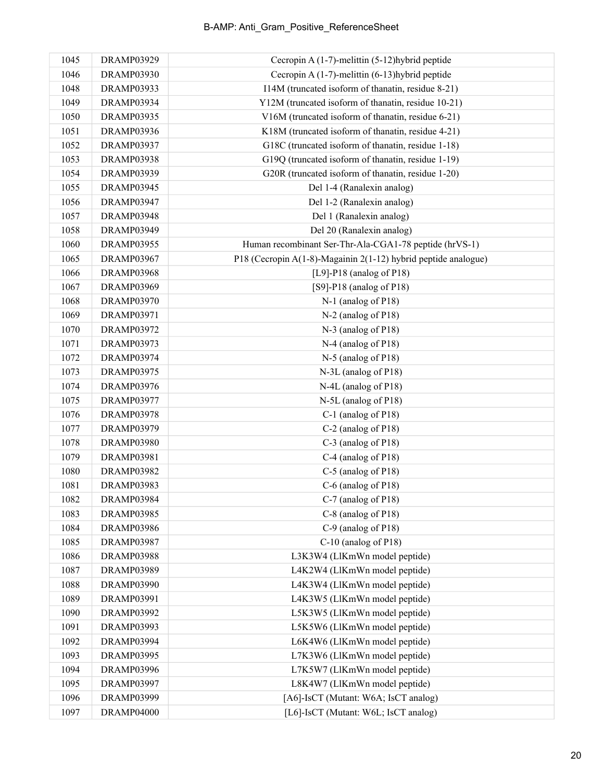| 1045 | <b>DRAMP03929</b> | Cecropin A (1-7)-melittin (5-12) hybrid peptide                |
|------|-------------------|----------------------------------------------------------------|
| 1046 | <b>DRAMP03930</b> | Cecropin A $(1-7)$ -melittin $(6-13)$ hybrid peptide           |
| 1048 | <b>DRAMP03933</b> | I14M (truncated isoform of thanatin, residue 8-21)             |
| 1049 | DRAMP03934        | Y12M (truncated isoform of thanatin, residue 10-21)            |
| 1050 | <b>DRAMP03935</b> | V16M (truncated isoform of thanatin, residue 6-21)             |
| 1051 | <b>DRAMP03936</b> | K18M (truncated isoform of thanatin, residue 4-21)             |
| 1052 | <b>DRAMP03937</b> | G18C (truncated isoform of thanatin, residue 1-18)             |
| 1053 | DRAMP03938        | G19Q (truncated isoform of thanatin, residue 1-19)             |
| 1054 | DRAMP03939        | G20R (truncated isoform of thanatin, residue 1-20)             |
| 1055 | <b>DRAMP03945</b> | Del 1-4 (Ranalexin analog)                                     |
| 1056 | <b>DRAMP03947</b> | Del 1-2 (Ranalexin analog)                                     |
| 1057 | <b>DRAMP03948</b> | Del 1 (Ranalexin analog)                                       |
| 1058 | DRAMP03949        | Del 20 (Ranalexin analog)                                      |
| 1060 | DRAMP03955        | Human recombinant Ser-Thr-Ala-CGA1-78 peptide (hrVS-1)         |
| 1065 | <b>DRAMP03967</b> | P18 (Cecropin A(1-8)-Magainin 2(1-12) hybrid peptide analogue) |
| 1066 | <b>DRAMP03968</b> | [ $L9$ ]-P18 (analog of P18)                                   |
| 1067 | <b>DRAMP03969</b> | $[S9]-P18$ (analog of P18)                                     |
| 1068 | <b>DRAMP03970</b> | N-1 (analog of P18)                                            |
| 1069 | <b>DRAMP03971</b> | N-2 (analog of P18)                                            |
| 1070 | <b>DRAMP03972</b> | N-3 (analog of P18)                                            |
| 1071 | <b>DRAMP03973</b> | N-4 (analog of P18)                                            |
| 1072 | <b>DRAMP03974</b> | N-5 (analog of P18)                                            |
| 1073 | <b>DRAMP03975</b> | N-3L (analog of P18)                                           |
| 1074 | <b>DRAMP03976</b> | N-4L (analog of P18)                                           |
| 1075 | <b>DRAMP03977</b> | N-5L (analog of P18)                                           |
| 1076 | <b>DRAMP03978</b> | C-1 (analog of P18)                                            |
| 1077 | <b>DRAMP03979</b> | C-2 (analog of P18)                                            |
| 1078 | <b>DRAMP03980</b> | C-3 (analog of P18)                                            |
| 1079 | <b>DRAMP03981</b> | C-4 (analog of P18)                                            |
| 1080 | <b>DRAMP03982</b> | $C-5$ (analog of P18)                                          |
| 1081 | <b>DRAMP03983</b> | C-6 (analog of P18)                                            |
| 1082 | DRAMP03984        | C-7 (analog of P18)                                            |
| 1083 | <b>DRAMP03985</b> | C-8 (analog of P18)                                            |
| 1084 | DRAMP03986        | C-9 (analog of P18)                                            |
| 1085 | <b>DRAMP03987</b> | C-10 (analog of P18)                                           |
| 1086 | <b>DRAMP03988</b> | L3K3W4 (LlKmWn model peptide)                                  |
| 1087 | DRAMP03989        | L4K2W4 (LlKmWn model peptide)                                  |
| 1088 | DRAMP03990        | L4K3W4 (LlKmWn model peptide)                                  |
| 1089 | <b>DRAMP03991</b> | L4K3W5 (LlKmWn model peptide)                                  |
| 1090 | DRAMP03992        | L5K3W5 (LlKmWn model peptide)                                  |
| 1091 | DRAMP03993        | L5K5W6 (LlKmWn model peptide)                                  |
| 1092 | DRAMP03994        | L6K4W6 (LlKmWn model peptide)                                  |
| 1093 | DRAMP03995        | L7K3W6 (LlKmWn model peptide)                                  |
| 1094 | DRAMP03996        | L7K5W7 (LlKmWn model peptide)                                  |
| 1095 | DRAMP03997        | L8K4W7 (LlKmWn model peptide)                                  |
| 1096 | DRAMP03999        | [A6]-IsCT (Mutant: W6A; IsCT analog)                           |
| 1097 | DRAMP04000        | [L6]-IsCT (Mutant: W6L; IsCT analog)                           |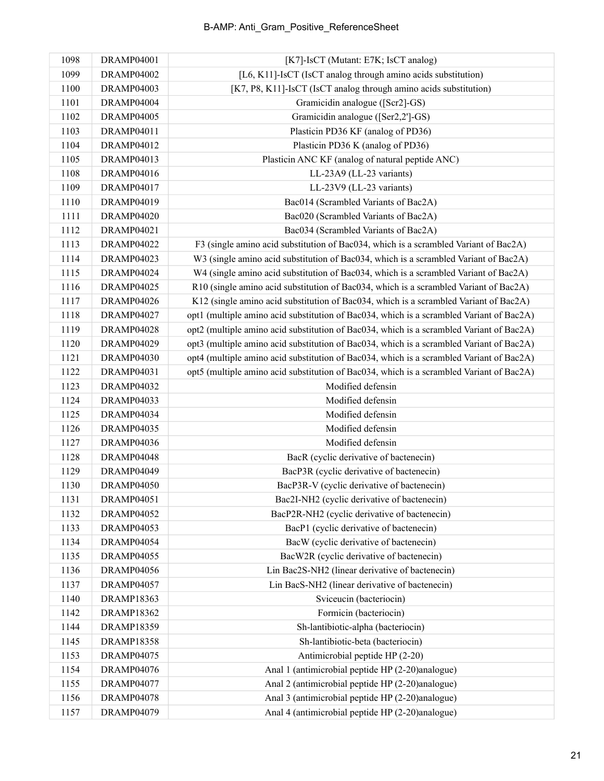| 1098 | DRAMP04001        | [K7]-IsCT (Mutant: E7K; IsCT analog)                                                     |
|------|-------------------|------------------------------------------------------------------------------------------|
| 1099 | DRAMP04002        | [L6, K11]-IsCT (IsCT analog through amino acids substitution)                            |
| 1100 | DRAMP04003        | [K7, P8, K11]-IsCT (IsCT analog through amino acids substitution)                        |
| 1101 | DRAMP04004        | Gramicidin analogue ([Scr2]-GS)                                                          |
| 1102 | <b>DRAMP04005</b> | Gramicidin analogue ([Ser2,2']-GS)                                                       |
| 1103 | DRAMP04011        | Plasticin PD36 KF (analog of PD36)                                                       |
| 1104 | <b>DRAMP04012</b> | Plasticin PD36 K (analog of PD36)                                                        |
| 1105 | <b>DRAMP04013</b> | Plasticin ANC KF (analog of natural peptide ANC)                                         |
| 1108 | <b>DRAMP04016</b> | LL-23A9 (LL-23 variants)                                                                 |
| 1109 | <b>DRAMP04017</b> | LL-23V9 (LL-23 variants)                                                                 |
| 1110 | DRAMP04019        | Bac014 (Scrambled Variants of Bac2A)                                                     |
| 1111 | <b>DRAMP04020</b> | Bac020 (Scrambled Variants of Bac2A)                                                     |
| 1112 | <b>DRAMP04021</b> | Bac034 (Scrambled Variants of Bac2A)                                                     |
| 1113 | DRAMP04022        | F3 (single amino acid substitution of Bac034, which is a scrambled Variant of Bac2A)     |
| 1114 | DRAMP04023        | W3 (single amino acid substitution of Bac034, which is a scrambled Variant of Bac2A)     |
| 1115 | DRAMP04024        | W4 (single amino acid substitution of Bac034, which is a scrambled Variant of Bac2A)     |
| 1116 | DRAMP04025        | R10 (single amino acid substitution of Bac034, which is a scrambled Variant of Bac2A)    |
| 1117 | DRAMP04026        | K12 (single amino acid substitution of Bac034, which is a scrambled Variant of Bac2A)    |
| 1118 | DRAMP04027        | opt1 (multiple amino acid substitution of Bac034, which is a scrambled Variant of Bac2A) |
| 1119 | DRAMP04028        | opt2 (multiple amino acid substitution of Bac034, which is a scrambled Variant of Bac2A) |
| 1120 | DRAMP04029        | opt3 (multiple amino acid substitution of Bac034, which is a scrambled Variant of Bac2A) |
| 1121 | DRAMP04030        | opt4 (multiple amino acid substitution of Bac034, which is a scrambled Variant of Bac2A) |
| 1122 | DRAMP04031        | opt5 (multiple amino acid substitution of Bac034, which is a scrambled Variant of Bac2A) |
| 1123 | DRAMP04032        | Modified defensin                                                                        |
| 1124 | DRAMP04033        | Modified defensin                                                                        |
| 1125 | DRAMP04034        | Modified defensin                                                                        |
| 1126 | DRAMP04035        | Modified defensin                                                                        |
| 1127 | <b>DRAMP04036</b> | Modified defensin                                                                        |
| 1128 | DRAMP04048        | BacR (cyclic derivative of bactenecin)                                                   |
| 1129 | DRAMP04049        | BacP3R (cyclic derivative of bactenecin)                                                 |
| 1130 | DRAMP04050        | BacP3R-V (cyclic derivative of bactenecin)                                               |
| 1131 | DRAMP04051        | Bac2I-NH2 (cyclic derivative of bactenecin)                                              |
| 1132 | <b>DRAMP04052</b> | BacP2R-NH2 (cyclic derivative of bactenecin)                                             |
| 1133 | DRAMP04053        | BacP1 (cyclic derivative of bactenecin)                                                  |
| 1134 | DRAMP04054        | BacW (cyclic derivative of bactenecin)                                                   |
| 1135 | DRAMP04055        | BacW2R (cyclic derivative of bactenecin)                                                 |
| 1136 | DRAMP04056        | Lin Bac2S-NH2 (linear derivative of bactenecin)                                          |
| 1137 | <b>DRAMP04057</b> | Lin BacS-NH2 (linear derivative of bactenecin)                                           |
| 1140 | <b>DRAMP18363</b> | Sviceucin (bacteriocin)                                                                  |
| 1142 | <b>DRAMP18362</b> | Formicin (bacteriocin)                                                                   |
| 1144 | <b>DRAMP18359</b> | Sh-lantibiotic-alpha (bacteriocin)                                                       |
| 1145 | <b>DRAMP18358</b> | Sh-lantibiotic-beta (bacteriocin)                                                        |
| 1153 | <b>DRAMP04075</b> | Antimicrobial peptide HP (2-20)                                                          |
| 1154 | <b>DRAMP04076</b> | Anal 1 (antimicrobial peptide HP (2-20)analogue)                                         |
| 1155 | <b>DRAMP04077</b> | Anal 2 (antimicrobial peptide HP (2-20)analogue)                                         |
| 1156 | <b>DRAMP04078</b> | Anal 3 (antimicrobial peptide HP (2-20)analogue)                                         |
| 1157 | DRAMP04079        | Anal 4 (antimicrobial peptide HP (2-20)analogue)                                         |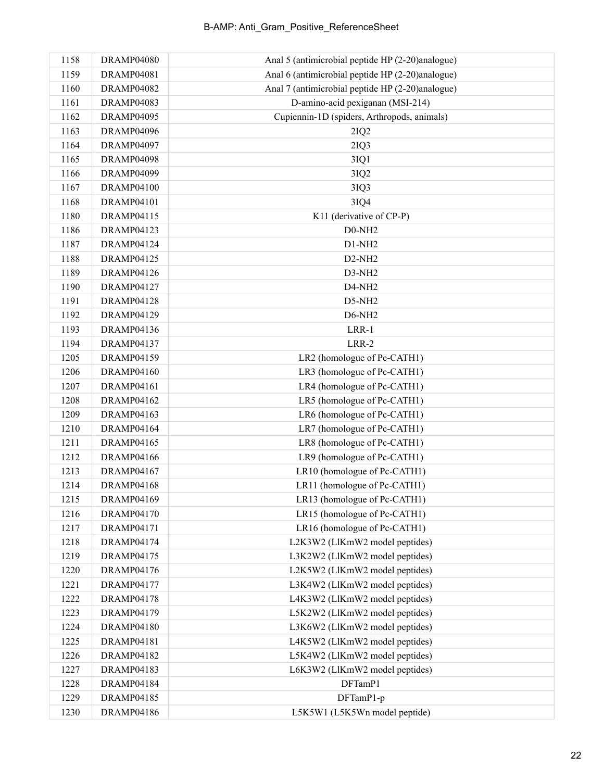| 1158 | DRAMP04080        | Anal 5 (antimicrobial peptide HP (2-20)analogue) |
|------|-------------------|--------------------------------------------------|
| 1159 | <b>DRAMP04081</b> | Anal 6 (antimicrobial peptide HP (2-20)analogue) |
| 1160 | <b>DRAMP04082</b> | Anal 7 (antimicrobial peptide HP (2-20)analogue) |
| 1161 | DRAMP04083        | D-amino-acid pexiganan (MSI-214)                 |
| 1162 | DRAMP04095        | Cupiennin-1D (spiders, Arthropods, animals)      |
| 1163 | DRAMP04096        | 2IQ2                                             |
| 1164 | DRAMP04097        | 2IQ3                                             |
| 1165 | DRAMP04098        | 3IQ1                                             |
| 1166 | DRAMP04099        | 3IQ2                                             |
| 1167 | <b>DRAMP04100</b> | 3IQ3                                             |
| 1168 | DRAMP04101        | 3IQ4                                             |
| 1180 | <b>DRAMP04115</b> | K11 (derivative of CP-P)                         |
| 1186 | <b>DRAMP04123</b> | $D0-NH2$                                         |
| 1187 | DRAMP04124        | $D1-NH2$                                         |
| 1188 | <b>DRAMP04125</b> | $D2-NH2$                                         |
| 1189 | <b>DRAMP04126</b> | D3-NH2                                           |
| 1190 | <b>DRAMP04127</b> | D4-NH <sub>2</sub>                               |
| 1191 | <b>DRAMP04128</b> | D5-NH2                                           |
| 1192 | <b>DRAMP04129</b> | D6-NH <sub>2</sub>                               |
| 1193 | DRAMP04136        | LRR-1                                            |
| 1194 | <b>DRAMP04137</b> | LRR-2                                            |
| 1205 | <b>DRAMP04159</b> | LR2 (homologue of Pc-CATH1)                      |
| 1206 | DRAMP04160        | LR3 (homologue of Pc-CATH1)                      |
| 1207 | DRAMP04161        | LR4 (homologue of Pc-CATH1)                      |
| 1208 | <b>DRAMP04162</b> | LR5 (homologue of Pc-CATH1)                      |
| 1209 | <b>DRAMP04163</b> | LR6 (homologue of Pc-CATH1)                      |
| 1210 | DRAMP04164        | LR7 (homologue of Pc-CATH1)                      |
| 1211 | <b>DRAMP04165</b> | LR8 (homologue of Pc-CATH1)                      |
| 1212 | <b>DRAMP04166</b> | LR9 (homologue of Pc-CATH1)                      |
| 1213 | <b>DRAMP04167</b> | LR10 (homologue of Pc-CATH1)                     |
| 1214 | DRAMP04168        | LR11 (homologue of Pc-CATH1)                     |
| 1215 | <b>DRAMP04169</b> | LR13 (homologue of Pc-CATH1)                     |
| 1216 | <b>DRAMP04170</b> | LR15 (homologue of Pc-CATH1)                     |
| 1217 | <b>DRAMP04171</b> | LR16 (homologue of Pc-CATH1)                     |
| 1218 | DRAMP04174        | L2K3W2 (LIKmW2 model peptides)                   |
| 1219 | <b>DRAMP04175</b> | L3K2W2 (LlKmW2 model peptides)                   |
| 1220 | DRAMP04176        | L2K5W2 (LlKmW2 model peptides)                   |
| 1221 | <b>DRAMP04177</b> | L3K4W2 (LlKmW2 model peptides)                   |
| 1222 | <b>DRAMP04178</b> | L4K3W2 (LlKmW2 model peptides)                   |
| 1223 | DRAMP04179        | L5K2W2 (LlKmW2 model peptides)                   |
| 1224 | <b>DRAMP04180</b> | L3K6W2 (LlKmW2 model peptides)                   |
| 1225 | <b>DRAMP04181</b> | L4K5W2 (LIKmW2 model peptides)                   |
| 1226 | <b>DRAMP04182</b> | L5K4W2 (LlKmW2 model peptides)                   |
| 1227 | <b>DRAMP04183</b> | L6K3W2 (LlKmW2 model peptides)                   |
| 1228 | <b>DRAMP04184</b> | DFTamP1                                          |
| 1229 | <b>DRAMP04185</b> | DFTamP1-p                                        |
| 1230 | <b>DRAMP04186</b> | L5K5W1 (L5K5Wn model peptide)                    |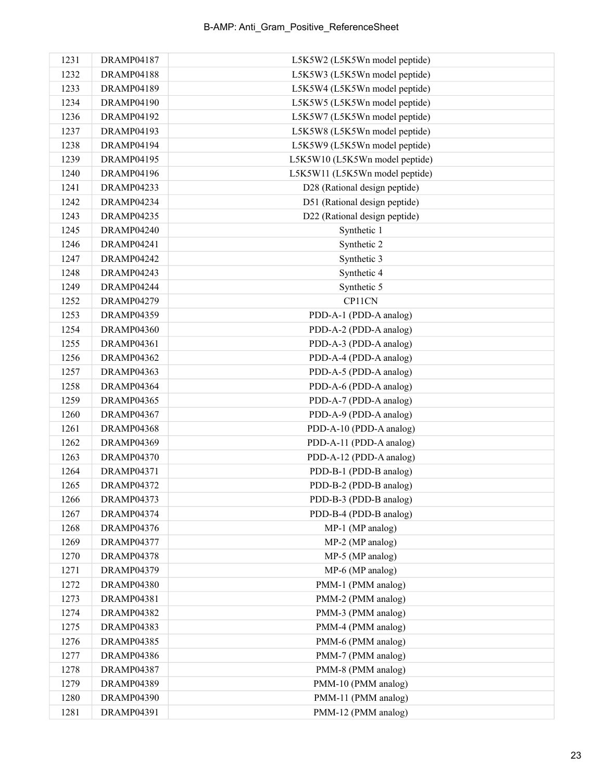| 1231 | <b>DRAMP04187</b> | L5K5W2 (L5K5Wn model peptide)  |
|------|-------------------|--------------------------------|
| 1232 | <b>DRAMP04188</b> | L5K5W3 (L5K5Wn model peptide)  |
| 1233 | DRAMP04189        | L5K5W4 (L5K5Wn model peptide)  |
| 1234 | <b>DRAMP04190</b> | L5K5W5 (L5K5Wn model peptide)  |
| 1236 | <b>DRAMP04192</b> | L5K5W7 (L5K5Wn model peptide)  |
| 1237 | <b>DRAMP04193</b> | L5K5W8 (L5K5Wn model peptide)  |
| 1238 | <b>DRAMP04194</b> | L5K5W9 (L5K5Wn model peptide)  |
| 1239 | <b>DRAMP04195</b> | L5K5W10 (L5K5Wn model peptide) |
| 1240 | <b>DRAMP04196</b> | L5K5W11 (L5K5Wn model peptide) |
| 1241 | <b>DRAMP04233</b> | D28 (Rational design peptide)  |
| 1242 | DRAMP04234        | D51 (Rational design peptide)  |
| 1243 | DRAMP04235        | D22 (Rational design peptide)  |
| 1245 | <b>DRAMP04240</b> | Synthetic 1                    |
| 1246 | DRAMP04241        | Synthetic 2                    |
| 1247 | <b>DRAMP04242</b> | Synthetic 3                    |
| 1248 | DRAMP04243        | Synthetic 4                    |
| 1249 | DRAMP04244        | Synthetic 5                    |
| 1252 | <b>DRAMP04279</b> | CP11CN                         |
| 1253 | <b>DRAMP04359</b> | PDD-A-1 (PDD-A analog)         |
| 1254 | <b>DRAMP04360</b> | PDD-A-2 (PDD-A analog)         |
| 1255 | DRAMP04361        | PDD-A-3 (PDD-A analog)         |
| 1256 | <b>DRAMP04362</b> | PDD-A-4 (PDD-A analog)         |
| 1257 | DRAMP04363        | PDD-A-5 (PDD-A analog)         |
| 1258 | DRAMP04364        | PDD-A-6 (PDD-A analog)         |
| 1259 | <b>DRAMP04365</b> | PDD-A-7 (PDD-A analog)         |
| 1260 | <b>DRAMP04367</b> | PDD-A-9 (PDD-A analog)         |
| 1261 | DRAMP04368        | PDD-A-10 (PDD-A analog)        |
| 1262 | DRAMP04369        | PDD-A-11 (PDD-A analog)        |
| 1263 | <b>DRAMP04370</b> | PDD-A-12 (PDD-A analog)        |
| 1264 | <b>DRAMP04371</b> | PDD-B-1 (PDD-B analog)         |
| 1265 | <b>DRAMP04372</b> | PDD-B-2 (PDD-B analog)         |
| 1266 | DRAMP04373        | PDD-B-3 (PDD-B analog)         |
| 1267 | <b>DRAMP04374</b> | PDD-B-4 (PDD-B analog)         |
| 1268 | <b>DRAMP04376</b> | MP-1 (MP analog)               |
| 1269 | <b>DRAMP04377</b> | MP-2 (MP analog)               |
| 1270 | <b>DRAMP04378</b> | MP-5 (MP analog)               |
| 1271 | <b>DRAMP04379</b> | MP-6 (MP analog)               |
| 1272 | <b>DRAMP04380</b> | PMM-1 (PMM analog)             |
| 1273 | <b>DRAMP04381</b> | PMM-2 (PMM analog)             |
| 1274 | <b>DRAMP04382</b> | PMM-3 (PMM analog)             |
| 1275 | DRAMP04383        | PMM-4 (PMM analog)             |
| 1276 | <b>DRAMP04385</b> | PMM-6 (PMM analog)             |
| 1277 | <b>DRAMP04386</b> | PMM-7 (PMM analog)             |
| 1278 | DRAMP04387        | PMM-8 (PMM analog)             |
| 1279 | DRAMP04389        | PMM-10 (PMM analog)            |
| 1280 | <b>DRAMP04390</b> | PMM-11 (PMM analog)            |
| 1281 | <b>DRAMP04391</b> | PMM-12 (PMM analog)            |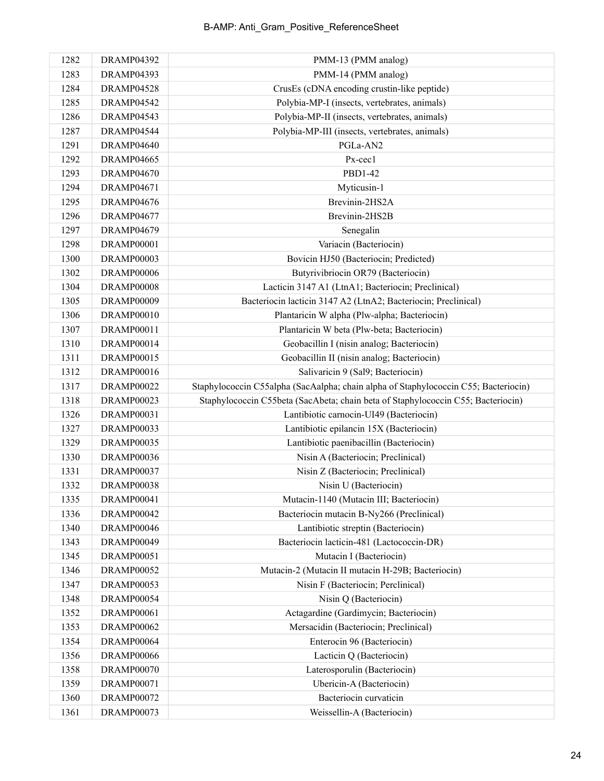| 1282 | <b>DRAMP04392</b> | PMM-13 (PMM analog)                                                                 |
|------|-------------------|-------------------------------------------------------------------------------------|
| 1283 | DRAMP04393        | PMM-14 (PMM analog)                                                                 |
| 1284 | <b>DRAMP04528</b> | CrusEs (cDNA encoding crustin-like peptide)                                         |
| 1285 | <b>DRAMP04542</b> | Polybia-MP-I (insects, vertebrates, animals)                                        |
| 1286 | DRAMP04543        | Polybia-MP-II (insects, vertebrates, animals)                                       |
| 1287 | DRAMP04544        | Polybia-MP-III (insects, vertebrates, animals)                                      |
| 1291 | DRAMP04640        | PGLa-AN2                                                                            |
| 1292 | DRAMP04665        | Px-cec1                                                                             |
| 1293 | <b>DRAMP04670</b> | PBD1-42                                                                             |
| 1294 | <b>DRAMP04671</b> | Myticusin-1                                                                         |
| 1295 | <b>DRAMP04676</b> | Brevinin-2HS2A                                                                      |
| 1296 | DRAMP04677        | Brevinin-2HS2B                                                                      |
| 1297 | <b>DRAMP04679</b> | Senegalin                                                                           |
| 1298 | DRAMP00001        | Variacin (Bacteriocin)                                                              |
| 1300 | <b>DRAMP00003</b> | Bovicin HJ50 (Bacteriocin; Predicted)                                               |
| 1302 | DRAMP00006        | Butyrivibriocin OR79 (Bacteriocin)                                                  |
| 1304 | DRAMP00008        | Lacticin 3147 A1 (LtnA1; Bacteriocin; Preclinical)                                  |
| 1305 | DRAMP00009        | Bacteriocin lacticin 3147 A2 (LtnA2; Bacteriocin; Preclinical)                      |
| 1306 | DRAMP00010        | Plantaricin W alpha (Plw-alpha; Bacteriocin)                                        |
| 1307 | DRAMP00011        | Plantaricin W beta (Plw-beta; Bacteriocin)                                          |
| 1310 | DRAMP00014        | Geobacillin I (nisin analog; Bacteriocin)                                           |
| 1311 | <b>DRAMP00015</b> | Geobacillin II (nisin analog; Bacteriocin)                                          |
| 1312 | <b>DRAMP00016</b> | Salivaricin 9 (Sal9; Bacteriocin)                                                   |
| 1317 | <b>DRAMP00022</b> | Staphylococcin C55alpha (SacAalpha; chain alpha of Staphylococcin C55; Bacteriocin) |
| 1318 | <b>DRAMP00023</b> | Staphylococcin C55beta (SacAbeta; chain beta of Staphylococcin C55; Bacteriocin)    |
| 1326 | <b>DRAMP00031</b> | Lantibiotic carnocin-UI49 (Bacteriocin)                                             |
| 1327 | DRAMP00033        | Lantibiotic epilancin 15X (Bacteriocin)                                             |
| 1329 | DRAMP00035        | Lantibiotic paenibacillin (Bacteriocin)                                             |
| 1330 | <b>DRAMP00036</b> | Nisin A (Bacteriocin; Preclinical)                                                  |
| 1331 | DRAMP00037        | Nisin Z (Bacteriocin; Preclinical)                                                  |
| 1332 | <b>DRAMP00038</b> | Nisin U (Bacteriocin)                                                               |
| 1335 | DRAMP00041        | Mutacin-1140 (Mutacin III; Bacteriocin)                                             |
| 1336 | DRAMP00042        | Bacteriocin mutacin B-Ny266 (Preclinical)                                           |
| 1340 | DRAMP00046        | Lantibiotic streptin (Bacteriocin)                                                  |
| 1343 | DRAMP00049        | Bacteriocin lacticin-481 (Lactococcin-DR)                                           |
| 1345 | DRAMP00051        | Mutacin I (Bacteriocin)                                                             |
| 1346 | <b>DRAMP00052</b> | Mutacin-2 (Mutacin II mutacin H-29B; Bacteriocin)                                   |
| 1347 | DRAMP00053        | Nisin F (Bacteriocin; Perclinical)                                                  |
| 1348 | DRAMP00054        | Nisin Q (Bacteriocin)                                                               |
| 1352 | DRAMP00061        | Actagardine (Gardimycin; Bacteriocin)                                               |
| 1353 | DRAMP00062        | Mersacidin (Bacteriocin; Preclinical)                                               |
| 1354 | DRAMP00064        | Enterocin 96 (Bacteriocin)                                                          |
| 1356 | DRAMP00066        | Lacticin Q (Bacteriocin)                                                            |
| 1358 | DRAMP00070        | Laterosporulin (Bacteriocin)                                                        |
| 1359 | DRAMP00071        | Ubericin-A (Bacteriocin)                                                            |
| 1360 | DRAMP00072        | Bacteriocin curvaticin                                                              |
| 1361 | DRAMP00073        | Weissellin-A (Bacteriocin)                                                          |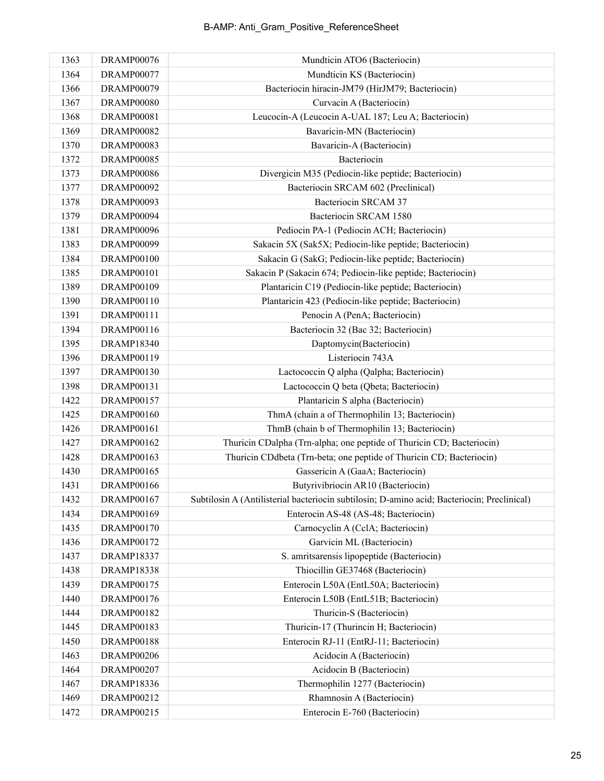| 1363 | DRAMP00076        | Mundticin ATO6 (Bacteriocin)                                                                |
|------|-------------------|---------------------------------------------------------------------------------------------|
| 1364 | DRAMP00077        | Mundticin KS (Bacteriocin)                                                                  |
| 1366 | DRAMP00079        | Bacteriocin hiracin-JM79 (HirJM79; Bacteriocin)                                             |
| 1367 | DRAMP00080        | Curvacin A (Bacteriocin)                                                                    |
| 1368 | <b>DRAMP00081</b> | Leucocin-A (Leucocin A-UAL 187; Leu A; Bacteriocin)                                         |
| 1369 | <b>DRAMP00082</b> | Bavaricin-MN (Bacteriocin)                                                                  |
| 1370 | <b>DRAMP00083</b> | Bavaricin-A (Bacteriocin)                                                                   |
| 1372 | <b>DRAMP00085</b> | Bacteriocin                                                                                 |
| 1373 | <b>DRAMP00086</b> | Divergicin M35 (Pediocin-like peptide; Bacteriocin)                                         |
| 1377 | <b>DRAMP00092</b> | Bacteriocin SRCAM 602 (Preclinical)                                                         |
| 1378 | DRAMP00093        | Bacteriocin SRCAM 37                                                                        |
| 1379 | DRAMP00094        | Bacteriocin SRCAM 1580                                                                      |
| 1381 | DRAMP00096        | Pediocin PA-1 (Pediocin ACH; Bacteriocin)                                                   |
| 1383 | DRAMP00099        | Sakacin 5X (Sak5X; Pediocin-like peptide; Bacteriocin)                                      |
| 1384 | <b>DRAMP00100</b> | Sakacin G (SakG; Pediocin-like peptide; Bacteriocin)                                        |
| 1385 | DRAMP00101        | Sakacin P (Sakacin 674; Pediocin-like peptide; Bacteriocin)                                 |
| 1389 | <b>DRAMP00109</b> | Plantaricin C19 (Pediocin-like peptide; Bacteriocin)                                        |
| 1390 | <b>DRAMP00110</b> | Plantaricin 423 (Pediocin-like peptide; Bacteriocin)                                        |
| 1391 | <b>DRAMP00111</b> | Penocin A (PenA; Bacteriocin)                                                               |
| 1394 | DRAMP00116        | Bacteriocin 32 (Bac 32; Bacteriocin)                                                        |
| 1395 | <b>DRAMP18340</b> | Daptomycin(Bacteriocin)                                                                     |
| 1396 | DRAMP00119        | Listeriocin 743A                                                                            |
| 1397 | DRAMP00130        | Lactococcin Q alpha (Qalpha; Bacteriocin)                                                   |
| 1398 | DRAMP00131        | Lactococcin Q beta (Qbeta; Bacteriocin)                                                     |
| 1422 | <b>DRAMP00157</b> | Plantaricin S alpha (Bacteriocin)                                                           |
| 1425 | <b>DRAMP00160</b> | ThmA (chain a of Thermophilin 13; Bacteriocin)                                              |
| 1426 | DRAMP00161        | ThmB (chain b of Thermophilin 13; Bacteriocin)                                              |
| 1427 | <b>DRAMP00162</b> | Thuricin CDalpha (Trn-alpha; one peptide of Thuricin CD; Bacteriocin)                       |
| 1428 | <b>DRAMP00163</b> | Thuricin CDdbeta (Trn-beta; one peptide of Thuricin CD; Bacteriocin)                        |
| 1430 | <b>DRAMP00165</b> | Gassericin A (GaaA; Bacteriocin)                                                            |
| 1431 | <b>DRAMP00166</b> | Butyrivibriocin AR10 (Bacteriocin)                                                          |
| 1432 | <b>DRAMP00167</b> | Subtilosin A (Antilisterial bacteriocin subtilosin; D-amino acid; Bacteriocin; Preclinical) |
| 1434 | <b>DRAMP00169</b> | Enterocin AS-48 (AS-48; Bacteriocin)                                                        |
| 1435 | <b>DRAMP00170</b> | Carnocyclin A (CclA; Bacteriocin)                                                           |
| 1436 | DRAMP00172        | Garvicin ML (Bacteriocin)                                                                   |
| 1437 | <b>DRAMP18337</b> | S. amritsarensis lipopeptide (Bacteriocin)                                                  |
| 1438 | <b>DRAMP18338</b> | Thiocillin GE37468 (Bacteriocin)                                                            |
| 1439 | <b>DRAMP00175</b> | Enterocin L50A (EntL50A; Bacteriocin)                                                       |
| 1440 | <b>DRAMP00176</b> | Enterocin L50B (EntL51B; Bacteriocin)                                                       |
| 1444 | DRAMP00182        | Thuricin-S (Bacteriocin)                                                                    |
| 1445 | <b>DRAMP00183</b> | Thuricin-17 (Thurincin H; Bacteriocin)                                                      |
| 1450 | <b>DRAMP00188</b> | Enterocin RJ-11 (EntRJ-11; Bacteriocin)                                                     |
| 1463 | DRAMP00206        | Acidocin A (Bacteriocin)                                                                    |
| 1464 | DRAMP00207        | Acidocin B (Bacteriocin)                                                                    |
| 1467 | <b>DRAMP18336</b> | Thermophilin 1277 (Bacteriocin)                                                             |
| 1469 | DRAMP00212        | Rhamnosin A (Bacteriocin)                                                                   |
| 1472 | DRAMP00215        | Enterocin E-760 (Bacteriocin)                                                               |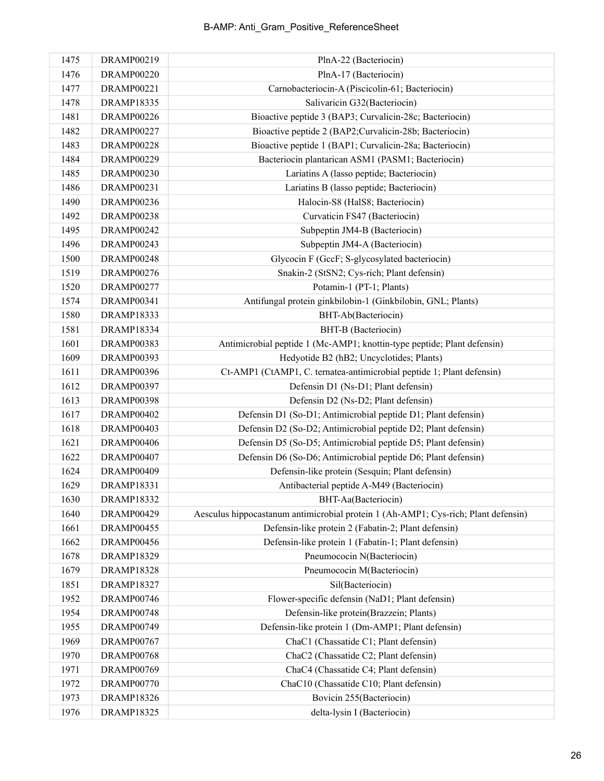| 1475 | DRAMP00219        | PlnA-22 (Bacteriocin)                                                              |
|------|-------------------|------------------------------------------------------------------------------------|
| 1476 | <b>DRAMP00220</b> | PlnA-17 (Bacteriocin)                                                              |
| 1477 | DRAMP00221        | Carnobacteriocin-A (Piscicolin-61; Bacteriocin)                                    |
| 1478 | DRAMP18335        | Salivaricin G32(Bacteriocin)                                                       |
| 1481 | <b>DRAMP00226</b> | Bioactive peptide 3 (BAP3; Curvalicin-28c; Bacteriocin)                            |
| 1482 | DRAMP00227        | Bioactive peptide 2 (BAP2; Curvalicin-28b; Bacteriocin)                            |
| 1483 | <b>DRAMP00228</b> | Bioactive peptide 1 (BAP1; Curvalicin-28a; Bacteriocin)                            |
| 1484 | DRAMP00229        | Bacteriocin plantarican ASM1 (PASM1; Bacteriocin)                                  |
| 1485 | <b>DRAMP00230</b> | Lariatins A (lasso peptide; Bacteriocin)                                           |
| 1486 | <b>DRAMP00231</b> | Lariatins B (lasso peptide; Bacteriocin)                                           |
| 1490 | DRAMP00236        | Halocin-S8 (HalS8; Bacteriocin)                                                    |
| 1492 | <b>DRAMP00238</b> | Curvaticin FS47 (Bacteriocin)                                                      |
| 1495 | DRAMP00242        | Subpeptin JM4-B (Bacteriocin)                                                      |
| 1496 | DRAMP00243        | Subpeptin JM4-A (Bacteriocin)                                                      |
| 1500 | <b>DRAMP00248</b> | Glycocin F (GccF; S-glycosylated bacteriocin)                                      |
| 1519 | <b>DRAMP00276</b> | Snakin-2 (StSN2; Cys-rich; Plant defensin)                                         |
| 1520 | <b>DRAMP00277</b> | Potamin-1 (PT-1; Plants)                                                           |
| 1574 | DRAMP00341        | Antifungal protein ginkbilobin-1 (Ginkbilobin, GNL; Plants)                        |
| 1580 | DRAMP18333        | BHT-Ab(Bacteriocin)                                                                |
| 1581 | DRAMP18334        | BHT-B (Bacteriocin)                                                                |
| 1601 | DRAMP00383        | Antimicrobial peptide 1 (Mc-AMP1; knottin-type peptide; Plant defensin)            |
| 1609 | DRAMP00393        | Hedyotide B2 (hB2; Uncyclotides; Plants)                                           |
| 1611 | DRAMP00396        | Ct-AMP1 (CtAMP1, C. ternatea-antimicrobial peptide 1; Plant defensin)              |
| 1612 | <b>DRAMP00397</b> | Defensin D1 (Ns-D1; Plant defensin)                                                |
| 1613 | <b>DRAMP00398</b> | Defensin D2 (Ns-D2; Plant defensin)                                                |
| 1617 | <b>DRAMP00402</b> | Defensin D1 (So-D1; Antimicrobial peptide D1; Plant defensin)                      |
| 1618 | DRAMP00403        | Defensin D2 (So-D2; Antimicrobial peptide D2; Plant defensin)                      |
| 1621 | DRAMP00406        | Defensin D5 (So-D5; Antimicrobial peptide D5; Plant defensin)                      |
| 1622 | DRAMP00407        | Defensin D6 (So-D6; Antimicrobial peptide D6; Plant defensin)                      |
| 1624 | DRAMP00409        | Defensin-like protein (Sesquin; Plant defensin)                                    |
| 1629 | DRAMP18331        | Antibacterial peptide A-M49 (Bacteriocin)                                          |
| 1630 | <b>DRAMP18332</b> | BHT-Aa(Bacteriocin)                                                                |
| 1640 | DRAMP00429        | Aesculus hippocastanum antimicrobial protein 1 (Ah-AMP1; Cys-rich; Plant defensin) |
| 1661 | <b>DRAMP00455</b> | Defensin-like protein 2 (Fabatin-2; Plant defensin)                                |
| 1662 | DRAMP00456        | Defensin-like protein 1 (Fabatin-1; Plant defensin)                                |
| 1678 | DRAMP18329        | Pneumococin N(Bacteriocin)                                                         |
| 1679 | <b>DRAMP18328</b> | Pneumococin M(Bacteriocin)                                                         |
| 1851 | <b>DRAMP18327</b> | Sil(Bacteriocin)                                                                   |
| 1952 | DRAMP00746        | Flower-specific defensin (NaD1; Plant defensin)                                    |
| 1954 | DRAMP00748        | Defensin-like protein(Brazzein; Plants)                                            |
| 1955 | DRAMP00749        | Defensin-like protein 1 (Dm-AMP1; Plant defensin)                                  |
| 1969 | DRAMP00767        | ChaC1 (Chassatide C1; Plant defensin)                                              |
| 1970 | <b>DRAMP00768</b> | ChaC2 (Chassatide C2; Plant defensin)                                              |
| 1971 | DRAMP00769        | ChaC4 (Chassatide C4; Plant defensin)                                              |
| 1972 | DRAMP00770        | ChaC10 (Chassatide C10; Plant defensin)                                            |
| 1973 | <b>DRAMP18326</b> | Bovicin 255(Bacteriocin)                                                           |
| 1976 | DRAMP18325        | delta-lysin I (Bacteriocin)                                                        |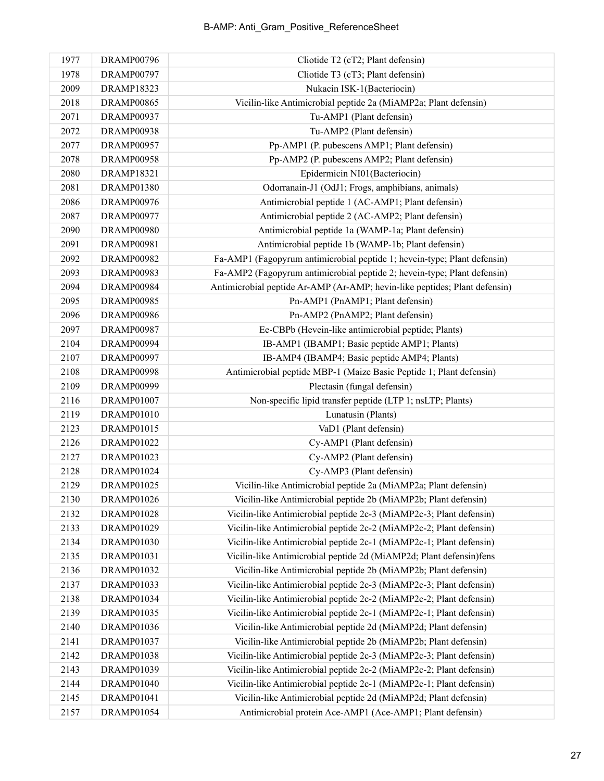| 1977 | DRAMP00796        | Cliotide T2 (cT2; Plant defensin)                                          |
|------|-------------------|----------------------------------------------------------------------------|
| 1978 | DRAMP00797        | Cliotide T3 (cT3; Plant defensin)                                          |
| 2009 | DRAMP18323        | Nukacin ISK-1(Bacteriocin)                                                 |
| 2018 | DRAMP00865        | Vicilin-like Antimicrobial peptide 2a (MiAMP2a; Plant defensin)            |
| 2071 | <b>DRAMP00937</b> | Tu-AMP1 (Plant defensin)                                                   |
| 2072 | DRAMP00938        | Tu-AMP2 (Plant defensin)                                                   |
| 2077 | <b>DRAMP00957</b> | Pp-AMP1 (P. pubescens AMP1; Plant defensin)                                |
| 2078 | <b>DRAMP00958</b> | Pp-AMP2 (P. pubescens AMP2; Plant defensin)                                |
| 2080 | <b>DRAMP18321</b> | Epidermicin NI01(Bacteriocin)                                              |
| 2081 | <b>DRAMP01380</b> | Odorranain-J1 (OdJ1; Frogs, amphibians, animals)                           |
| 2086 | DRAMP00976        | Antimicrobial peptide 1 (AC-AMP1; Plant defensin)                          |
| 2087 | DRAMP00977        | Antimicrobial peptide 2 (AC-AMP2; Plant defensin)                          |
| 2090 | <b>DRAMP00980</b> | Antimicrobial peptide 1a (WAMP-1a; Plant defensin)                         |
| 2091 | <b>DRAMP00981</b> | Antimicrobial peptide 1b (WAMP-1b; Plant defensin)                         |
| 2092 | <b>DRAMP00982</b> | Fa-AMP1 (Fagopyrum antimicrobial peptide 1; hevein-type; Plant defensin)   |
| 2093 | <b>DRAMP00983</b> | Fa-AMP2 (Fagopyrum antimicrobial peptide 2; hevein-type; Plant defensin)   |
| 2094 | <b>DRAMP00984</b> | Antimicrobial peptide Ar-AMP (Ar-AMP; hevin-like peptides; Plant defensin) |
| 2095 | DRAMP00985        | Pn-AMP1 (PnAMP1; Plant defensin)                                           |
| 2096 | DRAMP00986        | Pn-AMP2 (PnAMP2; Plant defensin)                                           |
| 2097 | <b>DRAMP00987</b> | Ee-CBPb (Hevein-like antimicrobial peptide; Plants)                        |
| 2104 | DRAMP00994        | IB-AMP1 (IBAMP1; Basic peptide AMP1; Plants)                               |
| 2107 | <b>DRAMP00997</b> | IB-AMP4 (IBAMP4; Basic peptide AMP4; Plants)                               |
| 2108 | <b>DRAMP00998</b> | Antimicrobial peptide MBP-1 (Maize Basic Peptide 1; Plant defensin)        |
| 2109 | DRAMP00999        | Plectasin (fungal defensin)                                                |
| 2116 | <b>DRAMP01007</b> | Non-specific lipid transfer peptide (LTP 1; nsLTP; Plants)                 |
| 2119 | DRAMP01010        | Lunatusin (Plants)                                                         |
| 2123 | DRAMP01015        | VaD1 (Plant defensin)                                                      |
| 2126 | DRAMP01022        | Cy-AMP1 (Plant defensin)                                                   |
| 2127 | <b>DRAMP01023</b> | Cy-AMP2 (Plant defensin)                                                   |
| 2128 | <b>DRAMP01024</b> | Cy-AMP3 (Plant defensin)                                                   |
| 2129 | DRAMP01025        | Vicilin-like Antimicrobial peptide 2a (MiAMP2a; Plant defensin)            |
| 2130 | DRAMP01026        | Vicilin-like Antimicrobial peptide 2b (MiAMP2b; Plant defensin)            |
| 2132 | <b>DRAMP01028</b> | Vicilin-like Antimicrobial peptide 2c-3 (MiAMP2c-3; Plant defensin)        |
| 2133 | DRAMP01029        | Vicilin-like Antimicrobial peptide 2c-2 (MiAMP2c-2; Plant defensin)        |
| 2134 | <b>DRAMP01030</b> | Vicilin-like Antimicrobial peptide 2c-1 (MiAMP2c-1; Plant defensin)        |
| 2135 | DRAMP01031        | Vicilin-like Antimicrobial peptide 2d (MiAMP2d; Plant defensin)fens        |
| 2136 | DRAMP01032        | Vicilin-like Antimicrobial peptide 2b (MiAMP2b; Plant defensin)            |
| 2137 | DRAMP01033        | Vicilin-like Antimicrobial peptide 2c-3 (MiAMP2c-3; Plant defensin)        |
| 2138 | DRAMP01034        | Vicilin-like Antimicrobial peptide 2c-2 (MiAMP2c-2; Plant defensin)        |
| 2139 | <b>DRAMP01035</b> | Vicilin-like Antimicrobial peptide 2c-1 (MiAMP2c-1; Plant defensin)        |
| 2140 | <b>DRAMP01036</b> | Vicilin-like Antimicrobial peptide 2d (MiAMP2d; Plant defensin)            |
| 2141 | DRAMP01037        | Vicilin-like Antimicrobial peptide 2b (MiAMP2b; Plant defensin)            |
| 2142 | <b>DRAMP01038</b> | Vicilin-like Antimicrobial peptide 2c-3 (MiAMP2c-3; Plant defensin)        |
| 2143 | DRAMP01039        | Vicilin-like Antimicrobial peptide 2c-2 (MiAMP2c-2; Plant defensin)        |
| 2144 | DRAMP01040        | Vicilin-like Antimicrobial peptide 2c-1 (MiAMP2c-1; Plant defensin)        |
| 2145 | DRAMP01041        | Vicilin-like Antimicrobial peptide 2d (MiAMP2d; Plant defensin)            |
| 2157 | DRAMP01054        | Antimicrobial protein Ace-AMP1 (Ace-AMP1; Plant defensin)                  |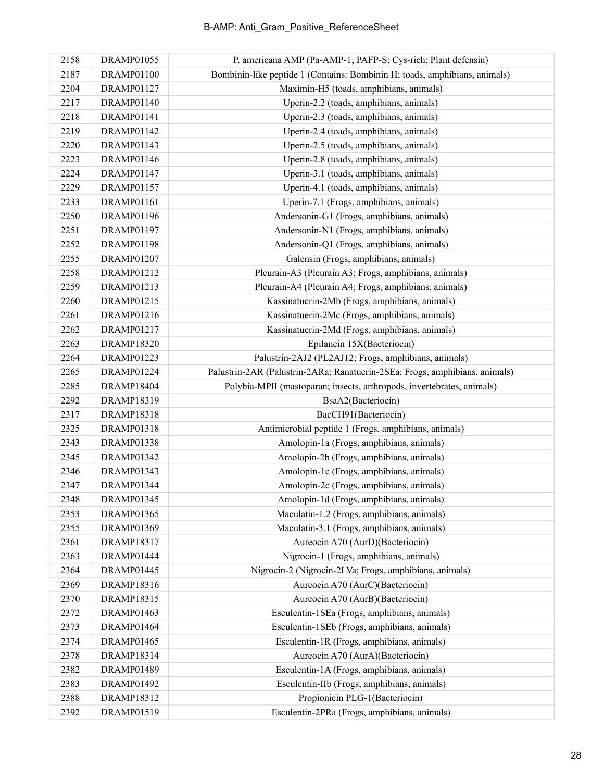| 2158 | DRAMP01055        | P. americana AMP (Pa-AMP-1; PAFP-S; Cys-rich; Plant defensin)               |
|------|-------------------|-----------------------------------------------------------------------------|
| 2187 | DRAMP01100        | Bombinin-like peptide 1 (Contains: Bombinin H; toads, amphibians, animals)  |
| 2204 | DRAMP01127        | Maximin-H5 (toads, amphibians, animals)                                     |
| 2217 | DRAMP01140        | Uperin-2.2 (toads, amphibians, animals)                                     |
| 2218 | DRAMP01141        | Uperin-2.3 (toads, amphibians, animals)                                     |
| 2219 | DRAMP01142        | Uperin-2.4 (toads, amphibians, animals)                                     |
| 2220 | DRAMP01143        | Uperin-2.5 (toads, amphibians, animals)                                     |
| 2223 | DRAMP01146        | Uperin-2.8 (toads, amphibians, animals)                                     |
| 2224 | DRAMP01147        | Uperin-3.1 (toads, amphibians, animals)                                     |
| 2229 | DRAMP01157        | Uperin-4.1 (toads, amphibians, animals)                                     |
| 2233 | DRAMP01161        | Uperin-7.1 (Frogs, amphibians, animals)                                     |
| 2250 | DRAMP01196        | Andersonin-G1 (Frogs, amphibians, animals)                                  |
| 2251 | DRAMP01197        | Andersonin-N1 (Frogs, amphibians, animals)                                  |
| 2252 | DRAMP01198        | Andersonin-Q1 (Frogs, amphibians, animals)                                  |
| 2255 | <b>DRAMP01207</b> | Galensin (Frogs, amphibians, animals)                                       |
| 2258 | DRAMP01212        | Pleurain-A3 (Pleurain A3; Frogs, amphibians, animals)                       |
| 2259 | DRAMP01213        | Pleurain-A4 (Pleurain A4; Frogs, amphibians, animals)                       |
| 2260 | DRAMP01215        | Kassinatuerin-2Mb (Frogs, amphibians, animals)                              |
| 2261 | DRAMP01216        | Kassinatuerin-2Mc (Frogs, amphibians, animals)                              |
| 2262 | DRAMP01217        | Kassinatuerin-2Md (Frogs, amphibians, animals)                              |
| 2263 | <b>DRAMP18320</b> | Epilancin 15X(Bacteriocin)                                                  |
| 2264 | DRAMP01223        | Palustrin-2AJ2 (PL2AJ12; Frogs, amphibians, animals)                        |
| 2265 | DRAMP01224        | Palustrin-2AR (Palustrin-2ARa; Ranatuerin-2SEa; Frogs, amphibians, animals) |
| 2285 | DRAMP18404        | Polybia-MPII (mastoparan; insects, arthropods, invertebrates, animals)      |
| 2292 | DRAMP18319        | BsaA2(Bacteriocin)                                                          |
| 2317 | <b>DRAMP18318</b> | BacCH91(Bacteriocin)                                                        |
| 2325 | DRAMP01318        | Antimicrobial peptide 1 (Frogs, amphibians, animals)                        |
| 2343 | <b>DRAMP01338</b> | Amolopin-1a (Frogs, amphibians, animals)                                    |
| 2345 | DRAMP01342        | Amolopin-2b (Frogs, amphibians, animals)                                    |
| 2346 | DRAMP01343        | Amolopin-1c (Frogs, amphibians, animals)                                    |
| 2347 | DRAMP01344        | Amolopin-2c (Frogs, amphibians, animals)                                    |
| 2348 | DRAMP01345        | Amolopin-1d (Frogs, amphibians, animals)                                    |
| 2353 | DRAMP01365        | Maculatin-1.2 (Frogs, amphibians, animals)                                  |
| 2355 | DRAMP01369        | Maculatin-3.1 (Frogs, amphibians, animals)                                  |
| 2361 | <b>DRAMP18317</b> | Aureocin A70 (AurD)(Bacteriocin)                                            |
| 2363 | DRAMP01444        | Nigrocin-1 (Frogs, amphibians, animals)                                     |
| 2364 | DRAMP01445        | Nigrocin-2 (Nigrocin-2LVa; Frogs, amphibians, animals)                      |
| 2369 | DRAMP18316        | Aureocin A70 (AurC)(Bacteriocin)                                            |
| 2370 | <b>DRAMP18315</b> | Aureocin A70 (AurB)(Bacteriocin)                                            |
| 2372 | DRAMP01463        | Esculentin-1SEa (Frogs, amphibians, animals)                                |
| 2373 | DRAMP01464        | Esculentin-1SEb (Frogs, amphibians, animals)                                |
| 2374 | DRAMP01465        | Esculentin-1R (Frogs, amphibians, animals)                                  |
| 2378 | DRAMP18314        | Aureocin A70 (AurA)(Bacteriocin)                                            |
| 2382 | DRAMP01489        | Esculentin-1A (Frogs, amphibians, animals)                                  |
| 2383 | DRAMP01492        | Esculentin-IIb (Frogs, amphibians, animals)                                 |
| 2388 | <b>DRAMP18312</b> | Propionicin PLG-1(Bacteriocin)                                              |
| 2392 | DRAMP01519        | Esculentin-2PRa (Frogs, amphibians, animals)                                |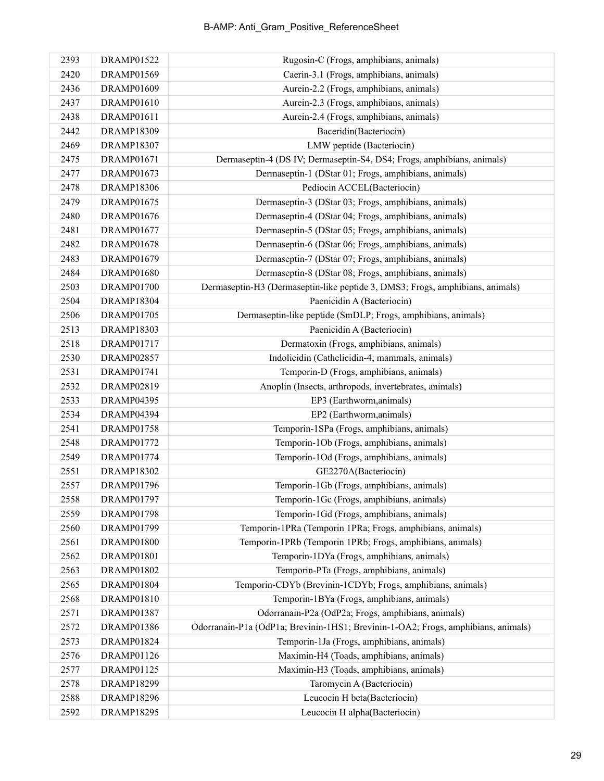| 2393 | <b>DRAMP01522</b> | Rugosin-C (Frogs, amphibians, animals)                                            |
|------|-------------------|-----------------------------------------------------------------------------------|
| 2420 | DRAMP01569        | Caerin-3.1 (Frogs, amphibians, animals)                                           |
| 2436 | DRAMP01609        | Aurein-2.2 (Frogs, amphibians, animals)                                           |
| 2437 | DRAMP01610        | Aurein-2.3 (Frogs, amphibians, animals)                                           |
| 2438 | <b>DRAMP01611</b> | Aurein-2.4 (Frogs, amphibians, animals)                                           |
| 2442 | <b>DRAMP18309</b> | Baceridin(Bacteriocin)                                                            |
| 2469 | <b>DRAMP18307</b> | LMW peptide (Bacteriocin)                                                         |
| 2475 | DRAMP01671        | Dermaseptin-4 (DS IV; Dermaseptin-S4, DS4; Frogs, amphibians, animals)            |
| 2477 | DRAMP01673        | Dermaseptin-1 (DStar 01; Frogs, amphibians, animals)                              |
| 2478 | <b>DRAMP18306</b> | Pediocin ACCEL(Bacteriocin)                                                       |
| 2479 | <b>DRAMP01675</b> | Dermaseptin-3 (DStar 03; Frogs, amphibians, animals)                              |
| 2480 | <b>DRAMP01676</b> | Dermaseptin-4 (DStar 04; Frogs, amphibians, animals)                              |
| 2481 | <b>DRAMP01677</b> | Dermaseptin-5 (DStar 05; Frogs, amphibians, animals)                              |
| 2482 | <b>DRAMP01678</b> | Dermaseptin-6 (DStar 06; Frogs, amphibians, animals)                              |
| 2483 | DRAMP01679        | Dermaseptin-7 (DStar 07; Frogs, amphibians, animals)                              |
| 2484 | <b>DRAMP01680</b> | Dermaseptin-8 (DStar 08; Frogs, amphibians, animals)                              |
| 2503 | <b>DRAMP01700</b> | Dermaseptin-H3 (Dermaseptin-like peptide 3, DMS3; Frogs, amphibians, animals)     |
| 2504 | <b>DRAMP18304</b> | Paenicidin A (Bacteriocin)                                                        |
| 2506 | <b>DRAMP01705</b> | Dermaseptin-like peptide (SmDLP; Frogs, amphibians, animals)                      |
| 2513 | <b>DRAMP18303</b> | Paenicidin A (Bacteriocin)                                                        |
| 2518 | DRAMP01717        | Dermatoxin (Frogs, amphibians, animals)                                           |
| 2530 | <b>DRAMP02857</b> | Indolicidin (Cathelicidin-4; mammals, animals)                                    |
| 2531 | <b>DRAMP01741</b> | Temporin-D (Frogs, amphibians, animals)                                           |
| 2532 | DRAMP02819        | Anoplin (Insects, arthropods, invertebrates, animals)                             |
| 2533 | <b>DRAMP04395</b> | EP3 (Earthworm, animals)                                                          |
| 2534 | DRAMP04394        | EP2 (Earthworm, animals)                                                          |
| 2541 | <b>DRAMP01758</b> | Temporin-1SPa (Frogs, amphibians, animals)                                        |
| 2548 | DRAMP01772        | Temporin-1Ob (Frogs, amphibians, animals)                                         |
| 2549 | DRAMP01774        | Temporin-1Od (Frogs, amphibians, animals)                                         |
| 2551 | <b>DRAMP18302</b> | GE2270A(Bacteriocin)                                                              |
| 2557 | <b>DRAMP01796</b> | Temporin-1Gb (Frogs, amphibians, animals)                                         |
| 2558 | <b>DRAMP01797</b> | Temporin-1Gc (Frogs, amphibians, animals)                                         |
| 2559 | <b>DRAMP01798</b> | Temporin-1Gd (Frogs, amphibians, animals)                                         |
| 2560 | DRAMP01799        | Temporin-1PRa (Temporin 1PRa; Frogs, amphibians, animals)                         |
| 2561 | <b>DRAMP01800</b> | Temporin-1PRb (Temporin 1PRb; Frogs, amphibians, animals)                         |
| 2562 | <b>DRAMP01801</b> | Temporin-1DYa (Frogs, amphibians, animals)                                        |
| 2563 | DRAMP01802        | Temporin-PTa (Frogs, amphibians, animals)                                         |
| 2565 | <b>DRAMP01804</b> | Temporin-CDYb (Brevinin-1CDYb; Frogs, amphibians, animals)                        |
| 2568 | DRAMP01810        | Temporin-1BYa (Frogs, amphibians, animals)                                        |
| 2571 | <b>DRAMP01387</b> | Odorranain-P2a (OdP2a; Frogs, amphibians, animals)                                |
| 2572 | DRAMP01386        | Odorranain-P1a (OdP1a; Brevinin-1HS1; Brevinin-1-OA2; Frogs, amphibians, animals) |
| 2573 | DRAMP01824        | Temporin-1Ja (Frogs, amphibians, animals)                                         |
| 2576 | DRAMP01126        | Maximin-H4 (Toads, amphibians, animals)                                           |
| 2577 | DRAMP01125        | Maximin-H3 (Toads, amphibians, animals)                                           |
| 2578 | DRAMP18299        | Taromycin A (Bacteriocin)                                                         |
| 2588 | <b>DRAMP18296</b> | Leucocin H beta(Bacteriocin)                                                      |
| 2592 | <b>DRAMP18295</b> | Leucocin H alpha(Bacteriocin)                                                     |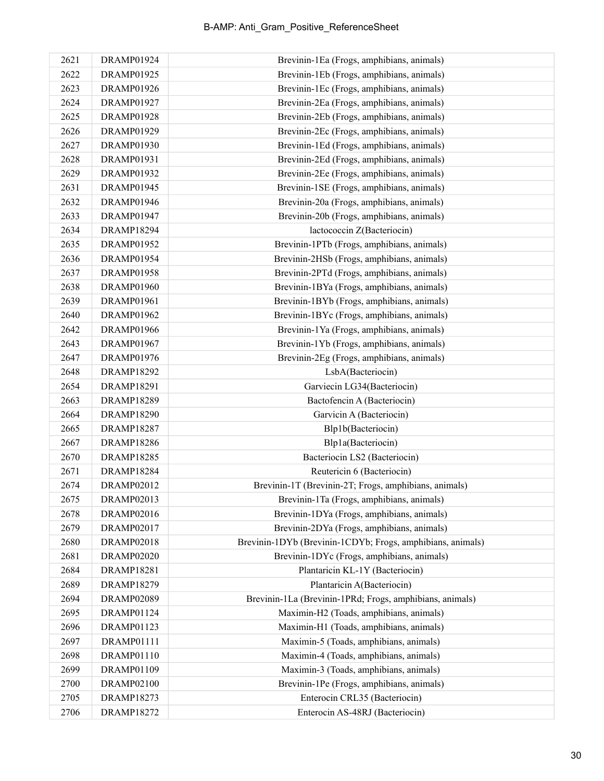| 2621 | DRAMP01924        | Brevinin-1Ea (Frogs, amphibians, animals)                  |
|------|-------------------|------------------------------------------------------------|
| 2622 | <b>DRAMP01925</b> | Brevinin-1Eb (Frogs, amphibians, animals)                  |
| 2623 | DRAMP01926        | Brevinin-1Ec (Frogs, amphibians, animals)                  |
| 2624 | <b>DRAMP01927</b> | Brevinin-2Ea (Frogs, amphibians, animals)                  |
| 2625 | <b>DRAMP01928</b> | Brevinin-2Eb (Frogs, amphibians, animals)                  |
| 2626 | DRAMP01929        | Brevinin-2Ec (Frogs, amphibians, animals)                  |
| 2627 | DRAMP01930        | Brevinin-1Ed (Frogs, amphibians, animals)                  |
| 2628 | DRAMP01931        | Brevinin-2Ed (Frogs, amphibians, animals)                  |
| 2629 | DRAMP01932        | Brevinin-2Ee (Frogs, amphibians, animals)                  |
| 2631 | <b>DRAMP01945</b> | Brevinin-1SE (Frogs, amphibians, animals)                  |
| 2632 | DRAMP01946        | Brevinin-20a (Frogs, amphibians, animals)                  |
| 2633 | DRAMP01947        | Brevinin-20b (Frogs, amphibians, animals)                  |
| 2634 | DRAMP18294        | lactococcin Z(Bacteriocin)                                 |
| 2635 | DRAMP01952        | Brevinin-1PTb (Frogs, amphibians, animals)                 |
| 2636 | DRAMP01954        | Brevinin-2HSb (Frogs, amphibians, animals)                 |
| 2637 | <b>DRAMP01958</b> | Brevinin-2PTd (Frogs, amphibians, animals)                 |
| 2638 | <b>DRAMP01960</b> | Brevinin-1BYa (Frogs, amphibians, animals)                 |
| 2639 | DRAMP01961        | Brevinin-1BYb (Frogs, amphibians, animals)                 |
| 2640 | <b>DRAMP01962</b> | Brevinin-1BYc (Frogs, amphibians, animals)                 |
| 2642 | <b>DRAMP01966</b> | Brevinin-1Ya (Frogs, amphibians, animals)                  |
| 2643 | <b>DRAMP01967</b> | Brevinin-1Yb (Frogs, amphibians, animals)                  |
| 2647 | <b>DRAMP01976</b> | Brevinin-2Eg (Frogs, amphibians, animals)                  |
| 2648 | DRAMP18292        | LsbA(Bacteriocin)                                          |
| 2654 | <b>DRAMP18291</b> | Garviecin LG34(Bacteriocin)                                |
| 2663 | <b>DRAMP18289</b> | Bactofencin A (Bacteriocin)                                |
| 2664 | <b>DRAMP18290</b> | Garvicin A (Bacteriocin)                                   |
| 2665 | <b>DRAMP18287</b> | Blp1b(Bacteriocin)                                         |
| 2667 | <b>DRAMP18286</b> | Blp1a(Bacteriocin)                                         |
| 2670 | <b>DRAMP18285</b> | Bacteriocin LS2 (Bacteriocin)                              |
| 2671 | <b>DRAMP18284</b> | Reutericin 6 (Bacteriocin)                                 |
| 2674 | DRAMP02012        | Brevinin-1T (Brevinin-2T; Frogs, amphibians, animals)      |
| 2675 | DRAMP02013        | Brevinin-1Ta (Frogs, amphibians, animals)                  |
| 2678 | DRAMP02016        | Brevinin-1DYa (Frogs, amphibians, animals)                 |
| 2679 | <b>DRAMP02017</b> | Brevinin-2DYa (Frogs, amphibians, animals)                 |
| 2680 | <b>DRAMP02018</b> | Brevinin-1DYb (Brevinin-1CDYb; Frogs, amphibians, animals) |
| 2681 | <b>DRAMP02020</b> | Brevinin-1DYc (Frogs, amphibians, animals)                 |
| 2684 | <b>DRAMP18281</b> | Plantaricin KL-1Y (Bacteriocin)                            |
| 2689 | <b>DRAMP18279</b> | Plantaricin A(Bacteriocin)                                 |
| 2694 | DRAMP02089        | Brevinin-1La (Brevinin-1PRd; Frogs, amphibians, animals)   |
| 2695 | DRAMP01124        | Maximin-H2 (Toads, amphibians, animals)                    |
| 2696 | DRAMP01123        | Maximin-H1 (Toads, amphibians, animals)                    |
| 2697 | DRAMP01111        | Maximin-5 (Toads, amphibians, animals)                     |
| 2698 | DRAMP01110        | Maximin-4 (Toads, amphibians, animals)                     |
| 2699 | DRAMP01109        | Maximin-3 (Toads, amphibians, animals)                     |
| 2700 | DRAMP02100        | Brevinin-1Pe (Frogs, amphibians, animals)                  |
| 2705 | DRAMP18273        | Enterocin CRL35 (Bacteriocin)                              |
| 2706 | DRAMP18272        | Enterocin AS-48RJ (Bacteriocin)                            |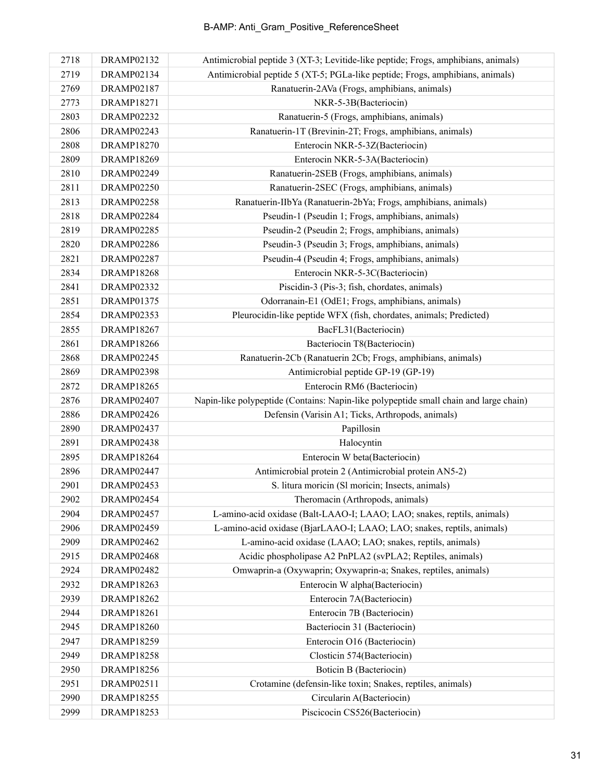| 2718 | DRAMP02132        | Antimicrobial peptide 3 (XT-3; Levitide-like peptide; Frogs, amphibians, animals)     |
|------|-------------------|---------------------------------------------------------------------------------------|
| 2719 | DRAMP02134        | Antimicrobial peptide 5 (XT-5; PGLa-like peptide; Frogs, amphibians, animals)         |
| 2769 | DRAMP02187        | Ranatuerin-2AVa (Frogs, amphibians, animals)                                          |
| 2773 | <b>DRAMP18271</b> | NKR-5-3B(Bacteriocin)                                                                 |
| 2803 | <b>DRAMP02232</b> | Ranatuerin-5 (Frogs, amphibians, animals)                                             |
| 2806 | DRAMP02243        | Ranatuerin-1T (Brevinin-2T; Frogs, amphibians, animals)                               |
| 2808 | <b>DRAMP18270</b> | Enterocin NKR-5-3Z(Bacteriocin)                                                       |
| 2809 | <b>DRAMP18269</b> | Enterocin NKR-5-3A(Bacteriocin)                                                       |
| 2810 | DRAMP02249        | Ranatuerin-2SEB (Frogs, amphibians, animals)                                          |
| 2811 | <b>DRAMP02250</b> | Ranatuerin-2SEC (Frogs, amphibians, animals)                                          |
| 2813 | <b>DRAMP02258</b> | Ranatuerin-IIbYa (Ranatuerin-2bYa; Frogs, amphibians, animals)                        |
| 2818 | DRAMP02284        | Pseudin-1 (Pseudin 1; Frogs, amphibians, animals)                                     |
| 2819 | DRAMP02285        | Pseudin-2 (Pseudin 2; Frogs, amphibians, animals)                                     |
| 2820 | DRAMP02286        | Pseudin-3 (Pseudin 3; Frogs, amphibians, animals)                                     |
| 2821 | <b>DRAMP02287</b> | Pseudin-4 (Pseudin 4; Frogs, amphibians, animals)                                     |
| 2834 | <b>DRAMP18268</b> | Enterocin NKR-5-3C(Bacteriocin)                                                       |
| 2841 | DRAMP02332        | Piscidin-3 (Pis-3; fish, chordates, animals)                                          |
| 2851 | DRAMP01375        | Odorranain-E1 (OdE1; Frogs, amphibians, animals)                                      |
| 2854 | DRAMP02353        | Pleurocidin-like peptide WFX (fish, chordates, animals; Predicted)                    |
| 2855 | <b>DRAMP18267</b> | BacFL31(Bacteriocin)                                                                  |
| 2861 | <b>DRAMP18266</b> | Bacteriocin T8(Bacteriocin)                                                           |
| 2868 | DRAMP02245        | Ranatuerin-2Cb (Ranatuerin 2Cb; Frogs, amphibians, animals)                           |
| 2869 | <b>DRAMP02398</b> | Antimicrobial peptide GP-19 (GP-19)                                                   |
| 2872 | <b>DRAMP18265</b> | Enterocin RM6 (Bacteriocin)                                                           |
| 2876 | DRAMP02407        | Napin-like polypeptide (Contains: Napin-like polypeptide small chain and large chain) |
| 2886 | DRAMP02426        | Defensin (Varisin A1; Ticks, Arthropods, animals)                                     |
| 2890 | DRAMP02437        | Papillosin                                                                            |
| 2891 | DRAMP02438        | Halocyntin                                                                            |
| 2895 | <b>DRAMP18264</b> | Enterocin W beta(Bacteriocin)                                                         |
| 2896 | DRAMP02447        | Antimicrobial protein 2 (Antimicrobial protein AN5-2)                                 |
| 2901 | <b>DRAMP02453</b> | S. litura moricin (Sl moricin; Insects, animals)                                      |
| 2902 | DRAMP02454        | Theromacin (Arthropods, animals)                                                      |
| 2904 | DRAMP02457        | L-amino-acid oxidase (Balt-LAAO-I; LAAO; LAO; snakes, reptils, animals)               |
| 2906 | DRAMP02459        | L-amino-acid oxidase (BjarLAAO-I; LAAO; LAO; snakes, reptils, animals)                |
| 2909 | DRAMP02462        | L-amino-acid oxidase (LAAO; LAO; snakes, reptils, animals)                            |
| 2915 | DRAMP02468        | Acidic phospholipase A2 PnPLA2 (svPLA2; Reptiles, animals)                            |
| 2924 | DRAMP02482        | Omwaprin-a (Oxywaprin; Oxywaprin-a; Snakes, reptiles, animals)                        |
| 2932 | <b>DRAMP18263</b> | Enterocin W alpha(Bacteriocin)                                                        |
| 2939 | <b>DRAMP18262</b> | Enterocin 7A(Bacteriocin)                                                             |
| 2944 | <b>DRAMP18261</b> | Enterocin 7B (Bacteriocin)                                                            |
| 2945 | <b>DRAMP18260</b> | Bacteriocin 31 (Bacteriocin)                                                          |
| 2947 | <b>DRAMP18259</b> | Enterocin O16 (Bacteriocin)                                                           |
| 2949 | <b>DRAMP18258</b> | Closticin 574(Bacteriocin)                                                            |
| 2950 | <b>DRAMP18256</b> | Boticin B (Bacteriocin)                                                               |
| 2951 | DRAMP02511        | Crotamine (defensin-like toxin; Snakes, reptiles, animals)                            |
| 2990 | <b>DRAMP18255</b> | Circularin A(Bacteriocin)                                                             |
| 2999 | <b>DRAMP18253</b> | Piscicocin CS526(Bacteriocin)                                                         |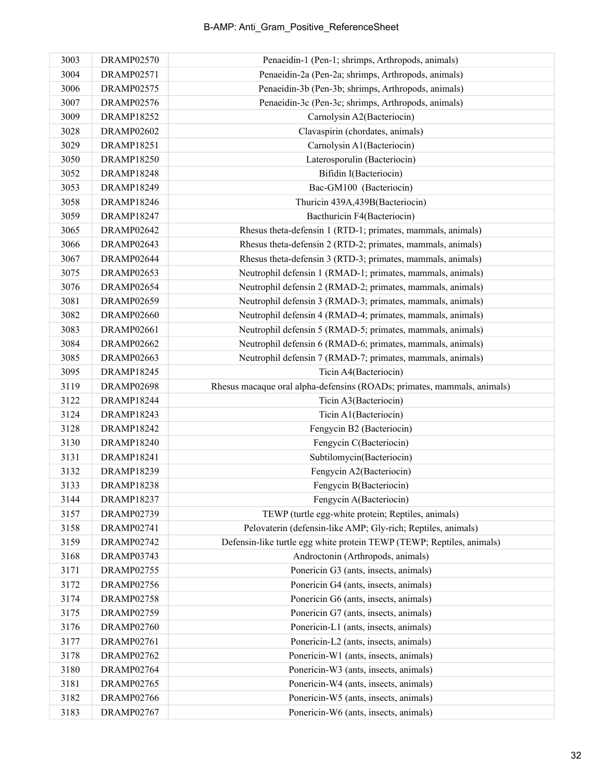| 3003 | <b>DRAMP02570</b> | Penaeidin-1 (Pen-1; shrimps, Arthropods, animals)                       |
|------|-------------------|-------------------------------------------------------------------------|
| 3004 | <b>DRAMP02571</b> | Penaeidin-2a (Pen-2a; shrimps, Arthropods, animals)                     |
| 3006 | <b>DRAMP02575</b> | Penaeidin-3b (Pen-3b; shrimps, Arthropods, animals)                     |
| 3007 | <b>DRAMP02576</b> | Penaeidin-3c (Pen-3c; shrimps, Arthropods, animals)                     |
| 3009 | <b>DRAMP18252</b> | Carnolysin A2(Bacteriocin)                                              |
| 3028 | <b>DRAMP02602</b> | Clavaspirin (chordates, animals)                                        |
| 3029 | <b>DRAMP18251</b> | Carnolysin A1(Bacteriocin)                                              |
| 3050 | <b>DRAMP18250</b> | Laterosporulin (Bacteriocin)                                            |
| 3052 | <b>DRAMP18248</b> | Bifidin I(Bacteriocin)                                                  |
| 3053 | <b>DRAMP18249</b> | Bac-GM100 (Bacteriocin)                                                 |
| 3058 | <b>DRAMP18246</b> | Thuricin 439A, 439B(Bacteriocin)                                        |
| 3059 | <b>DRAMP18247</b> | Bacthuricin F4(Bacteriocin)                                             |
| 3065 | <b>DRAMP02642</b> | Rhesus theta-defensin 1 (RTD-1; primates, mammals, animals)             |
| 3066 | DRAMP02643        | Rhesus theta-defensin 2 (RTD-2; primates, mammals, animals)             |
| 3067 | DRAMP02644        | Rhesus theta-defensin 3 (RTD-3; primates, mammals, animals)             |
| 3075 | <b>DRAMP02653</b> | Neutrophil defensin 1 (RMAD-1; primates, mammals, animals)              |
| 3076 | <b>DRAMP02654</b> | Neutrophil defensin 2 (RMAD-2; primates, mammals, animals)              |
| 3081 | DRAMP02659        | Neutrophil defensin 3 (RMAD-3; primates, mammals, animals)              |
| 3082 | <b>DRAMP02660</b> | Neutrophil defensin 4 (RMAD-4; primates, mammals, animals)              |
| 3083 | <b>DRAMP02661</b> | Neutrophil defensin 5 (RMAD-5; primates, mammals, animals)              |
| 3084 | <b>DRAMP02662</b> | Neutrophil defensin 6 (RMAD-6; primates, mammals, animals)              |
| 3085 | <b>DRAMP02663</b> | Neutrophil defensin 7 (RMAD-7; primates, mammals, animals)              |
| 3095 | <b>DRAMP18245</b> | Ticin A4(Bacteriocin)                                                   |
| 3119 | <b>DRAMP02698</b> | Rhesus macaque oral alpha-defensins (ROADs; primates, mammals, animals) |
| 3122 | <b>DRAMP18244</b> | Ticin A3(Bacteriocin)                                                   |
| 3124 | <b>DRAMP18243</b> | Ticin A1(Bacteriocin)                                                   |
| 3128 | DRAMP18242        | Fengycin B2 (Bacteriocin)                                               |
| 3130 | <b>DRAMP18240</b> | Fengycin C(Bacteriocin)                                                 |
| 3131 | <b>DRAMP18241</b> | Subtilomycin(Bacteriocin)                                               |
| 3132 | <b>DRAMP18239</b> | Fengycin A2(Bacteriocin)                                                |
| 3133 | <b>DRAMP18238</b> | Fengycin B(Bacteriocin)                                                 |
| 3144 | <b>DRAMP18237</b> | Fengycin A(Bacteriocin)                                                 |
| 3157 | DRAMP02739        | TEWP (turtle egg-white protein; Reptiles, animals)                      |
| 3158 | DRAMP02741        | Pelovaterin (defensin-like AMP; Gly-rich; Reptiles, animals)            |
| 3159 | <b>DRAMP02742</b> | Defensin-like turtle egg white protein TEWP (TEWP; Reptiles, animals)   |
| 3168 | <b>DRAMP03743</b> | Androctonin (Arthropods, animals)                                       |
| 3171 | <b>DRAMP02755</b> | Ponericin G3 (ants, insects, animals)                                   |
| 3172 | <b>DRAMP02756</b> | Ponericin G4 (ants, insects, animals)                                   |
| 3174 | <b>DRAMP02758</b> | Ponericin G6 (ants, insects, animals)                                   |
| 3175 | <b>DRAMP02759</b> | Ponericin G7 (ants, insects, animals)                                   |
| 3176 | <b>DRAMP02760</b> | Ponericin-L1 (ants, insects, animals)                                   |
| 3177 | <b>DRAMP02761</b> | Ponericin-L2 (ants, insects, animals)                                   |
| 3178 | <b>DRAMP02762</b> | Ponericin-W1 (ants, insects, animals)                                   |
| 3180 | <b>DRAMP02764</b> | Ponericin-W3 (ants, insects, animals)                                   |
| 3181 | <b>DRAMP02765</b> | Ponericin-W4 (ants, insects, animals)                                   |
| 3182 | <b>DRAMP02766</b> | Ponericin-W5 (ants, insects, animals)                                   |
| 3183 | <b>DRAMP02767</b> | Ponericin-W6 (ants, insects, animals)                                   |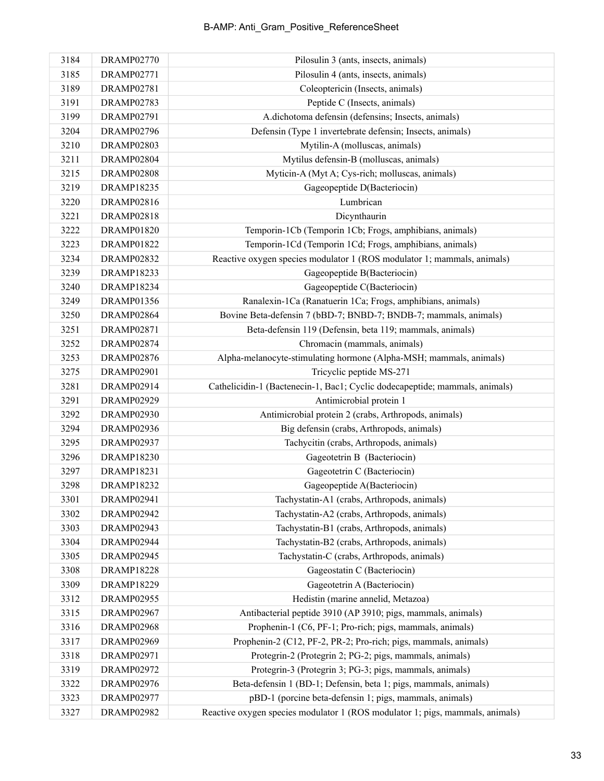| 3184 | DRAMP02770        | Pilosulin 3 (ants, insects, animals)                                          |
|------|-------------------|-------------------------------------------------------------------------------|
| 3185 | <b>DRAMP02771</b> | Pilosulin 4 (ants, insects, animals)                                          |
| 3189 | <b>DRAMP02781</b> | Coleoptericin (Insects, animals)                                              |
| 3191 | <b>DRAMP02783</b> | Peptide C (Insects, animals)                                                  |
| 3199 | <b>DRAMP02791</b> | A.dichotoma defensin (defensins; Insects, animals)                            |
| 3204 | <b>DRAMP02796</b> | Defensin (Type 1 invertebrate defensin; Insects, animals)                     |
| 3210 | <b>DRAMP02803</b> | Mytilin-A (molluscas, animals)                                                |
| 3211 | DRAMP02804        | Mytilus defensin-B (molluscas, animals)                                       |
| 3215 | <b>DRAMP02808</b> | Myticin-A (Myt A; Cys-rich; molluscas, animals)                               |
| 3219 | <b>DRAMP18235</b> | Gageopeptide D(Bacteriocin)                                                   |
| 3220 | DRAMP02816        | Lumbrican                                                                     |
| 3221 | <b>DRAMP02818</b> | Dicynthaurin                                                                  |
| 3222 | <b>DRAMP01820</b> | Temporin-1Cb (Temporin 1Cb; Frogs, amphibians, animals)                       |
| 3223 | <b>DRAMP01822</b> | Temporin-1Cd (Temporin 1Cd; Frogs, amphibians, animals)                       |
| 3234 | <b>DRAMP02832</b> | Reactive oxygen species modulator 1 (ROS modulator 1; mammals, animals)       |
| 3239 | DRAMP18233        | Gageopeptide B(Bacteriocin)                                                   |
| 3240 | <b>DRAMP18234</b> | Gageopeptide C(Bacteriocin)                                                   |
| 3249 | DRAMP01356        | Ranalexin-1Ca (Ranatuerin 1Ca; Frogs, amphibians, animals)                    |
| 3250 | DRAMP02864        | Bovine Beta-defensin 7 (bBD-7; BNBD-7; BNDB-7; mammals, animals)              |
| 3251 | <b>DRAMP02871</b> | Beta-defensin 119 (Defensin, beta 119; mammals, animals)                      |
| 3252 | DRAMP02874        | Chromacin (mammals, animals)                                                  |
| 3253 | <b>DRAMP02876</b> | Alpha-melanocyte-stimulating hormone (Alpha-MSH; mammals, animals)            |
| 3275 | <b>DRAMP02901</b> | Tricyclic peptide MS-271                                                      |
| 3281 | DRAMP02914        | Cathelicidin-1 (Bactenecin-1, Bac1; Cyclic dodecapeptide; mammals, animals)   |
| 3291 | <b>DRAMP02929</b> | Antimicrobial protein 1                                                       |
| 3292 | <b>DRAMP02930</b> | Antimicrobial protein 2 (crabs, Arthropods, animals)                          |
| 3294 | <b>DRAMP02936</b> | Big defensin (crabs, Arthropods, animals)                                     |
| 3295 | <b>DRAMP02937</b> | Tachycitin (crabs, Arthropods, animals)                                       |
| 3296 | DRAMP18230        | Gageotetrin B (Bacteriocin)                                                   |
| 3297 | DRAMP18231        | Gageotetrin C (Bacteriocin)                                                   |
| 3298 | <b>DRAMP18232</b> | Gageopeptide A(Bacteriocin)                                                   |
| 3301 | DRAMP02941        | Tachystatin-A1 (crabs, Arthropods, animals)                                   |
| 3302 | DRAMP02942        | Tachystatin-A2 (crabs, Arthropods, animals)                                   |
| 3303 | DRAMP02943        | Tachystatin-B1 (crabs, Arthropods, animals)                                   |
| 3304 | DRAMP02944        | Tachystatin-B2 (crabs, Arthropods, animals)                                   |
| 3305 | <b>DRAMP02945</b> | Tachystatin-C (crabs, Arthropods, animals)                                    |
| 3308 | <b>DRAMP18228</b> | Gageostatin C (Bacteriocin)                                                   |
| 3309 | <b>DRAMP18229</b> | Gageotetrin A (Bacteriocin)                                                   |
| 3312 | <b>DRAMP02955</b> | Hedistin (marine annelid, Metazoa)                                            |
| 3315 | <b>DRAMP02967</b> | Antibacterial peptide 3910 (AP 3910; pigs, mammals, animals)                  |
| 3316 | <b>DRAMP02968</b> | Prophenin-1 (C6, PF-1; Pro-rich; pigs, mammals, animals)                      |
| 3317 | DRAMP02969        | Prophenin-2 (C12, PF-2, PR-2; Pro-rich; pigs, mammals, animals)               |
| 3318 | <b>DRAMP02971</b> | Protegrin-2 (Protegrin 2; PG-2; pigs, mammals, animals)                       |
| 3319 | <b>DRAMP02972</b> | Protegrin-3 (Protegrin 3; PG-3; pigs, mammals, animals)                       |
| 3322 | <b>DRAMP02976</b> | Beta-defensin 1 (BD-1; Defensin, beta 1; pigs, mammals, animals)              |
| 3323 | DRAMP02977        | pBD-1 (porcine beta-defensin 1; pigs, mammals, animals)                       |
| 3327 | <b>DRAMP02982</b> | Reactive oxygen species modulator 1 (ROS modulator 1; pigs, mammals, animals) |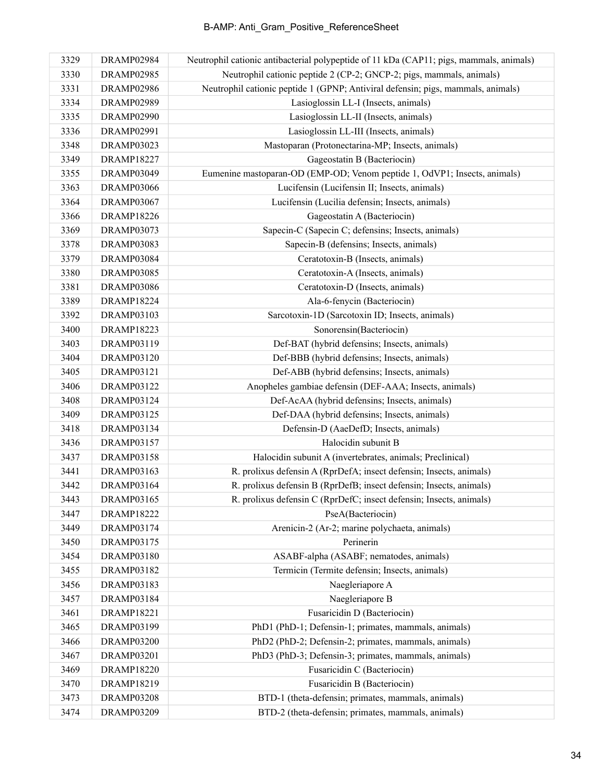| 3329 | DRAMP02984        | Neutrophil cationic antibacterial polypeptide of 11 kDa (CAP11; pigs, mammals, animals) |
|------|-------------------|-----------------------------------------------------------------------------------------|
| 3330 | <b>DRAMP02985</b> | Neutrophil cationic peptide 2 (CP-2; GNCP-2; pigs, mammals, animals)                    |
| 3331 | <b>DRAMP02986</b> | Neutrophil cationic peptide 1 (GPNP; Antiviral defensin; pigs, mammals, animals)        |
| 3334 | DRAMP02989        | Lasioglossin LL-I (Insects, animals)                                                    |
| 3335 | DRAMP02990        | Lasioglossin LL-II (Insects, animals)                                                   |
| 3336 | <b>DRAMP02991</b> | Lasioglossin LL-III (Insects, animals)                                                  |
| 3348 | <b>DRAMP03023</b> | Mastoparan (Protonectarina-MP; Insects, animals)                                        |
| 3349 | <b>DRAMP18227</b> | Gageostatin B (Bacteriocin)                                                             |
| 3355 | DRAMP03049        | Eumenine mastoparan-OD (EMP-OD; Venom peptide 1, OdVP1; Insects, animals)               |
| 3363 | DRAMP03066        | Lucifensin (Lucifensin II; Insects, animals)                                            |
| 3364 | <b>DRAMP03067</b> | Lucifensin (Lucilia defensin; Insects, animals)                                         |
| 3366 | <b>DRAMP18226</b> | Gageostatin A (Bacteriocin)                                                             |
| 3369 | DRAMP03073        | Sapecin-C (Sapecin C; defensins; Insects, animals)                                      |
| 3378 | DRAMP03083        | Sapecin-B (defensins; Insects, animals)                                                 |
| 3379 | DRAMP03084        | Ceratotoxin-B (Insects, animals)                                                        |
| 3380 | DRAMP03085        | Ceratotoxin-A (Insects, animals)                                                        |
| 3381 | <b>DRAMP03086</b> | Ceratotoxin-D (Insects, animals)                                                        |
| 3389 | DRAMP18224        | Ala-6-fenycin (Bacteriocin)                                                             |
| 3392 | DRAMP03103        | Sarcotoxin-1D (Sarcotoxin ID; Insects, animals)                                         |
| 3400 | <b>DRAMP18223</b> | Sonorensin(Bacteriocin)                                                                 |
| 3403 | DRAMP03119        | Def-BAT (hybrid defensins; Insects, animals)                                            |
| 3404 | <b>DRAMP03120</b> | Def-BBB (hybrid defensins; Insects, animals)                                            |
| 3405 | DRAMP03121        | Def-ABB (hybrid defensins; Insects, animals)                                            |
| 3406 | DRAMP03122        | Anopheles gambiae defensin (DEF-AAA; Insects, animals)                                  |
| 3408 | DRAMP03124        | Def-AcAA (hybrid defensins; Insects, animals)                                           |
| 3409 | DRAMP03125        | Def-DAA (hybrid defensins; Insects, animals)                                            |
| 3418 | DRAMP03134        | Defensin-D (AaeDefD; Insects, animals)                                                  |
| 3436 | DRAMP03157        | Halocidin subunit B                                                                     |
| 3437 | DRAMP03158        | Halocidin subunit A (invertebrates, animals; Preclinical)                               |
| 3441 | DRAMP03163        | R. prolixus defensin A (RprDefA; insect defensin; Insects, animals)                     |
| 3442 | <b>DRAMP03164</b> | R. prolixus defensin B (RprDefB; insect defensin; Insects, animals)                     |
| 3443 | <b>DRAMP03165</b> | R. prolixus defensin C (RprDefC; insect defensin; Insects, animals)                     |
| 3447 | <b>DRAMP18222</b> | PseA(Bacteriocin)                                                                       |
| 3449 | DRAMP03174        | Arenicin-2 (Ar-2; marine polychaeta, animals)                                           |
| 3450 | DRAMP03175        | Perinerin                                                                               |
| 3454 | DRAMP03180        | ASABF-alpha (ASABF; nematodes, animals)                                                 |
| 3455 | DRAMP03182        | Termicin (Termite defensin; Insects, animals)                                           |
| 3456 | DRAMP03183        | Naegleriapore A                                                                         |
| 3457 | DRAMP03184        | Naegleriapore B                                                                         |
| 3461 | <b>DRAMP18221</b> | Fusaricidin D (Bacteriocin)                                                             |
| 3465 | DRAMP03199        | PhD1 (PhD-1; Defensin-1; primates, mammals, animals)                                    |
| 3466 | DRAMP03200        | PhD2 (PhD-2; Defensin-2; primates, mammals, animals)                                    |
| 3467 | <b>DRAMP03201</b> | PhD3 (PhD-3; Defensin-3; primates, mammals, animals)                                    |
| 3469 | <b>DRAMP18220</b> | Fusaricidin C (Bacteriocin)                                                             |
| 3470 | DRAMP18219        | Fusaricidin B (Bacteriocin)                                                             |
| 3473 | <b>DRAMP03208</b> | BTD-1 (theta-defensin; primates, mammals, animals)                                      |
| 3474 | DRAMP03209        | BTD-2 (theta-defensin; primates, mammals, animals)                                      |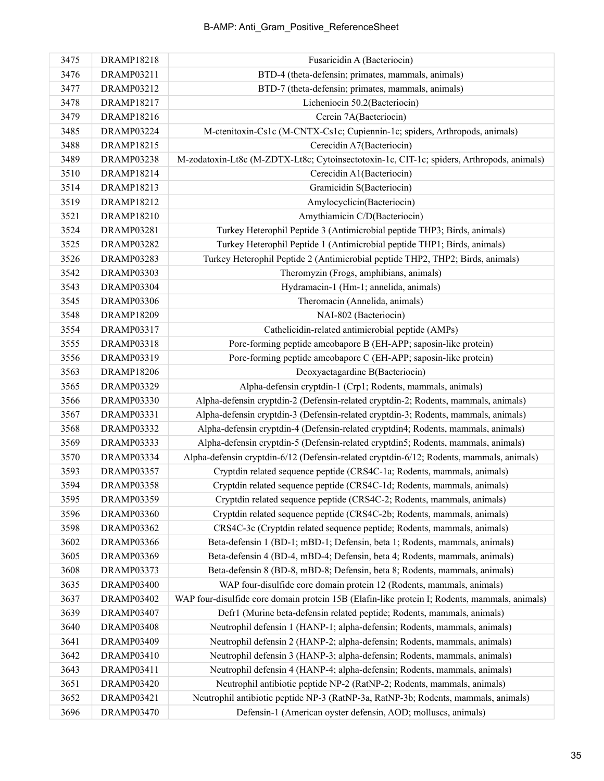| 3475 | <b>DRAMP18218</b> | Fusaricidin A (Bacteriocin)                                                                   |
|------|-------------------|-----------------------------------------------------------------------------------------------|
| 3476 | DRAMP03211        | BTD-4 (theta-defensin; primates, mammals, animals)                                            |
| 3477 | DRAMP03212        | BTD-7 (theta-defensin; primates, mammals, animals)                                            |
| 3478 | <b>DRAMP18217</b> | Licheniocin 50.2(Bacteriocin)                                                                 |
| 3479 | DRAMP18216        | Cerein 7A(Bacteriocin)                                                                        |
| 3485 | DRAMP03224        | M-ctenitoxin-Cs1c (M-CNTX-Cs1c; Cupiennin-1c; spiders, Arthropods, animals)                   |
| 3488 | <b>DRAMP18215</b> | Cerecidin A7(Bacteriocin)                                                                     |
| 3489 | DRAMP03238        | M-zodatoxin-Lt8c (M-ZDTX-Lt8c; Cytoinsectotoxin-1c, CIT-1c; spiders, Arthropods, animals)     |
| 3510 | DRAMP18214        | Cerecidin A1(Bacteriocin)                                                                     |
| 3514 | DRAMP18213        | Gramicidin S(Bacteriocin)                                                                     |
| 3519 | <b>DRAMP18212</b> | Amylocyclicin(Bacteriocin)                                                                    |
| 3521 | DRAMP18210        | Amythiamicin C/D(Bacteriocin)                                                                 |
| 3524 | <b>DRAMP03281</b> | Turkey Heterophil Peptide 3 (Antimicrobial peptide THP3; Birds, animals)                      |
| 3525 | <b>DRAMP03282</b> | Turkey Heterophil Peptide 1 (Antimicrobial peptide THP1; Birds, animals)                      |
| 3526 | <b>DRAMP03283</b> | Turkey Heterophil Peptide 2 (Antimicrobial peptide THP2, THP2; Birds, animals)                |
| 3542 | <b>DRAMP03303</b> | Theromyzin (Frogs, amphibians, animals)                                                       |
| 3543 | DRAMP03304        | Hydramacin-1 (Hm-1; annelida, animals)                                                        |
| 3545 | <b>DRAMP03306</b> | Theromacin (Annelida, animals)                                                                |
| 3548 | <b>DRAMP18209</b> | NAI-802 (Bacteriocin)                                                                         |
| 3554 | DRAMP03317        | Cathelicidin-related antimicrobial peptide (AMPs)                                             |
| 3555 | <b>DRAMP03318</b> | Pore-forming peptide ameobapore B (EH-APP; saposin-like protein)                              |
| 3556 | DRAMP03319        | Pore-forming peptide ameobapore C (EH-APP; saposin-like protein)                              |
| 3563 | <b>DRAMP18206</b> | Deoxyactagardine B(Bacteriocin)                                                               |
| 3565 | <b>DRAMP03329</b> | Alpha-defensin cryptdin-1 (Crp1; Rodents, mammals, animals)                                   |
| 3566 | <b>DRAMP03330</b> | Alpha-defensin cryptdin-2 (Defensin-related cryptdin-2; Rodents, mammals, animals)            |
| 3567 | DRAMP03331        | Alpha-defensin cryptdin-3 (Defensin-related cryptdin-3; Rodents, mammals, animals)            |
| 3568 | DRAMP03332        | Alpha-defensin cryptdin-4 (Defensin-related cryptdin4; Rodents, mammals, animals)             |
| 3569 | <b>DRAMP03333</b> | Alpha-defensin cryptdin-5 (Defensin-related cryptdin5; Rodents, mammals, animals)             |
| 3570 | <b>DRAMP03334</b> | Alpha-defensin cryptdin-6/12 (Defensin-related cryptdin-6/12; Rodents, mammals, animals)      |
| 3593 | <b>DRAMP03357</b> | Cryptdin related sequence peptide (CRS4C-1a; Rodents, mammals, animals)                       |
| 3594 | <b>DRAMP03358</b> | Cryptdin related sequence peptide (CRS4C-1d; Rodents, mammals, animals)                       |
| 3595 | DRAMP03359        | Cryptdin related sequence peptide (CRS4C-2; Rodents, mammals, animals)                        |
| 3596 | DRAMP03360        | Cryptdin related sequence peptide (CRS4C-2b; Rodents, mammals, animals)                       |
| 3598 | <b>DRAMP03362</b> | CRS4C-3c (Cryptdin related sequence peptide; Rodents, mammals, animals)                       |
| 3602 | <b>DRAMP03366</b> | Beta-defensin 1 (BD-1; mBD-1; Defensin, beta 1; Rodents, mammals, animals)                    |
| 3605 | DRAMP03369        | Beta-defensin 4 (BD-4, mBD-4; Defensin, beta 4; Rodents, mammals, animals)                    |
| 3608 | DRAMP03373        | Beta-defensin 8 (BD-8, mBD-8; Defensin, beta 8; Rodents, mammals, animals)                    |
| 3635 | <b>DRAMP03400</b> | WAP four-disulfide core domain protein 12 (Rodents, mammals, animals)                         |
| 3637 | DRAMP03402        | WAP four-disulfide core domain protein 15B (Elafin-like protein I; Rodents, mammals, animals) |
| 3639 | DRAMP03407        | Defr1 (Murine beta-defensin related peptide; Rodents, mammals, animals)                       |
| 3640 | DRAMP03408        | Neutrophil defensin 1 (HANP-1; alpha-defensin; Rodents, mammals, animals)                     |
| 3641 | DRAMP03409        | Neutrophil defensin 2 (HANP-2; alpha-defensin; Rodents, mammals, animals)                     |
| 3642 | <b>DRAMP03410</b> | Neutrophil defensin 3 (HANP-3; alpha-defensin; Rodents, mammals, animals)                     |
| 3643 | DRAMP03411        | Neutrophil defensin 4 (HANP-4; alpha-defensin; Rodents, mammals, animals)                     |
| 3651 | <b>DRAMP03420</b> | Neutrophil antibiotic peptide NP-2 (RatNP-2; Rodents, mammals, animals)                       |
| 3652 | DRAMP03421        | Neutrophil antibiotic peptide NP-3 (RatNP-3a, RatNP-3b; Rodents, mammals, animals)            |
| 3696 | <b>DRAMP03470</b> | Defensin-1 (American oyster defensin, AOD; molluscs, animals)                                 |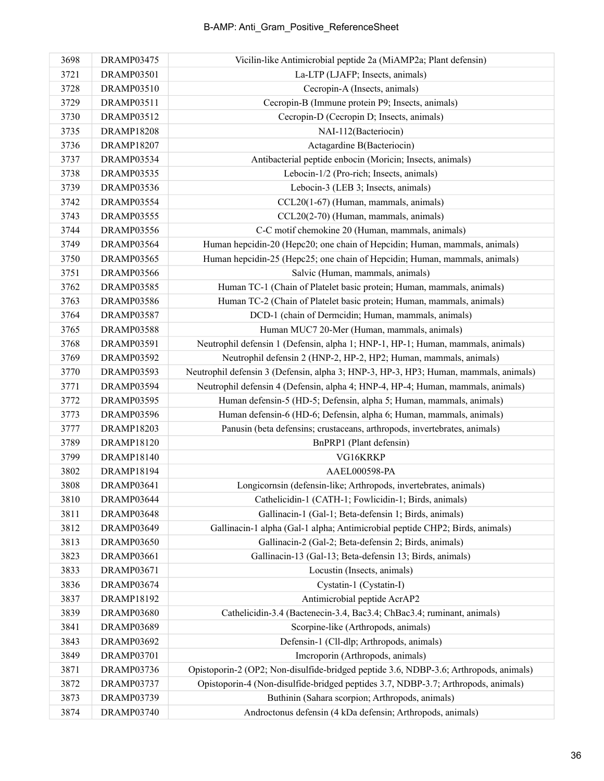| 3698 | DRAMP03475        | Vicilin-like Antimicrobial peptide 2a (MiAMP2a; Plant defensin)                       |
|------|-------------------|---------------------------------------------------------------------------------------|
| 3721 | <b>DRAMP03501</b> | La-LTP (LJAFP; Insects, animals)                                                      |
| 3728 | <b>DRAMP03510</b> | Cecropin-A (Insects, animals)                                                         |
| 3729 | DRAMP03511        | Cecropin-B (Immune protein P9; Insects, animals)                                      |
| 3730 | DRAMP03512        | Cecropin-D (Cecropin D; Insects, animals)                                             |
| 3735 | <b>DRAMP18208</b> | NAI-112(Bacteriocin)                                                                  |
| 3736 | <b>DRAMP18207</b> | Actagardine B(Bacteriocin)                                                            |
| 3737 | <b>DRAMP03534</b> | Antibacterial peptide enbocin (Moricin; Insects, animals)                             |
| 3738 | <b>DRAMP03535</b> | Lebocin-1/2 (Pro-rich; Insects, animals)                                              |
| 3739 | <b>DRAMP03536</b> | Lebocin-3 (LEB 3; Insects, animals)                                                   |
| 3742 | DRAMP03554        | CCL20(1-67) (Human, mammals, animals)                                                 |
| 3743 | <b>DRAMP03555</b> | CCL20(2-70) (Human, mammals, animals)                                                 |
| 3744 | <b>DRAMP03556</b> | C-C motif chemokine 20 (Human, mammals, animals)                                      |
| 3749 | <b>DRAMP03564</b> | Human hepcidin-20 (Hepc20; one chain of Hepcidin; Human, mammals, animals)            |
| 3750 | <b>DRAMP03565</b> | Human hepcidin-25 (Hepc25; one chain of Hepcidin; Human, mammals, animals)            |
| 3751 | <b>DRAMP03566</b> | Salvic (Human, mammals, animals)                                                      |
| 3762 | <b>DRAMP03585</b> | Human TC-1 (Chain of Platelet basic protein; Human, mammals, animals)                 |
| 3763 | <b>DRAMP03586</b> | Human TC-2 (Chain of Platelet basic protein; Human, mammals, animals)                 |
| 3764 | <b>DRAMP03587</b> | DCD-1 (chain of Dermeidin; Human, mammals, animals)                                   |
| 3765 | <b>DRAMP03588</b> | Human MUC7 20-Mer (Human, mammals, animals)                                           |
| 3768 | DRAMP03591        | Neutrophil defensin 1 (Defensin, alpha 1; HNP-1, HP-1; Human, mammals, animals)       |
| 3769 | <b>DRAMP03592</b> | Neutrophil defensin 2 (HNP-2, HP-2, HP2; Human, mammals, animals)                     |
| 3770 | DRAMP03593        | Neutrophil defensin 3 (Defensin, alpha 3; HNP-3, HP-3, HP3; Human, mammals, animals)  |
| 3771 | DRAMP03594        | Neutrophil defensin 4 (Defensin, alpha 4; HNP-4, HP-4; Human, mammals, animals)       |
| 3772 | <b>DRAMP03595</b> | Human defensin-5 (HD-5; Defensin, alpha 5; Human, mammals, animals)                   |
| 3773 | <b>DRAMP03596</b> | Human defensin-6 (HD-6; Defensin, alpha 6; Human, mammals, animals)                   |
| 3777 | DRAMP18203        | Panusin (beta defensins; crustaceans, arthropods, invertebrates, animals)             |
| 3789 | DRAMP18120        | BnPRP1 (Plant defensin)                                                               |
| 3799 | DRAMP18140        | VG16KRKP                                                                              |
| 3802 | DRAMP18194        | AAEL000598-PA                                                                         |
| 3808 | DRAMP03641        | Longicornsin (defensin-like; Arthropods, invertebrates, animals)                      |
| 3810 | DRAMP03644        | Cathelicidin-1 (CATH-1; Fowlicidin-1; Birds, animals)                                 |
| 3811 | DRAMP03648        | Gallinacin-1 (Gal-1; Beta-defensin 1; Birds, animals)                                 |
| 3812 | DRAMP03649        | Gallinacin-1 alpha (Gal-1 alpha; Antimicrobial peptide CHP2; Birds, animals)          |
| 3813 | <b>DRAMP03650</b> | Gallinacin-2 (Gal-2; Beta-defensin 2; Birds, animals)                                 |
| 3823 | DRAMP03661        | Gallinacin-13 (Gal-13; Beta-defensin 13; Birds, animals)                              |
| 3833 | <b>DRAMP03671</b> | Locustin (Insects, animals)                                                           |
| 3836 | <b>DRAMP03674</b> | Cystatin-1 (Cystatin-I)                                                               |
| 3837 | DRAMP18192        | Antimicrobial peptide AcrAP2                                                          |
| 3839 | <b>DRAMP03680</b> | Cathelicidin-3.4 (Bactenecin-3.4, Bac3.4; ChBac3.4; ruminant, animals)                |
| 3841 | DRAMP03689        | Scorpine-like (Arthropods, animals)                                                   |
| 3843 | DRAMP03692        | Defensin-1 (Cll-dlp; Arthropods, animals)                                             |
| 3849 | <b>DRAMP03701</b> | Imcroporin (Arthropods, animals)                                                      |
| 3871 | DRAMP03736        | Opistoporin-2 (OP2; Non-disulfide-bridged peptide 3.6, NDBP-3.6; Arthropods, animals) |
| 3872 | DRAMP03737        | Opistoporin-4 (Non-disulfide-bridged peptides 3.7, NDBP-3.7; Arthropods, animals)     |
| 3873 | DRAMP03739        | Buthinin (Sahara scorpion; Arthropods, animals)                                       |
| 3874 | <b>DRAMP03740</b> | Androctonus defensin (4 kDa defensin; Arthropods, animals)                            |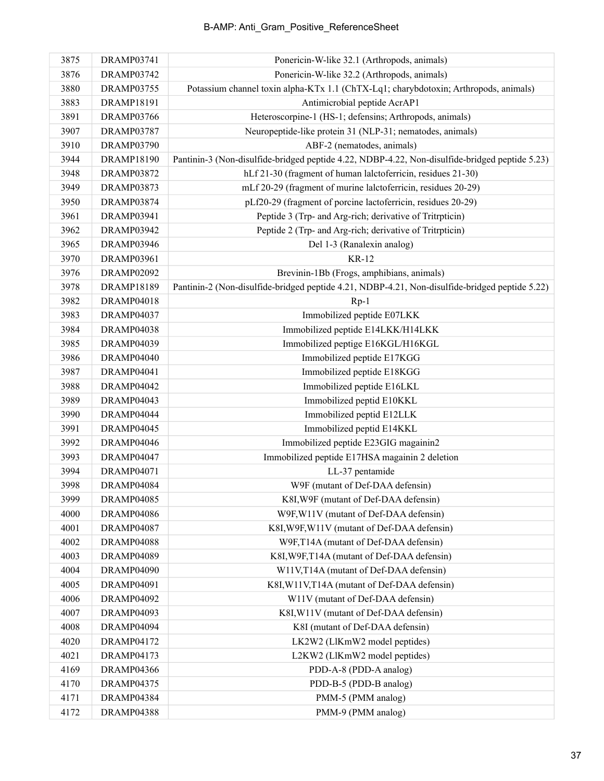| 3875 | DRAMP03741        | Ponericin-W-like 32.1 (Arthropods, animals)                                                    |
|------|-------------------|------------------------------------------------------------------------------------------------|
| 3876 | <b>DRAMP03742</b> | Ponericin-W-like 32.2 (Arthropods, animals)                                                    |
| 3880 | <b>DRAMP03755</b> | Potassium channel toxin alpha-KTx 1.1 (ChTX-Lq1; charybdotoxin; Arthropods, animals)           |
| 3883 | <b>DRAMP18191</b> | Antimicrobial peptide AcrAP1                                                                   |
| 3891 | <b>DRAMP03766</b> | Heteroscorpine-1 (HS-1; defensins; Arthropods, animals)                                        |
| 3907 | <b>DRAMP03787</b> | Neuropeptide-like protein 31 (NLP-31; nematodes, animals)                                      |
| 3910 | <b>DRAMP03790</b> | ABF-2 (nematodes, animals)                                                                     |
| 3944 | <b>DRAMP18190</b> | Pantinin-3 (Non-disulfide-bridged peptide 4.22, NDBP-4.22, Non-disulfide-bridged peptide 5.23) |
| 3948 | <b>DRAMP03872</b> | hLf 21-30 (fragment of human lalctoferricin, residues 21-30)                                   |
| 3949 | <b>DRAMP03873</b> | mLf 20-29 (fragment of murine lalctoferricin, residues 20-29)                                  |
| 3950 | <b>DRAMP03874</b> | pLf20-29 (fragment of porcine lactoferricin, residues 20-29)                                   |
| 3961 | DRAMP03941        | Peptide 3 (Trp- and Arg-rich; derivative of Tritrpticin)                                       |
| 3962 | DRAMP03942        | Peptide 2 (Trp- and Arg-rich; derivative of Tritrpticin)                                       |
| 3965 | DRAMP03946        | Del 1-3 (Ranalexin analog)                                                                     |
| 3970 | <b>DRAMP03961</b> | <b>KR-12</b>                                                                                   |
| 3976 | DRAMP02092        | Brevinin-1Bb (Frogs, amphibians, animals)                                                      |
| 3978 | <b>DRAMP18189</b> | Pantinin-2 (Non-disulfide-bridged peptide 4.21, NDBP-4.21, Non-disulfide-bridged peptide 5.22) |
| 3982 | DRAMP04018        | $Rp-1$                                                                                         |
| 3983 | DRAMP04037        | Immobilized peptide E07LKK                                                                     |
| 3984 | <b>DRAMP04038</b> | Immobilized peptide E14LKK/H14LKK                                                              |
| 3985 | DRAMP04039        | Immobilized peptige E16KGL/H16KGL                                                              |
| 3986 | DRAMP04040        | Immobilized peptide E17KGG                                                                     |
| 3987 | DRAMP04041        | Immobilized peptide E18KGG                                                                     |
| 3988 | DRAMP04042        | Immobilized peptide E16LKL                                                                     |
| 3989 | DRAMP04043        | Immobilized peptid E10KKL                                                                      |
| 3990 | DRAMP04044        | Immobilized peptid E12LLK                                                                      |
| 3991 | DRAMP04045        | Immobilized peptid E14KKL                                                                      |
| 3992 | DRAMP04046        | Immobilized peptide E23GIG magainin2                                                           |
| 3993 | <b>DRAMP04047</b> | Immobilized peptide E17HSA magainin 2 deletion                                                 |
| 3994 | <b>DRAMP04071</b> | LL-37 pentamide                                                                                |
| 3998 | DRAMP04084        | W9F (mutant of Def-DAA defensin)                                                               |
| 3999 | DRAMP04085        | K8I, W9F (mutant of Def-DAA defensin)                                                          |
| 4000 | <b>DRAMP04086</b> | W9F, W11V (mutant of Def-DAA defensin)                                                         |
| 4001 | <b>DRAMP04087</b> | K8I, W9F, W11V (mutant of Def-DAA defensin)                                                    |
| 4002 | <b>DRAMP04088</b> | W9F,T14A (mutant of Def-DAA defensin)                                                          |
| 4003 | DRAMP04089        | K8I, W9F, T14A (mutant of Def-DAA defensin)                                                    |
| 4004 | <b>DRAMP04090</b> | W11V,T14A (mutant of Def-DAA defensin)                                                         |
| 4005 | <b>DRAMP04091</b> | K8I, W11V, T14A (mutant of Def-DAA defensin)                                                   |
| 4006 | DRAMP04092        | W11V (mutant of Def-DAA defensin)                                                              |
| 4007 | DRAMP04093        | K8I, W11V (mutant of Def-DAA defensin)                                                         |
| 4008 | DRAMP04094        | K8I (mutant of Def-DAA defensin)                                                               |
| 4020 | <b>DRAMP04172</b> | LK2W2 (LlKmW2 model peptides)                                                                  |
| 4021 | <b>DRAMP04173</b> | L2KW2 (LlKmW2 model peptides)                                                                  |
| 4169 | DRAMP04366        | PDD-A-8 (PDD-A analog)                                                                         |
| 4170 | <b>DRAMP04375</b> | PDD-B-5 (PDD-B analog)                                                                         |
| 4171 | DRAMP04384        | PMM-5 (PMM analog)                                                                             |
| 4172 | DRAMP04388        | PMM-9 (PMM analog)                                                                             |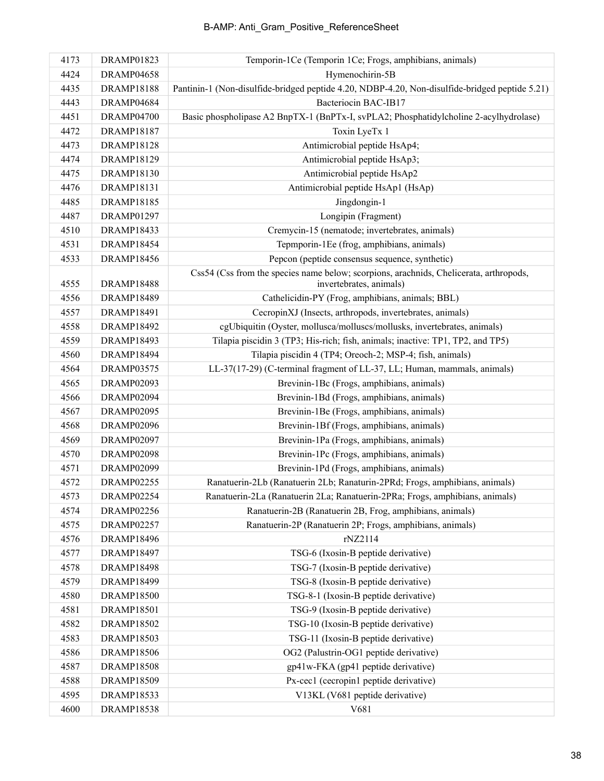| 4173 | DRAMP01823        | Temporin-1Ce (Temporin 1Ce; Frogs, amphibians, animals)                                                           |
|------|-------------------|-------------------------------------------------------------------------------------------------------------------|
| 4424 | DRAMP04658        | Hymenochirin-5B                                                                                                   |
| 4435 | <b>DRAMP18188</b> | Pantinin-1 (Non-disulfide-bridged peptide 4.20, NDBP-4.20, Non-disulfide-bridged peptide 5.21)                    |
| 4443 | DRAMP04684        | Bacteriocin BAC-IB17                                                                                              |
| 4451 | DRAMP04700        | Basic phospholipase A2 BnpTX-1 (BnPTx-I, svPLA2; Phosphatidylcholine 2-acylhydrolase)                             |
| 4472 | <b>DRAMP18187</b> | Toxin LyeTx 1                                                                                                     |
| 4473 | <b>DRAMP18128</b> | Antimicrobial peptide HsAp4;                                                                                      |
| 4474 | DRAMP18129        | Antimicrobial peptide HsAp3;                                                                                      |
| 4475 | DRAMP18130        | Antimicrobial peptide HsAp2                                                                                       |
| 4476 | DRAMP18131        | Antimicrobial peptide HsAp1 (HsAp)                                                                                |
| 4485 | <b>DRAMP18185</b> | Jingdongin-1                                                                                                      |
| 4487 | DRAMP01297        | Longipin (Fragment)                                                                                               |
| 4510 | DRAMP18433        | Cremycin-15 (nematode; invertebrates, animals)                                                                    |
| 4531 | <b>DRAMP18454</b> | Tepmporin-1Ee (frog, amphibians, animals)                                                                         |
| 4533 | <b>DRAMP18456</b> | Pepcon (peptide consensus sequence, synthetic)                                                                    |
| 4555 | <b>DRAMP18488</b> | Css54 (Css from the species name below; scorpions, arachnids, Chelicerata, arthropods,<br>invertebrates, animals) |
| 4556 | <b>DRAMP18489</b> | Cathelicidin-PY (Frog, amphibians, animals; BBL)                                                                  |
| 4557 | DRAMP18491        | CecropinXJ (Insects, arthropods, invertebrates, animals)                                                          |
| 4558 | DRAMP18492        | cgUbiquitin (Oyster, mollusca/molluscs/mollusks, invertebrates, animals)                                          |
| 4559 | <b>DRAMP18493</b> | Tilapia piscidin 3 (TP3; His-rich; fish, animals; inactive: TP1, TP2, and TP5)                                    |
| 4560 | <b>DRAMP18494</b> | Tilapia piscidin 4 (TP4; Oreoch-2; MSP-4; fish, animals)                                                          |
| 4564 | DRAMP03575        | LL-37(17-29) (C-terminal fragment of LL-37, LL; Human, mammals, animals)                                          |
| 4565 | DRAMP02093        | Brevinin-1Bc (Frogs, amphibians, animals)                                                                         |
| 4566 | DRAMP02094        | Brevinin-1Bd (Frogs, amphibians, animals)                                                                         |
| 4567 | DRAMP02095        | Brevinin-1Be (Frogs, amphibians, animals)                                                                         |
| 4568 | DRAMP02096        | Brevinin-1Bf (Frogs, amphibians, animals)                                                                         |
| 4569 | DRAMP02097        | Brevinin-1Pa (Frogs, amphibians, animals)                                                                         |
| 4570 | <b>DRAMP02098</b> | Brevinin-1Pc (Frogs, amphibians, animals)                                                                         |
| 4571 | DRAMP02099        | Brevinin-1Pd (Frogs, amphibians, animals)                                                                         |
| 4572 | <b>DRAMP02255</b> | Ranatuerin-2Lb (Ranatuerin 2Lb; Ranaturin-2PRd; Frogs, amphibians, animals)                                       |
| 4573 | DRAMP02254        | Ranatuerin-2La (Ranatuerin 2La; Ranatuerin-2PRa; Frogs, amphibians, animals)                                      |
| 4574 | DRAMP02256        | Ranatuerin-2B (Ranatuerin 2B, Frog, amphibians, animals)                                                          |
| 4575 | DRAMP02257        | Ranatuerin-2P (Ranatuerin 2P; Frogs, amphibians, animals)                                                         |
| 4576 | <b>DRAMP18496</b> | rNZ2114                                                                                                           |
| 4577 | <b>DRAMP18497</b> | TSG-6 (Ixosin-B peptide derivative)                                                                               |
| 4578 | <b>DRAMP18498</b> | TSG-7 (Ixosin-B peptide derivative)                                                                               |
| 4579 | <b>DRAMP18499</b> | TSG-8 (Ixosin-B peptide derivative)                                                                               |
| 4580 | <b>DRAMP18500</b> | TSG-8-1 (Ixosin-B peptide derivative)                                                                             |
| 4581 | <b>DRAMP18501</b> | TSG-9 (Ixosin-B peptide derivative)                                                                               |
| 4582 | <b>DRAMP18502</b> | TSG-10 (Ixosin-B peptide derivative)                                                                              |
| 4583 | <b>DRAMP18503</b> | TSG-11 (Ixosin-B peptide derivative)                                                                              |
| 4586 | <b>DRAMP18506</b> | OG2 (Palustrin-OG1 peptide derivative)                                                                            |
| 4587 | <b>DRAMP18508</b> | gp41w-FKA (gp41 peptide derivative)                                                                               |
| 4588 | <b>DRAMP18509</b> | Px-cec1 (cecropin1 peptide derivative)                                                                            |
| 4595 | <b>DRAMP18533</b> | V13KL (V681 peptide derivative)                                                                                   |
| 4600 | <b>DRAMP18538</b> | V681                                                                                                              |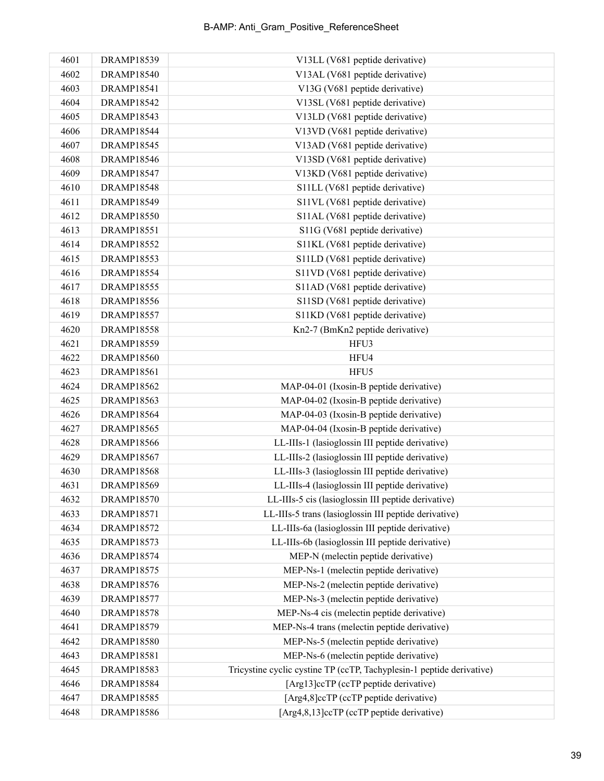| 4601 | DRAMP18539        | V13LL (V681 peptide derivative)                                       |
|------|-------------------|-----------------------------------------------------------------------|
| 4602 | <b>DRAMP18540</b> | V13AL (V681 peptide derivative)                                       |
| 4603 | <b>DRAMP18541</b> | V13G (V681 peptide derivative)                                        |
| 4604 | <b>DRAMP18542</b> | V13SL (V681 peptide derivative)                                       |
| 4605 | <b>DRAMP18543</b> | V13LD (V681 peptide derivative)                                       |
| 4606 | <b>DRAMP18544</b> | V13VD (V681 peptide derivative)                                       |
| 4607 | <b>DRAMP18545</b> | V13AD (V681 peptide derivative)                                       |
| 4608 | <b>DRAMP18546</b> | V13SD (V681 peptide derivative)                                       |
| 4609 | <b>DRAMP18547</b> | V13KD (V681 peptide derivative)                                       |
| 4610 | <b>DRAMP18548</b> | S11LL (V681 peptide derivative)                                       |
| 4611 | <b>DRAMP18549</b> | S11VL (V681 peptide derivative)                                       |
| 4612 | <b>DRAMP18550</b> | S11AL (V681 peptide derivative)                                       |
| 4613 | <b>DRAMP18551</b> | S11G (V681 peptide derivative)                                        |
| 4614 | <b>DRAMP18552</b> | S11KL (V681 peptide derivative)                                       |
| 4615 | <b>DRAMP18553</b> | S11LD (V681 peptide derivative)                                       |
| 4616 | <b>DRAMP18554</b> | S11VD (V681 peptide derivative)                                       |
| 4617 | <b>DRAMP18555</b> | S11AD (V681 peptide derivative)                                       |
| 4618 | <b>DRAMP18556</b> | S11SD (V681 peptide derivative)                                       |
| 4619 | <b>DRAMP18557</b> | S11KD (V681 peptide derivative)                                       |
| 4620 | <b>DRAMP18558</b> | Kn2-7 (BmKn2 peptide derivative)                                      |
| 4621 | <b>DRAMP18559</b> | HFU3                                                                  |
| 4622 | <b>DRAMP18560</b> | HFU4                                                                  |
| 4623 | <b>DRAMP18561</b> | HFU5                                                                  |
| 4624 | <b>DRAMP18562</b> | MAP-04-01 (Ixosin-B peptide derivative)                               |
| 4625 | <b>DRAMP18563</b> | MAP-04-02 (Ixosin-B peptide derivative)                               |
| 4626 | <b>DRAMP18564</b> | MAP-04-03 (Ixosin-B peptide derivative)                               |
| 4627 | <b>DRAMP18565</b> | MAP-04-04 (Ixosin-B peptide derivative)                               |
| 4628 | <b>DRAMP18566</b> | LL-IIIs-1 (lasioglossin III peptide derivative)                       |
| 4629 | <b>DRAMP18567</b> | LL-IIIs-2 (lasioglossin III peptide derivative)                       |
| 4630 | <b>DRAMP18568</b> | LL-IIIs-3 (lasioglossin III peptide derivative)                       |
| 4631 | <b>DRAMP18569</b> | LL-IIIs-4 (lasioglossin III peptide derivative)                       |
| 4632 | <b>DRAMP18570</b> | LL-IIIs-5 cis (lasioglossin III peptide derivative)                   |
| 4633 | <b>DRAMP18571</b> | LL-IIIs-5 trans (lasioglossin III peptide derivative)                 |
| 4634 | <b>DRAMP18572</b> | LL-IIIs-6a (lasioglossin III peptide derivative)                      |
| 4635 | <b>DRAMP18573</b> | LL-IIIs-6b (lasioglossin III peptide derivative)                      |
| 4636 | <b>DRAMP18574</b> | MEP-N (melectin peptide derivative)                                   |
| 4637 | <b>DRAMP18575</b> | MEP-Ns-1 (melectin peptide derivative)                                |
| 4638 | <b>DRAMP18576</b> | MEP-Ns-2 (melectin peptide derivative)                                |
| 4639 | <b>DRAMP18577</b> | MEP-Ns-3 (melectin peptide derivative)                                |
| 4640 | <b>DRAMP18578</b> | MEP-Ns-4 cis (melectin peptide derivative)                            |
| 4641 | <b>DRAMP18579</b> | MEP-Ns-4 trans (melectin peptide derivative)                          |
| 4642 | <b>DRAMP18580</b> | MEP-Ns-5 (melectin peptide derivative)                                |
| 4643 | <b>DRAMP18581</b> | MEP-Ns-6 (melectin peptide derivative)                                |
| 4645 | <b>DRAMP18583</b> | Tricystine cyclic cystine TP (ccTP, Tachyplesin-1 peptide derivative) |
| 4646 | <b>DRAMP18584</b> | [Arg13]ccTP (ccTP peptide derivative)                                 |
| 4647 | <b>DRAMP18585</b> | [Arg4,8]ccTP (ccTP peptide derivative)                                |
| 4648 | <b>DRAMP18586</b> | [Arg4,8,13]ccTP (ccTP peptide derivative)                             |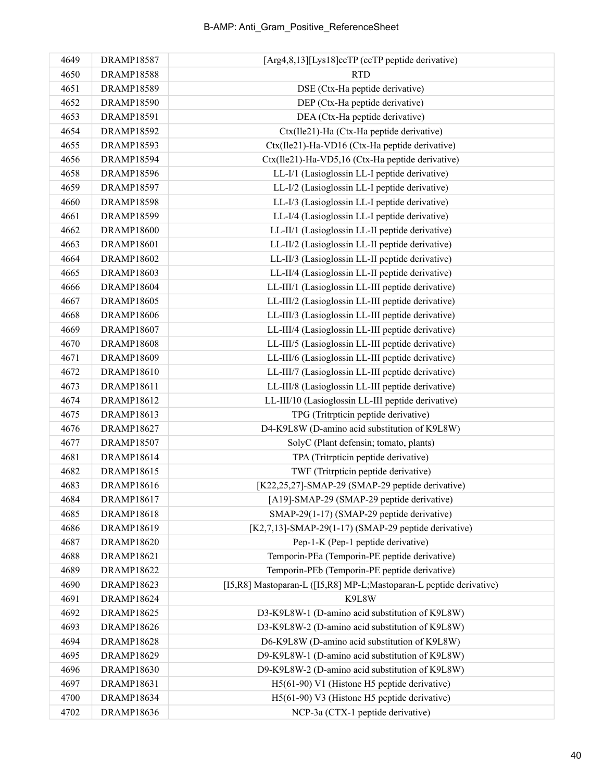| 4649 | <b>DRAMP18587</b> | [Arg4,8,13][Lys18]ccTP (ccTP peptide derivative)                     |
|------|-------------------|----------------------------------------------------------------------|
| 4650 | <b>DRAMP18588</b> | <b>RTD</b>                                                           |
| 4651 | <b>DRAMP18589</b> | DSE (Ctx-Ha peptide derivative)                                      |
| 4652 | <b>DRAMP18590</b> | DEP (Ctx-Ha peptide derivative)                                      |
| 4653 | <b>DRAMP18591</b> | DEA (Ctx-Ha peptide derivative)                                      |
| 4654 | DRAMP18592        | Ctx(Ile21)-Ha (Ctx-Ha peptide derivative)                            |
| 4655 | <b>DRAMP18593</b> | Ctx(Ile21)-Ha-VD16 (Ctx-Ha peptide derivative)                       |
| 4656 | <b>DRAMP18594</b> | Ctx(Ile21)-Ha-VD5,16 (Ctx-Ha peptide derivative)                     |
| 4658 | <b>DRAMP18596</b> | LL-I/1 (Lasioglossin LL-I peptide derivative)                        |
| 4659 | <b>DRAMP18597</b> | LL-I/2 (Lasioglossin LL-I peptide derivative)                        |
| 4660 | <b>DRAMP18598</b> | LL-I/3 (Lasioglossin LL-I peptide derivative)                        |
| 4661 | <b>DRAMP18599</b> | LL-I/4 (Lasioglossin LL-I peptide derivative)                        |
| 4662 | <b>DRAMP18600</b> | LL-II/1 (Lasioglossin LL-II peptide derivative)                      |
| 4663 | <b>DRAMP18601</b> | LL-II/2 (Lasioglossin LL-II peptide derivative)                      |
| 4664 | <b>DRAMP18602</b> | LL-II/3 (Lasioglossin LL-II peptide derivative)                      |
| 4665 | <b>DRAMP18603</b> | LL-II/4 (Lasioglossin LL-II peptide derivative)                      |
| 4666 | <b>DRAMP18604</b> | LL-III/1 (Lasioglossin LL-III peptide derivative)                    |
| 4667 | <b>DRAMP18605</b> | LL-III/2 (Lasioglossin LL-III peptide derivative)                    |
| 4668 | <b>DRAMP18606</b> | LL-III/3 (Lasioglossin LL-III peptide derivative)                    |
| 4669 | <b>DRAMP18607</b> | LL-III/4 (Lasioglossin LL-III peptide derivative)                    |
| 4670 | <b>DRAMP18608</b> | LL-III/5 (Lasioglossin LL-III peptide derivative)                    |
| 4671 | <b>DRAMP18609</b> | LL-III/6 (Lasioglossin LL-III peptide derivative)                    |
| 4672 | DRAMP18610        | LL-III/7 (Lasioglossin LL-III peptide derivative)                    |
| 4673 | <b>DRAMP18611</b> | LL-III/8 (Lasioglossin LL-III peptide derivative)                    |
| 4674 | <b>DRAMP18612</b> | LL-III/10 (Lasioglossin LL-III peptide derivative)                   |
| 4675 | <b>DRAMP18613</b> | TPG (Tritrpticin peptide derivative)                                 |
| 4676 | <b>DRAMP18627</b> | D4-K9L8W (D-amino acid substitution of K9L8W)                        |
| 4677 | <b>DRAMP18507</b> | SolyC (Plant defensin; tomato, plants)                               |
| 4681 | DRAMP18614        | TPA (Tritrpticin peptide derivative)                                 |
| 4682 | <b>DRAMP18615</b> | TWF (Tritrpticin peptide derivative)                                 |
| 4683 | <b>DRAMP18616</b> | [K22,25,27]-SMAP-29 (SMAP-29 peptide derivative)                     |
| 4684 | <b>DRAMP18617</b> | [A19]-SMAP-29 (SMAP-29 peptide derivative)                           |
| 4685 | <b>DRAMP18618</b> | SMAP-29(1-17) (SMAP-29 peptide derivative)                           |
| 4686 | DRAMP18619        | $[K2,7,13]$ -SMAP-29(1-17) (SMAP-29 peptide derivative)              |
| 4687 | <b>DRAMP18620</b> | Pep-1-K (Pep-1 peptide derivative)                                   |
| 4688 | <b>DRAMP18621</b> | Temporin-PEa (Temporin-PE peptide derivative)                        |
| 4689 | <b>DRAMP18622</b> | Temporin-PEb (Temporin-PE peptide derivative)                        |
| 4690 | <b>DRAMP18623</b> | [I5,R8] Mastoparan-L ([I5,R8] MP-L; Mastoparan-L peptide derivative) |
| 4691 | <b>DRAMP18624</b> | K9L8W                                                                |
| 4692 | <b>DRAMP18625</b> | D3-K9L8W-1 (D-amino acid substitution of K9L8W)                      |
| 4693 | <b>DRAMP18626</b> | D3-K9L8W-2 (D-amino acid substitution of K9L8W)                      |
| 4694 | <b>DRAMP18628</b> | D6-K9L8W (D-amino acid substitution of K9L8W)                        |
| 4695 | <b>DRAMP18629</b> | D9-K9L8W-1 (D-amino acid substitution of K9L8W)                      |
| 4696 | <b>DRAMP18630</b> | D9-K9L8W-2 (D-amino acid substitution of K9L8W)                      |
| 4697 | <b>DRAMP18631</b> | H5(61-90) V1 (Histone H5 peptide derivative)                         |
| 4700 | <b>DRAMP18634</b> | H5(61-90) V3 (Histone H5 peptide derivative)                         |
| 4702 | <b>DRAMP18636</b> | NCP-3a (CTX-1 peptide derivative)                                    |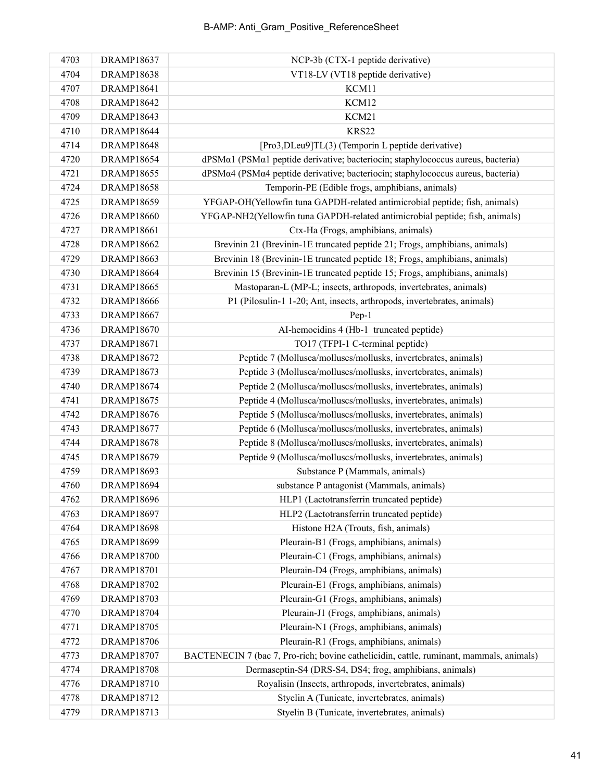| 4703 | <b>DRAMP18637</b> | NCP-3b (CTX-1 peptide derivative)                                                       |
|------|-------------------|-----------------------------------------------------------------------------------------|
| 4704 | <b>DRAMP18638</b> | VT18-LV (VT18 peptide derivative)                                                       |
| 4707 | DRAMP18641        | KCM11                                                                                   |
| 4708 | <b>DRAMP18642</b> | KCM12                                                                                   |
| 4709 | <b>DRAMP18643</b> | KCM21                                                                                   |
| 4710 | <b>DRAMP18644</b> | <b>KRS22</b>                                                                            |
| 4714 | <b>DRAMP18648</b> | [Pro3,DLeu9]TL(3) (Temporin L peptide derivative)                                       |
| 4720 | <b>DRAMP18654</b> | dPSMα1 (PSMα1 peptide derivative; bacteriocin; staphylococcus aureus, bacteria)         |
| 4721 | <b>DRAMP18655</b> | dPSMα4 (PSMα4 peptide derivative; bacteriocin; staphylococcus aureus, bacteria)         |
| 4724 | <b>DRAMP18658</b> | Temporin-PE (Edible frogs, amphibians, animals)                                         |
| 4725 | <b>DRAMP18659</b> | YFGAP-OH(Yellowfin tuna GAPDH-related antimicrobial peptide; fish, animals)             |
| 4726 | <b>DRAMP18660</b> | YFGAP-NH2(Yellowfin tuna GAPDH-related antimicrobial peptide; fish, animals)            |
| 4727 | <b>DRAMP18661</b> | Ctx-Ha (Frogs, amphibians, animals)                                                     |
| 4728 | <b>DRAMP18662</b> | Brevinin 21 (Brevinin-1E truncated peptide 21; Frogs, amphibians, animals)              |
| 4729 | <b>DRAMP18663</b> | Brevinin 18 (Brevinin-1E truncated peptide 18; Frogs, amphibians, animals)              |
| 4730 | <b>DRAMP18664</b> | Brevinin 15 (Brevinin-1E truncated peptide 15; Frogs, amphibians, animals)              |
| 4731 | <b>DRAMP18665</b> | Mastoparan-L (MP-L; insects, arthropods, invertebrates, animals)                        |
| 4732 | <b>DRAMP18666</b> | P1 (Pilosulin-1 1-20; Ant, insects, arthropods, invertebrates, animals)                 |
| 4733 | <b>DRAMP18667</b> | Pep-1                                                                                   |
| 4736 | <b>DRAMP18670</b> | AI-hemocidins 4 (Hb-1 truncated peptide)                                                |
| 4737 | <b>DRAMP18671</b> | TO17 (TFPI-1 C-terminal peptide)                                                        |
| 4738 | <b>DRAMP18672</b> | Peptide 7 (Mollusca/molluscs/mollusks, invertebrates, animals)                          |
| 4739 | <b>DRAMP18673</b> | Peptide 3 (Mollusca/molluscs/mollusks, invertebrates, animals)                          |
| 4740 | <b>DRAMP18674</b> | Peptide 2 (Mollusca/molluscs/mollusks, invertebrates, animals)                          |
| 4741 | <b>DRAMP18675</b> | Peptide 4 (Mollusca/molluscs/mollusks, invertebrates, animals)                          |
| 4742 | <b>DRAMP18676</b> | Peptide 5 (Mollusca/molluscs/mollusks, invertebrates, animals)                          |
| 4743 | <b>DRAMP18677</b> | Peptide 6 (Mollusca/molluscs/mollusks, invertebrates, animals)                          |
| 4744 | <b>DRAMP18678</b> | Peptide 8 (Mollusca/molluscs/mollusks, invertebrates, animals)                          |
| 4745 | <b>DRAMP18679</b> | Peptide 9 (Mollusca/molluscs/mollusks, invertebrates, animals)                          |
| 4759 | <b>DRAMP18693</b> | Substance P (Mammals, animals)                                                          |
| 4760 | <b>DRAMP18694</b> | substance P antagonist (Mammals, animals)                                               |
| 4762 | <b>DRAMP18696</b> | HLP1 (Lactotransferrin truncated peptide)                                               |
| 4763 | <b>DRAMP18697</b> | HLP2 (Lactotransferrin truncated peptide)                                               |
| 4764 | <b>DRAMP18698</b> | Histone H2A (Trouts, fish, animals)                                                     |
| 4765 | <b>DRAMP18699</b> | Pleurain-B1 (Frogs, amphibians, animals)                                                |
| 4766 | <b>DRAMP18700</b> | Pleurain-C1 (Frogs, amphibians, animals)                                                |
| 4767 | <b>DRAMP18701</b> | Pleurain-D4 (Frogs, amphibians, animals)                                                |
| 4768 | <b>DRAMP18702</b> | Pleurain-E1 (Frogs, amphibians, animals)                                                |
| 4769 | <b>DRAMP18703</b> | Pleurain-G1 (Frogs, amphibians, animals)                                                |
| 4770 | <b>DRAMP18704</b> | Pleurain-J1 (Frogs, amphibians, animals)                                                |
| 4771 | <b>DRAMP18705</b> | Pleurain-N1 (Frogs, amphibians, animals)                                                |
| 4772 | <b>DRAMP18706</b> | Pleurain-R1 (Frogs, amphibians, animals)                                                |
| 4773 | <b>DRAMP18707</b> | BACTENECIN 7 (bac 7, Pro-rich; bovine cathelicidin, cattle, ruminant, mammals, animals) |
| 4774 | <b>DRAMP18708</b> | Dermaseptin-S4 (DRS-S4, DS4; frog, amphibians, animals)                                 |
| 4776 | DRAMP18710        | Royalisin (Insects, arthropods, invertebrates, animals)                                 |
| 4778 | DRAMP18712        | Styelin A (Tunicate, invertebrates, animals)                                            |
| 4779 | DRAMP18713        | Styelin B (Tunicate, invertebrates, animals)                                            |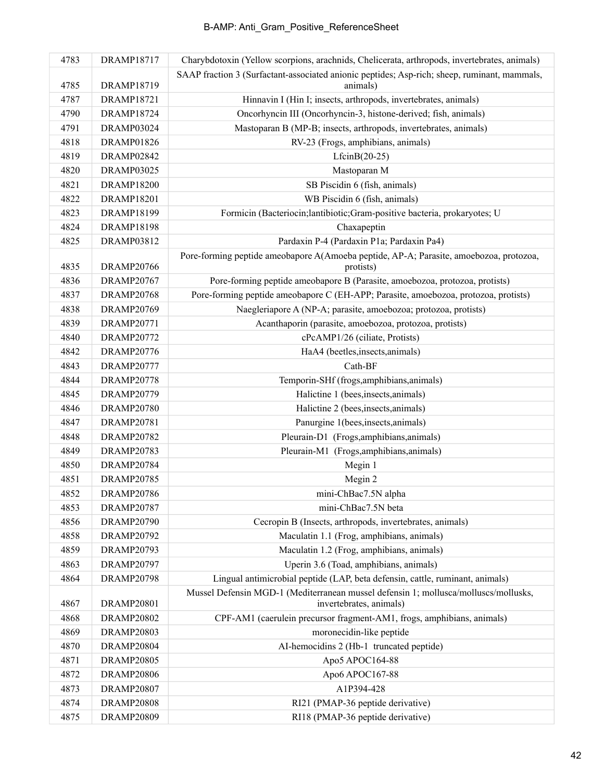| 4783 | <b>DRAMP18717</b> | Charybdotoxin (Yellow scorpions, arachnids, Chelicerata, arthropods, invertebrates, animals) |
|------|-------------------|----------------------------------------------------------------------------------------------|
|      |                   | SAAP fraction 3 (Surfactant-associated anionic peptides; Asp-rich; sheep, ruminant, mammals, |
| 4785 | <b>DRAMP18719</b> | animals)                                                                                     |
| 4787 | <b>DRAMP18721</b> | Hinnavin I (Hin I; insects, arthropods, invertebrates, animals)                              |
| 4790 | <b>DRAMP18724</b> | Oncorhyncin III (Oncorhyncin-3, histone-derived; fish, animals)                              |
| 4791 | DRAMP03024        | Mastoparan B (MP-B; insects, arthropods, invertebrates, animals)                             |
| 4818 | <b>DRAMP01826</b> | RV-23 (Frogs, amphibians, animals)                                                           |
| 4819 | DRAMP02842        | $LfcinB(20-25)$                                                                              |
| 4820 | DRAMP03025        | Mastoparan M                                                                                 |
| 4821 | <b>DRAMP18200</b> | SB Piscidin 6 (fish, animals)                                                                |
| 4822 | <b>DRAMP18201</b> | WB Piscidin 6 (fish, animals)                                                                |
| 4823 | <b>DRAMP18199</b> | Formicin (Bacteriocin;lantibiotic;Gram-positive bacteria, prokaryotes; U                     |
| 4824 | <b>DRAMP18198</b> | Chaxapeptin                                                                                  |
| 4825 | DRAMP03812        | Pardaxin P-4 (Pardaxin P1a; Pardaxin Pa4)                                                    |
|      |                   | Pore-forming peptide ameobapore A(Amoeba peptide, AP-A; Parasite, amoebozoa, protozoa,       |
| 4835 | <b>DRAMP20766</b> | protists)                                                                                    |
| 4836 | <b>DRAMP20767</b> | Pore-forming peptide ameobapore B (Parasite, amoebozoa, protozoa, protists)                  |
| 4837 | <b>DRAMP20768</b> | Pore-forming peptide ameobapore C (EH-APP; Parasite, amoebozoa, protozoa, protists)          |
| 4838 | <b>DRAMP20769</b> | Naegleriapore A (NP-A; parasite, amoebozoa; protozoa, protists)                              |
| 4839 | <b>DRAMP20771</b> | Acanthaporin (parasite, amoebozoa, protozoa, protists)                                       |
| 4840 | <b>DRAMP20772</b> | cPcAMP1/26 (ciliate, Protists)                                                               |
| 4842 | <b>DRAMP20776</b> | HaA4 (beetles, insects, animals)                                                             |
| 4843 | <b>DRAMP20777</b> | Cath-BF                                                                                      |
| 4844 | <b>DRAMP20778</b> | Temporin-SHf (frogs, amphibians, animals)                                                    |
| 4845 | <b>DRAMP20779</b> | Halictine 1 (bees, insects, animals)                                                         |
| 4846 | <b>DRAMP20780</b> | Halictine 2 (bees, insects, animals)                                                         |
| 4847 | <b>DRAMP20781</b> | Panurgine 1(bees, insects, animals)                                                          |
| 4848 | <b>DRAMP20782</b> | Pleurain-D1 (Frogs, amphibians, animals)                                                     |
| 4849 | <b>DRAMP20783</b> | Pleurain-M1 (Frogs, amphibians, animals)                                                     |
| 4850 | <b>DRAMP20784</b> | Megin 1                                                                                      |
| 4851 | <b>DRAMP20785</b> | Megin 2                                                                                      |
| 4852 | <b>DRAMP20786</b> | mini-ChBac7.5N alpha                                                                         |
| 4853 | <b>DRAMP20787</b> | mini-ChBac7.5N beta                                                                          |
| 4856 | <b>DRAMP20790</b> | Cecropin B (Insects, arthropods, invertebrates, animals)                                     |
| 4858 | <b>DRAMP20792</b> | Maculatin 1.1 (Frog, amphibians, animals)                                                    |
| 4859 | <b>DRAMP20793</b> | Maculatin 1.2 (Frog, amphibians, animals)                                                    |
| 4863 | <b>DRAMP20797</b> | Uperin 3.6 (Toad, amphibians, animals)                                                       |
| 4864 | <b>DRAMP20798</b> | Lingual antimicrobial peptide (LAP, beta defensin, cattle, ruminant, animals)                |
|      |                   | Mussel Defensin MGD-1 (Mediterranean mussel defensin 1; mollusca/molluscs/mollusks,          |
| 4867 | <b>DRAMP20801</b> | invertebrates, animals)                                                                      |
| 4868 | <b>DRAMP20802</b> | CPF-AM1 (caerulein precursor fragment-AM1, frogs, amphibians, animals)                       |
| 4869 | <b>DRAMP20803</b> | moronecidin-like peptide                                                                     |
| 4870 | DRAMP20804        | AI-hemocidins 2 (Hb-1 truncated peptide)                                                     |
| 4871 | <b>DRAMP20805</b> | Apo5 APOC164-88                                                                              |
| 4872 | <b>DRAMP20806</b> | Apo6 APOC167-88                                                                              |
| 4873 | <b>DRAMP20807</b> | A1P394-428                                                                                   |
| 4874 | <b>DRAMP20808</b> | RI21 (PMAP-36 peptide derivative)                                                            |
| 4875 | <b>DRAMP20809</b> | RI18 (PMAP-36 peptide derivative)                                                            |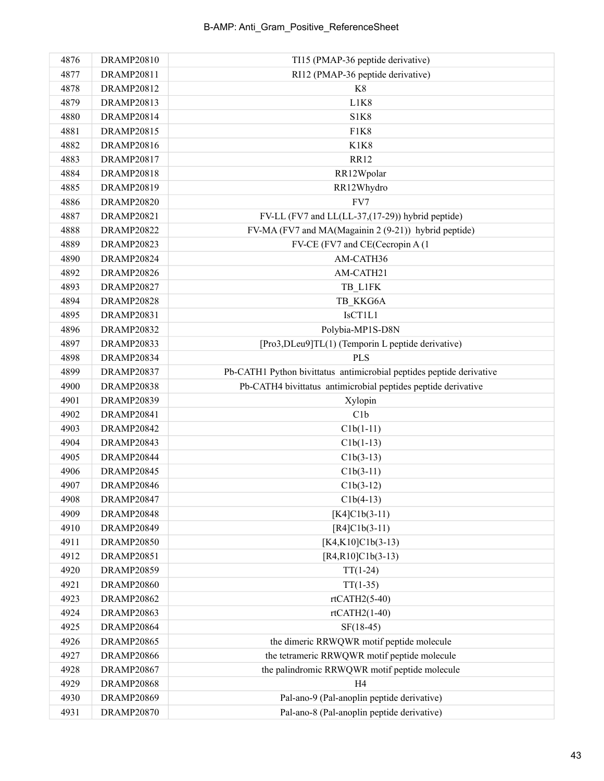| 4876 | <b>DRAMP20810</b> | TI15 (PMAP-36 peptide derivative)                                    |
|------|-------------------|----------------------------------------------------------------------|
| 4877 | DRAMP20811        | RI12 (PMAP-36 peptide derivative)                                    |
| 4878 | <b>DRAMP20812</b> | K8                                                                   |
| 4879 | <b>DRAMP20813</b> | L1K8                                                                 |
| 4880 | <b>DRAMP20814</b> | <b>S1K8</b>                                                          |
| 4881 | <b>DRAMP20815</b> | F1K8                                                                 |
| 4882 | <b>DRAMP20816</b> | <b>K1K8</b>                                                          |
| 4883 | <b>DRAMP20817</b> | <b>RR12</b>                                                          |
| 4884 | <b>DRAMP20818</b> | RR12Wpolar                                                           |
| 4885 | <b>DRAMP20819</b> | RR12Whydro                                                           |
| 4886 | <b>DRAMP20820</b> | FV7                                                                  |
| 4887 | <b>DRAMP20821</b> | FV-LL (FV7 and LL(LL-37,(17-29)) hybrid peptide)                     |
| 4888 | <b>DRAMP20822</b> | FV-MA (FV7 and MA(Magainin 2 (9-21)) hybrid peptide)                 |
| 4889 | <b>DRAMP20823</b> | FV-CE (FV7 and CE(Cecropin A (1)                                     |
| 4890 | <b>DRAMP20824</b> | AM-CATH36                                                            |
| 4892 | <b>DRAMP20826</b> | AM-CATH21                                                            |
| 4893 | <b>DRAMP20827</b> | TB L1FK                                                              |
| 4894 | <b>DRAMP20828</b> | TB KKG6A                                                             |
| 4895 | <b>DRAMP20831</b> | IsCT1L1                                                              |
| 4896 | <b>DRAMP20832</b> | Polybia-MP1S-D8N                                                     |
| 4897 | <b>DRAMP20833</b> | [Pro3,DLeu9]TL(1) (Temporin L peptide derivative)                    |
| 4898 | <b>DRAMP20834</b> | <b>PLS</b>                                                           |
| 4899 | <b>DRAMP20837</b> | Pb-CATH1 Python bivittatus antimicrobial peptides peptide derivative |
| 4900 | <b>DRAMP20838</b> | Pb-CATH4 bivittatus antimicrobial peptides peptide derivative        |
| 4901 | <b>DRAMP20839</b> | Xylopin                                                              |
| 4902 | <b>DRAMP20841</b> | C1b                                                                  |
| 4903 | <b>DRAMP20842</b> | $Clb(1-11)$                                                          |
| 4904 | <b>DRAMP20843</b> | $Clb(1-13)$                                                          |
| 4905 | DRAMP20844        | $Clb(3-13)$                                                          |
| 4906 | <b>DRAMP20845</b> | $Clb(3-11)$                                                          |
| 4907 | <b>DRAMP20846</b> | $Clb(3-12)$                                                          |
| 4908 | <b>DRAMP20847</b> | $Clb(4-13)$                                                          |
| 4909 | <b>DRAMP20848</b> | $[K4]C1b(3-11)$                                                      |
| 4910 | <b>DRAMP20849</b> | $[R4]C1b(3-11)$                                                      |
| 4911 | <b>DRAMP20850</b> | $[K4, K10]C1b(3-13)$                                                 |
| 4912 | <b>DRAMP20851</b> | $[R4,R10]C1b(3-13)$                                                  |
| 4920 | <b>DRAMP20859</b> | $TT(1-24)$                                                           |
| 4921 | <b>DRAMP20860</b> | $TT(1-35)$                                                           |
| 4923 | <b>DRAMP20862</b> | $rtCATH2(5-40)$                                                      |
| 4924 | <b>DRAMP20863</b> | $rtCATH2(1-40)$                                                      |
| 4925 | DRAMP20864        | $SF(18-45)$                                                          |
| 4926 | <b>DRAMP20865</b> | the dimeric RRWQWR motif peptide molecule                            |
| 4927 | <b>DRAMP20866</b> | the tetrameric RRWQWR motif peptide molecule                         |
| 4928 | <b>DRAMP20867</b> | the palindromic RRWQWR motif peptide molecule                        |
| 4929 | <b>DRAMP20868</b> | H <sub>4</sub>                                                       |
| 4930 | <b>DRAMP20869</b> | Pal-ano-9 (Pal-anoplin peptide derivative)                           |
| 4931 | <b>DRAMP20870</b> | Pal-ano-8 (Pal-anoplin peptide derivative)                           |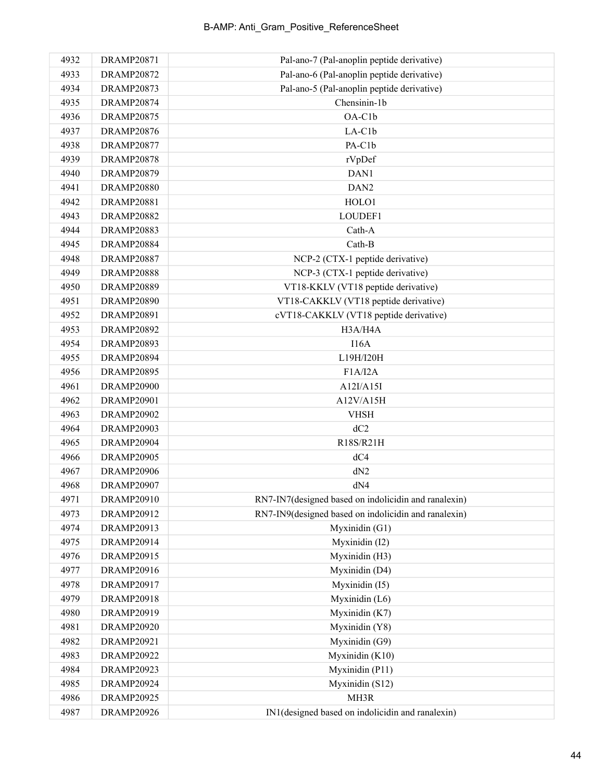| 4932 | <b>DRAMP20871</b> | Pal-ano-7 (Pal-anoplin peptide derivative)           |
|------|-------------------|------------------------------------------------------|
| 4933 | <b>DRAMP20872</b> | Pal-ano-6 (Pal-anoplin peptide derivative)           |
| 4934 | <b>DRAMP20873</b> | Pal-ano-5 (Pal-anoplin peptide derivative)           |
| 4935 | <b>DRAMP20874</b> | Chensinin-1b                                         |
| 4936 | <b>DRAMP20875</b> | OA-C1b                                               |
| 4937 | <b>DRAMP20876</b> | LA-C1b                                               |
| 4938 | <b>DRAMP20877</b> | PA-C1b                                               |
| 4939 | <b>DRAMP20878</b> | rVpDef                                               |
| 4940 | <b>DRAMP20879</b> | DAN1                                                 |
| 4941 | <b>DRAMP20880</b> | DAN <sub>2</sub>                                     |
| 4942 | <b>DRAMP20881</b> | HOLO1                                                |
| 4943 | <b>DRAMP20882</b> | LOUDEF1                                              |
| 4944 | <b>DRAMP20883</b> | Cath-A                                               |
| 4945 | <b>DRAMP20884</b> | Cath-B                                               |
| 4948 | <b>DRAMP20887</b> | NCP-2 (CTX-1 peptide derivative)                     |
| 4949 | <b>DRAMP20888</b> | NCP-3 (CTX-1 peptide derivative)                     |
| 4950 | <b>DRAMP20889</b> | VT18-KKLV (VT18 peptide derivative)                  |
| 4951 | <b>DRAMP20890</b> | VT18-CAKKLV (VT18 peptide derivative)                |
| 4952 | <b>DRAMP20891</b> | cVT18-CAKKLV (VT18 peptide derivative)               |
| 4953 | <b>DRAMP20892</b> | H3A/H4A                                              |
| 4954 | <b>DRAMP20893</b> | I16A                                                 |
| 4955 | <b>DRAMP20894</b> | L19H/I20H                                            |
| 4956 | <b>DRAMP20895</b> | F1A/IZA                                              |
| 4961 | <b>DRAMP20900</b> | A12I/A15I                                            |
| 4962 | <b>DRAMP20901</b> | A12V/A15H                                            |
| 4963 | <b>DRAMP20902</b> | <b>VHSH</b>                                          |
| 4964 | <b>DRAMP20903</b> | dC2                                                  |
| 4965 | DRAMP20904        | R18S/R21H                                            |
| 4966 | <b>DRAMP20905</b> | dC4                                                  |
| 4967 | <b>DRAMP20906</b> | dN2                                                  |
| 4968 | DRAMP20907        | dN4                                                  |
| 4971 | <b>DRAMP20910</b> | RN7-IN7(designed based on indolicidin and ranalexin) |
| 4973 | DRAMP20912        | RN7-IN9(designed based on indolicidin and ranalexin) |
| 4974 | DRAMP20913        | Myxinidin (G1)                                       |
| 4975 | DRAMP20914        | Myxinidin (I2)                                       |
| 4976 | DRAMP20915        | Myxinidin (H3)                                       |
| 4977 | DRAMP20916        | Myxinidin (D4)                                       |
| 4978 | <b>DRAMP20917</b> | Myxinidin (I5)                                       |
| 4979 | <b>DRAMP20918</b> | Myxinidin (L6)                                       |
| 4980 | DRAMP20919        | Myxinidin (K7)                                       |
| 4981 | <b>DRAMP20920</b> | Myxinidin (Y8)                                       |
| 4982 | <b>DRAMP20921</b> | Myxinidin (G9)                                       |
| 4983 | <b>DRAMP20922</b> | Myxinidin (K10)                                      |
| 4984 | <b>DRAMP20923</b> | Myxinidin (P11)                                      |
| 4985 | <b>DRAMP20924</b> | Myxinidin (S12)                                      |
| 4986 | <b>DRAMP20925</b> | MH3R                                                 |
| 4987 | <b>DRAMP20926</b> | IN1(designed based on indolicidin and ranalexin)     |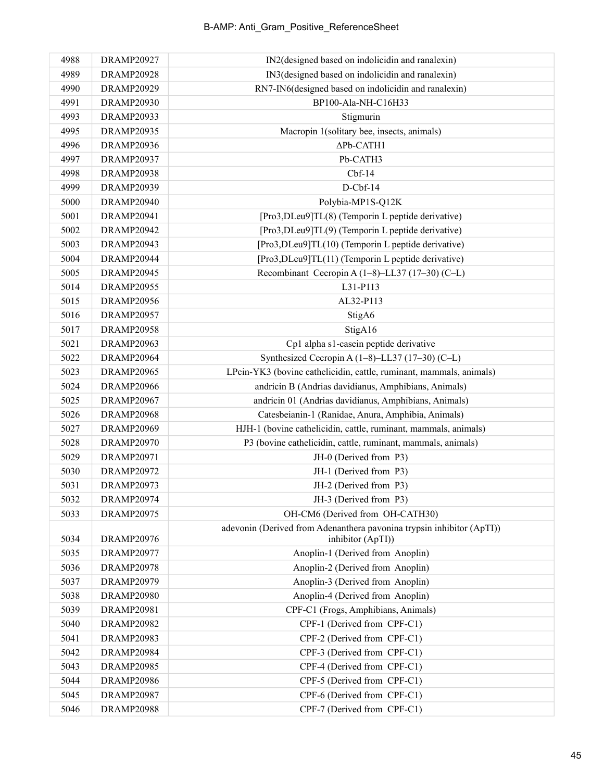| 4988 | <b>DRAMP20927</b> | IN2(designed based on indolicidin and ranalexin)                      |
|------|-------------------|-----------------------------------------------------------------------|
| 4989 | <b>DRAMP20928</b> | IN3(designed based on indolicidin and ranalexin)                      |
| 4990 | <b>DRAMP20929</b> | RN7-IN6(designed based on indolicidin and ranalexin)                  |
| 4991 | <b>DRAMP20930</b> | BP100-Ala-NH-C16H33                                                   |
| 4993 | <b>DRAMP20933</b> | Stigmurin                                                             |
| 4995 | <b>DRAMP20935</b> | Macropin 1(solitary bee, insects, animals)                            |
| 4996 | <b>DRAMP20936</b> | $\Delta$ Pb-CATH1                                                     |
| 4997 | <b>DRAMP20937</b> | Pb-CATH3                                                              |
| 4998 | <b>DRAMP20938</b> | $Cbf-14$                                                              |
| 4999 | <b>DRAMP20939</b> | $D$ -Cbf-14                                                           |
| 5000 | <b>DRAMP20940</b> | Polybia-MP1S-Q12K                                                     |
| 5001 | <b>DRAMP20941</b> | [Pro3,DLeu9]TL(8) (Temporin L peptide derivative)                     |
| 5002 | <b>DRAMP20942</b> | [Pro3,DLeu9]TL(9) (Temporin L peptide derivative)                     |
| 5003 | <b>DRAMP20943</b> | [Pro3,DLeu9]TL(10) (Temporin L peptide derivative)                    |
| 5004 | DRAMP20944        | [Pro3,DLeu9]TL(11) (Temporin L peptide derivative)                    |
| 5005 | <b>DRAMP20945</b> | Recombinant Cecropin A (1-8)-LL37 (17-30) (C-L)                       |
| 5014 | <b>DRAMP20955</b> | L31-P113                                                              |
| 5015 | <b>DRAMP20956</b> | AL32-P113                                                             |
| 5016 | <b>DRAMP20957</b> | StigA6                                                                |
| 5017 | <b>DRAMP20958</b> | StigA16                                                               |
| 5021 | <b>DRAMP20963</b> | Cp1 alpha s1-casein peptide derivative                                |
| 5022 | <b>DRAMP20964</b> | Synthesized Cecropin A (1-8)-LL37 (17-30) (C-L)                       |
| 5023 | <b>DRAMP20965</b> | LPcin-YK3 (bovine cathelicidin, cattle, ruminant, mammals, animals)   |
| 5024 | <b>DRAMP20966</b> | andricin B (Andrias davidianus, Amphibians, Animals)                  |
| 5025 | <b>DRAMP20967</b> | andricin 01 (Andrias davidianus, Amphibians, Animals)                 |
| 5026 | <b>DRAMP20968</b> | Catesbeianin-1 (Ranidae, Anura, Amphibia, Animals)                    |
| 5027 | <b>DRAMP20969</b> | HJH-1 (bovine cathelicidin, cattle, ruminant, mammals, animals)       |
| 5028 | <b>DRAMP20970</b> | P3 (bovine cathelicidin, cattle, ruminant, mammals, animals)          |
| 5029 | <b>DRAMP20971</b> | JH-0 (Derived from P3)                                                |
| 5030 | <b>DRAMP20972</b> | JH-1 (Derived from P3)                                                |
| 5031 | <b>DRAMP20973</b> | JH-2 (Derived from P3)                                                |
| 5032 | <b>DRAMP20974</b> | JH-3 (Derived from P3)                                                |
| 5033 | <b>DRAMP20975</b> | OH-CM6 (Derived from OH-CATH30)                                       |
|      |                   | adevonin (Derived from Adenanthera pavonina trypsin inhibitor (ApTI)) |
| 5034 | <b>DRAMP20976</b> | inhibitor (ApTI))                                                     |
| 5035 | <b>DRAMP20977</b> | Anoplin-1 (Derived from Anoplin)                                      |
| 5036 | <b>DRAMP20978</b> | Anoplin-2 (Derived from Anoplin)                                      |
| 5037 | <b>DRAMP20979</b> | Anoplin-3 (Derived from Anoplin)                                      |
| 5038 | <b>DRAMP20980</b> | Anoplin-4 (Derived from Anoplin)                                      |
| 5039 | <b>DRAMP20981</b> | CPF-C1 (Frogs, Amphibians, Animals)                                   |
| 5040 | <b>DRAMP20982</b> | CPF-1 (Derived from CPF-C1)                                           |
| 5041 | <b>DRAMP20983</b> | CPF-2 (Derived from CPF-C1)                                           |
| 5042 | <b>DRAMP20984</b> | CPF-3 (Derived from CPF-C1)                                           |
| 5043 | <b>DRAMP20985</b> | CPF-4 (Derived from CPF-C1)                                           |
| 5044 | <b>DRAMP20986</b> | CPF-5 (Derived from CPF-C1)                                           |
| 5045 | <b>DRAMP20987</b> | CPF-6 (Derived from CPF-C1)                                           |
| 5046 | <b>DRAMP20988</b> | CPF-7 (Derived from CPF-C1)                                           |
|      |                   |                                                                       |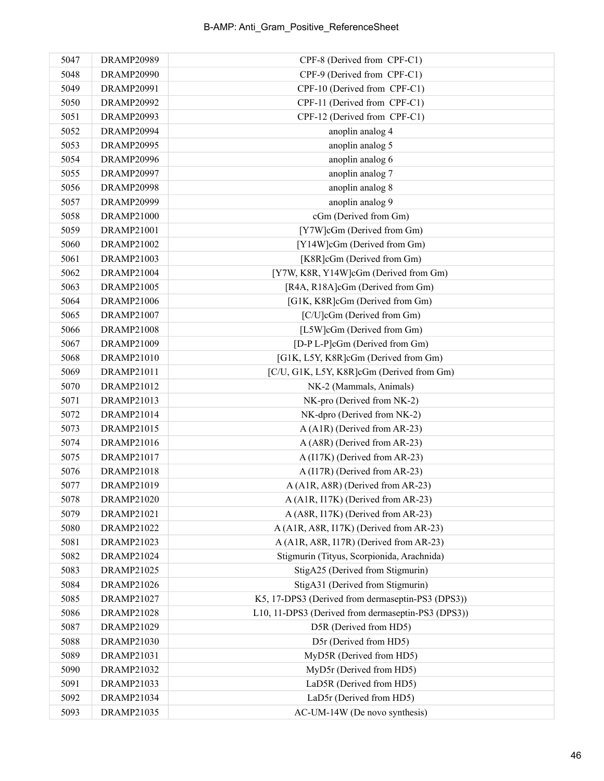| 5047 | <b>DRAMP20989</b> | CPF-8 (Derived from CPF-C1)                        |
|------|-------------------|----------------------------------------------------|
| 5048 | <b>DRAMP20990</b> | CPF-9 (Derived from CPF-C1)                        |
| 5049 | DRAMP20991        | CPF-10 (Derived from CPF-C1)                       |
| 5050 | <b>DRAMP20992</b> | CPF-11 (Derived from CPF-C1)                       |
| 5051 | DRAMP20993        | CPF-12 (Derived from CPF-C1)                       |
| 5052 | DRAMP20994        | anoplin analog 4                                   |
| 5053 | <b>DRAMP20995</b> | anoplin analog 5                                   |
| 5054 | <b>DRAMP20996</b> | anoplin analog 6                                   |
| 5055 | <b>DRAMP20997</b> | anoplin analog 7                                   |
| 5056 | <b>DRAMP20998</b> | anoplin analog 8                                   |
| 5057 | DRAMP20999        | anoplin analog 9                                   |
| 5058 | <b>DRAMP21000</b> | cGm (Derived from Gm)                              |
| 5059 | DRAMP21001        | [Y7W]cGm (Derived from Gm)                         |
| 5060 | DRAMP21002        | [Y14W]cGm (Derived from Gm)                        |
| 5061 | DRAMP21003        | [K8R]cGm (Derived from Gm)                         |
| 5062 | <b>DRAMP21004</b> | [Y7W, K8R, Y14W]cGm (Derived from Gm)              |
| 5063 | <b>DRAMP21005</b> | [R4A, R18A]cGm (Derived from Gm)                   |
| 5064 | DRAMP21006        | [G1K, K8R]cGm (Derived from Gm)                    |
| 5065 | DRAMP21007        | [C/U]cGm (Derived from Gm)                         |
| 5066 | <b>DRAMP21008</b> | [L5W]cGm (Derived from Gm)                         |
| 5067 | DRAMP21009        | [D-P L-P]cGm (Derived from Gm)                     |
| 5068 | DRAMP21010        | [G1K, L5Y, K8R]cGm (Derived from Gm)               |
| 5069 | DRAMP21011        | [C/U, G1K, L5Y, K8R]cGm (Derived from Gm)          |
| 5070 | DRAMP21012        | NK-2 (Mammals, Animals)                            |
| 5071 | DRAMP21013        | NK-pro (Derived from NK-2)                         |
| 5072 | DRAMP21014        | NK-dpro (Derived from NK-2)                        |
| 5073 | DRAMP21015        | A (A1R) (Derived from AR-23)                       |
| 5074 | DRAMP21016        | A (A8R) (Derived from AR-23)                       |
| 5075 | DRAMP21017        | A (I17K) (Derived from AR-23)                      |
| 5076 | <b>DRAMP21018</b> | A (I17R) (Derived from AR-23)                      |
| 5077 | DRAMP21019        | A (A1R, A8R) (Derived from AR-23)                  |
| 5078 | DRAMP21020        | A (A1R, I17K) (Derived from AR-23)                 |
| 5079 | DRAMP21021        | A (A8R, I17K) (Derived from AR-23)                 |
| 5080 | DRAMP21022        | A (A1R, A8R, I17K) (Derived from AR-23)            |
| 5081 | DRAMP21023        | A (A1R, A8R, I17R) (Derived from AR-23)            |
| 5082 | DRAMP21024        | Stigmurin (Tityus, Scorpionida, Arachnida)         |
| 5083 | DRAMP21025        | StigA25 (Derived from Stigmurin)                   |
| 5084 | DRAMP21026        | StigA31 (Derived from Stigmurin)                   |
| 5085 | DRAMP21027        | K5, 17-DPS3 (Derived from dermaseptin-PS3 (DPS3))  |
| 5086 | <b>DRAMP21028</b> | L10, 11-DPS3 (Derived from dermaseptin-PS3 (DPS3)) |
| 5087 | DRAMP21029        | D5R (Derived from HD5)                             |
| 5088 | DRAMP21030        | D5r (Derived from HD5)                             |
| 5089 | DRAMP21031        | MyD5R (Derived from HD5)                           |
| 5090 | DRAMP21032        | MyD5r (Derived from HD5)                           |
| 5091 | DRAMP21033        | LaD5R (Derived from HD5)                           |
| 5092 | DRAMP21034        | LaD5r (Derived from HD5)                           |
| 5093 | DRAMP21035        | AC-UM-14W (De novo synthesis)                      |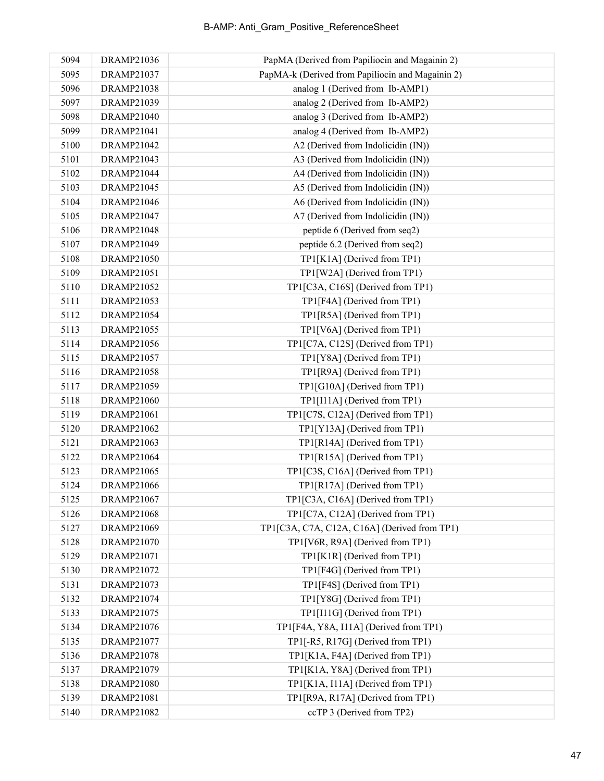| 5094 | DRAMP21036        | PapMA (Derived from Papiliocin and Magainin 2)   |
|------|-------------------|--------------------------------------------------|
| 5095 | DRAMP21037        | PapMA-k (Derived from Papiliocin and Magainin 2) |
| 5096 | DRAMP21038        | analog 1 (Derived from Ib-AMP1)                  |
| 5097 | DRAMP21039        | analog 2 (Derived from Ib-AMP2)                  |
| 5098 | DRAMP21040        | analog 3 (Derived from Ib-AMP2)                  |
| 5099 | DRAMP21041        | analog 4 (Derived from Ib-AMP2)                  |
| 5100 | DRAMP21042        | A2 (Derived from Indolicidin (IN))               |
| 5101 | DRAMP21043        | A3 (Derived from Indolicidin (IN))               |
| 5102 | DRAMP21044        | A4 (Derived from Indolicidin (IN))               |
| 5103 | DRAMP21045        | A5 (Derived from Indolicidin (IN))               |
| 5104 | DRAMP21046        | A6 (Derived from Indolicidin (IN))               |
| 5105 | DRAMP21047        | A7 (Derived from Indolicidin (IN))               |
| 5106 | <b>DRAMP21048</b> | peptide 6 (Derived from seq2)                    |
| 5107 | DRAMP21049        | peptide 6.2 (Derived from seq2)                  |
| 5108 | DRAMP21050        | TP1[K1A] (Derived from TP1)                      |
| 5109 | DRAMP21051        | TP1[W2A] (Derived from TP1)                      |
| 5110 | DRAMP21052        | TP1[C3A, C16S] (Derived from TP1)                |
| 5111 | DRAMP21053        | TP1[F4A] (Derived from TP1)                      |
| 5112 | <b>DRAMP21054</b> | TP1[R5A] (Derived from TP1)                      |
| 5113 | DRAMP21055        | TP1[V6A] (Derived from TP1)                      |
| 5114 | DRAMP21056        | TP1[C7A, C12S] (Derived from TP1)                |
| 5115 | DRAMP21057        | TP1[Y8A] (Derived from TP1)                      |
| 5116 | <b>DRAMP21058</b> | TP1[R9A] (Derived from TP1)                      |
| 5117 | DRAMP21059        | TP1[G10A] (Derived from TP1)                     |
| 5118 | <b>DRAMP21060</b> | TP1[I11A] (Derived from TP1)                     |
| 5119 | DRAMP21061        | TP1[C7S, C12A] (Derived from TP1)                |
| 5120 | DRAMP21062        | TP1[Y13A] (Derived from TP1)                     |
| 5121 | <b>DRAMP21063</b> | TP1[R14A] (Derived from TP1)                     |
| 5122 | DRAMP21064        | TP1[R15A] (Derived from TP1)                     |
| 5123 | <b>DRAMP21065</b> | TP1[C3S, C16A] (Derived from TP1)                |
| 5124 | DRAMP21066        | TP1[R17A] (Derived from TP1)                     |
| 5125 | <b>DRAMP21067</b> | TP1[C3A, C16A] (Derived from TP1)                |
| 5126 | <b>DRAMP21068</b> | TP1[C7A, C12A] (Derived from TP1)                |
| 5127 | DRAMP21069        | TP1[C3A, C7A, C12A, C16A] (Derived from TP1)     |
| 5128 | DRAMP21070        | TP1[V6R, R9A] (Derived from TP1)                 |
| 5129 | DRAMP21071        | TP1[K1R] (Derived from TP1)                      |
| 5130 | DRAMP21072        | TP1[F4G] (Derived from TP1)                      |
| 5131 | DRAMP21073        | TP1[F4S] (Derived from TP1)                      |
| 5132 | DRAMP21074        | TP1[Y8G] (Derived from TP1)                      |
| 5133 | DRAMP21075        | TP1[I11G] (Derived from TP1)                     |
| 5134 | DRAMP21076        | TP1[F4A, Y8A, I11A] (Derived from TP1)           |
| 5135 | DRAMP21077        | TP1[-R5, R17G] (Derived from TP1)                |
| 5136 | DRAMP21078        | TP1[K1A, F4A] (Derived from TP1)                 |
| 5137 | DRAMP21079        | TP1[K1A, Y8A] (Derived from TP1)                 |
| 5138 | DRAMP21080        | TP1[K1A, I11A] (Derived from TP1)                |
| 5139 | DRAMP21081        | TP1[R9A, R17A] (Derived from TP1)                |
| 5140 | DRAMP21082        | ccTP 3 (Derived from TP2)                        |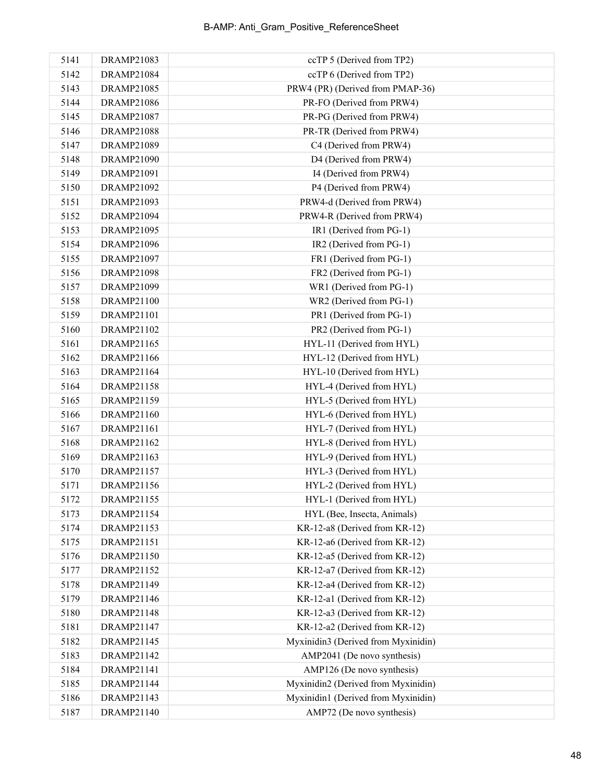| 5141 | DRAMP21083        | ccTP 5 (Derived from TP2)           |
|------|-------------------|-------------------------------------|
| 5142 | DRAMP21084        | ccTP 6 (Derived from TP2)           |
| 5143 | <b>DRAMP21085</b> | PRW4 (PR) (Derived from PMAP-36)    |
| 5144 | <b>DRAMP21086</b> | PR-FO (Derived from PRW4)           |
| 5145 | DRAMP21087        | PR-PG (Derived from PRW4)           |
| 5146 | <b>DRAMP21088</b> | PR-TR (Derived from PRW4)           |
| 5147 | DRAMP21089        | C4 (Derived from PRW4)              |
| 5148 | DRAMP21090        | D4 (Derived from PRW4)              |
| 5149 | DRAMP21091        | I4 (Derived from PRW4)              |
| 5150 | DRAMP21092        | P4 (Derived from PRW4)              |
| 5151 | DRAMP21093        | PRW4-d (Derived from PRW4)          |
| 5152 | DRAMP21094        | PRW4-R (Derived from PRW4)          |
| 5153 | DRAMP21095        | IR1 (Derived from PG-1)             |
| 5154 | DRAMP21096        | IR2 (Derived from PG-1)             |
| 5155 | <b>DRAMP21097</b> | FR1 (Derived from PG-1)             |
| 5156 | DRAMP21098        | FR2 (Derived from PG-1)             |
| 5157 | DRAMP21099        | WR1 (Derived from PG-1)             |
| 5158 | DRAMP21100        | WR2 (Derived from PG-1)             |
| 5159 | DRAMP21101        | PR1 (Derived from PG-1)             |
| 5160 | DRAMP21102        | PR2 (Derived from PG-1)             |
| 5161 | DRAMP21165        | HYL-11 (Derived from HYL)           |
| 5162 | DRAMP21166        | HYL-12 (Derived from HYL)           |
| 5163 | DRAMP21164        | HYL-10 (Derived from HYL)           |
| 5164 | DRAMP21158        | HYL-4 (Derived from HYL)            |
| 5165 | DRAMP21159        | HYL-5 (Derived from HYL)            |
| 5166 | DRAMP21160        | HYL-6 (Derived from HYL)            |
| 5167 | DRAMP21161        | HYL-7 (Derived from HYL)            |
| 5168 | DRAMP21162        | HYL-8 (Derived from HYL)            |
| 5169 | DRAMP21163        | HYL-9 (Derived from HYL)            |
| 5170 | DRAMP21157        | HYL-3 (Derived from HYL)            |
| 5171 | DRAMP21156        | HYL-2 (Derived from HYL)            |
| 5172 | DRAMP21155        | HYL-1 (Derived from HYL)            |
| 5173 | DRAMP21154        | HYL (Bee, Insecta, Animals)         |
| 5174 | DRAMP21153        | KR-12-a8 (Derived from KR-12)       |
| 5175 | DRAMP21151        | KR-12-a6 (Derived from KR-12)       |
| 5176 | DRAMP21150        | KR-12-a5 (Derived from KR-12)       |
| 5177 | DRAMP21152        | KR-12-a7 (Derived from KR-12)       |
| 5178 | DRAMP21149        | KR-12-a4 (Derived from KR-12)       |
| 5179 | DRAMP21146        | KR-12-a1 (Derived from KR-12)       |
| 5180 | DRAMP21148        | KR-12-a3 (Derived from KR-12)       |
| 5181 | DRAMP21147        | KR-12-a2 (Derived from KR-12)       |
| 5182 | DRAMP21145        | Myxinidin3 (Derived from Myxinidin) |
| 5183 | DRAMP21142        | AMP2041 (De novo synthesis)         |
| 5184 | DRAMP21141        | AMP126 (De novo synthesis)          |
| 5185 | DRAMP21144        | Myxinidin2 (Derived from Myxinidin) |
| 5186 | DRAMP21143        | Myxinidin1 (Derived from Myxinidin) |
| 5187 | DRAMP21140        | AMP72 (De novo synthesis)           |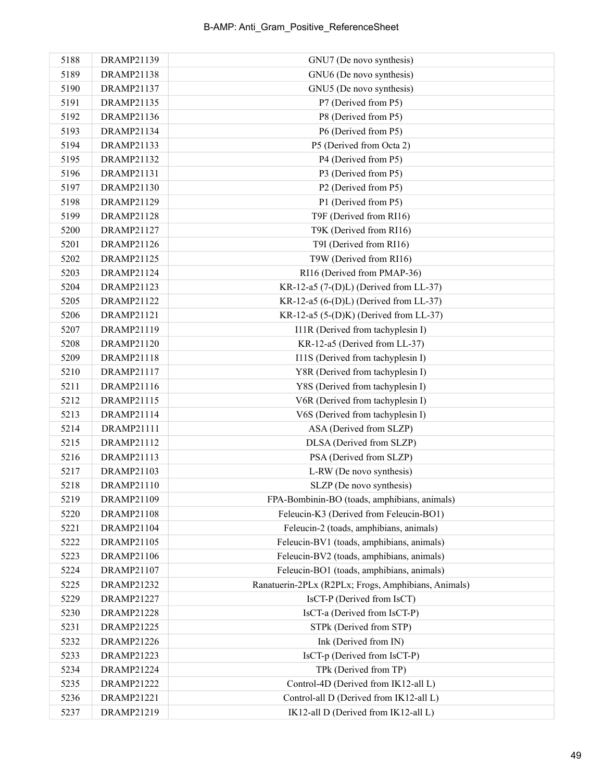| 5188 | DRAMP21139        | GNU7 (De novo synthesis)                            |
|------|-------------------|-----------------------------------------------------|
| 5189 | DRAMP21138        | GNU6 (De novo synthesis)                            |
| 5190 | DRAMP21137        | GNU5 (De novo synthesis)                            |
| 5191 | DRAMP21135        | P7 (Derived from P5)                                |
| 5192 | DRAMP21136        | P8 (Derived from P5)                                |
| 5193 | DRAMP21134        | P6 (Derived from P5)                                |
| 5194 | DRAMP21133        | P5 (Derived from Octa 2)                            |
| 5195 | DRAMP21132        | P4 (Derived from P5)                                |
| 5196 | DRAMP21131        | P3 (Derived from P5)                                |
| 5197 | DRAMP21130        | P2 (Derived from P5)                                |
| 5198 | DRAMP21129        | P1 (Derived from P5)                                |
| 5199 | DRAMP21128        | T9F (Derived from RI16)                             |
| 5200 | DRAMP21127        | T9K (Derived from RI16)                             |
| 5201 | DRAMP21126        | T9I (Derived from RI16)                             |
| 5202 | DRAMP21125        | T9W (Derived from RI16)                             |
| 5203 | DRAMP21124        | RI16 (Derived from PMAP-36)                         |
| 5204 | DRAMP21123        | KR-12-a5 (7-(D)L) (Derived from LL-37)              |
| 5205 | DRAMP21122        | KR-12-a5 $(6-(D)L)$ (Derived from LL-37)            |
| 5206 | DRAMP21121        | KR-12-a5 (5-(D)K) (Derived from LL-37)              |
| 5207 | DRAMP21119        | I11R (Derived from tachyplesin I)                   |
| 5208 | DRAMP21120        | KR-12-a5 (Derived from LL-37)                       |
| 5209 | DRAMP21118        | I11S (Derived from tachyplesin I)                   |
| 5210 | DRAMP21117        | Y8R (Derived from tachyplesin I)                    |
| 5211 | DRAMP21116        | Y8S (Derived from tachyplesin I)                    |
| 5212 | DRAMP21115        | V6R (Derived from tachyplesin I)                    |
| 5213 | DRAMP21114        | V6S (Derived from tachyplesin I)                    |
| 5214 | DRAMP21111        | ASA (Derived from SLZP)                             |
| 5215 | DRAMP21112        | DLSA (Derived from SLZP)                            |
| 5216 | DRAMP21113        | PSA (Derived from SLZP)                             |
| 5217 | DRAMP21103        | L-RW (De novo synthesis)                            |
| 5218 | DRAMP21110        | SLZP (De novo synthesis)                            |
| 5219 | DRAMP21109        | FPA-Bombinin-BO (toads, amphibians, animals)        |
| 5220 | DRAMP21108        | Feleucin-K3 (Derived from Feleucin-BO1)             |
| 5221 | DRAMP21104        | Feleucin-2 (toads, amphibians, animals)             |
| 5222 | DRAMP21105        | Feleucin-BV1 (toads, amphibians, animals)           |
| 5223 | DRAMP21106        | Feleucin-BV2 (toads, amphibians, animals)           |
| 5224 | DRAMP21107        | Feleucin-BO1 (toads, amphibians, animals)           |
| 5225 | DRAMP21232        | Ranatuerin-2PLx (R2PLx; Frogs, Amphibians, Animals) |
| 5229 | DRAMP21227        | IsCT-P (Derived from IsCT)                          |
| 5230 | <b>DRAMP21228</b> | IsCT-a (Derived from IsCT-P)                        |
| 5231 | DRAMP21225        | STPk (Derived from STP)                             |
| 5232 | <b>DRAMP21226</b> | Ink (Derived from IN)                               |
| 5233 | DRAMP21223        | IsCT-p (Derived from IsCT-P)                        |
| 5234 | DRAMP21224        | TPk (Derived from TP)                               |
| 5235 | DRAMP21222        | Control-4D (Derived from IK12-all L)                |
| 5236 | DRAMP21221        | Control-all D (Derived from IK12-all L)             |
| 5237 | DRAMP21219        | IK12-all D (Derived from IK12-all L)                |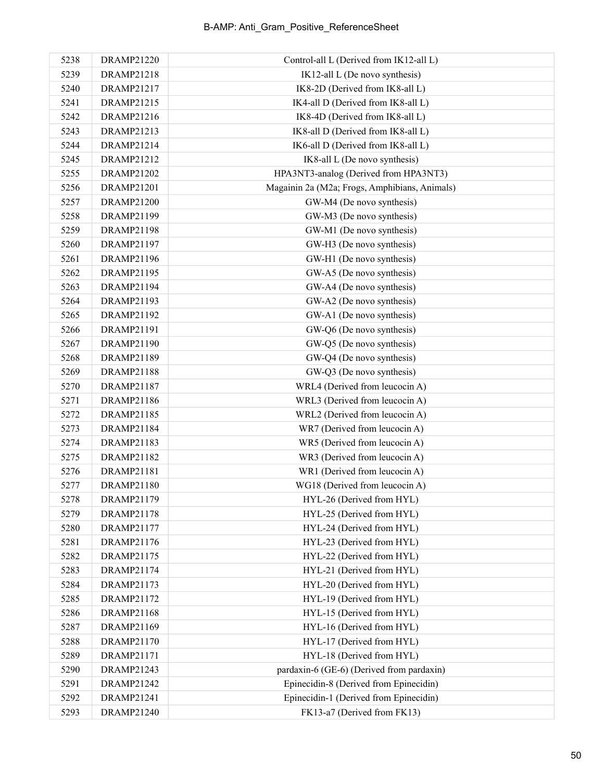| 5238 | DRAMP21220        | Control-all L (Derived from IK12-all L)       |
|------|-------------------|-----------------------------------------------|
| 5239 | <b>DRAMP21218</b> | IK12-all L (De novo synthesis)                |
| 5240 | DRAMP21217        | IK8-2D (Derived from IK8-all L)               |
| 5241 | DRAMP21215        | IK4-all D (Derived from IK8-all L)            |
| 5242 | DRAMP21216        | IK8-4D (Derived from IK8-all L)               |
| 5243 | DRAMP21213        | IK8-all D (Derived from IK8-all L)            |
| 5244 | DRAMP21214        | IK6-all D (Derived from IK8-all L)            |
| 5245 | DRAMP21212        | IK8-all L (De novo synthesis)                 |
| 5255 | <b>DRAMP21202</b> | HPA3NT3-analog (Derived from HPA3NT3)         |
| 5256 | DRAMP21201        | Magainin 2a (M2a; Frogs, Amphibians, Animals) |
| 5257 | DRAMP21200        | GW-M4 (De novo synthesis)                     |
| 5258 | DRAMP21199        | GW-M3 (De novo synthesis)                     |
| 5259 | <b>DRAMP21198</b> | GW-M1 (De novo synthesis)                     |
| 5260 | DRAMP21197        | GW-H3 (De novo synthesis)                     |
| 5261 | DRAMP21196        | GW-H1 (De novo synthesis)                     |
| 5262 | DRAMP21195        | GW-A5 (De novo synthesis)                     |
| 5263 | DRAMP21194        | GW-A4 (De novo synthesis)                     |
| 5264 | DRAMP21193        | GW-A2 (De novo synthesis)                     |
| 5265 | DRAMP21192        | GW-A1 (De novo synthesis)                     |
| 5266 | DRAMP21191        | GW-Q6 (De novo synthesis)                     |
| 5267 | DRAMP21190        | GW-Q5 (De novo synthesis)                     |
| 5268 | DRAMP21189        | GW-Q4 (De novo synthesis)                     |
| 5269 | DRAMP21188        | GW-Q3 (De novo synthesis)                     |
| 5270 | DRAMP21187        | WRL4 (Derived from leucocin A)                |
| 5271 | DRAMP21186        | WRL3 (Derived from leucocin A)                |
| 5272 | DRAMP21185        | WRL2 (Derived from leucocin A)                |
| 5273 | DRAMP21184        | WR7 (Derived from leucocin A)                 |
| 5274 | DRAMP21183        | WR5 (Derived from leucocin A)                 |
| 5275 | DRAMP21182        | WR3 (Derived from leucocin A)                 |
| 5276 | DRAMP21181        | WR1 (Derived from leucocin A)                 |
| 5277 | DRAMP21180        | WG18 (Derived from leucocin A)                |
| 5278 | DRAMP21179        | HYL-26 (Derived from HYL)                     |
| 5279 | DRAMP21178        | HYL-25 (Derived from HYL)                     |
| 5280 | DRAMP21177        | HYL-24 (Derived from HYL)                     |
| 5281 | DRAMP21176        | HYL-23 (Derived from HYL)                     |
| 5282 | DRAMP21175        | HYL-22 (Derived from HYL)                     |
| 5283 | DRAMP21174        | HYL-21 (Derived from HYL)                     |
| 5284 | DRAMP21173        | HYL-20 (Derived from HYL)                     |
| 5285 | DRAMP21172        | HYL-19 (Derived from HYL)                     |
| 5286 | DRAMP21168        | HYL-15 (Derived from HYL)                     |
| 5287 | DRAMP21169        | HYL-16 (Derived from HYL)                     |
| 5288 | DRAMP21170        | HYL-17 (Derived from HYL)                     |
| 5289 | DRAMP21171        | HYL-18 (Derived from HYL)                     |
| 5290 | DRAMP21243        | pardaxin-6 (GE-6) (Derived from pardaxin)     |
| 5291 | DRAMP21242        | Epinecidin-8 (Derived from Epinecidin)        |
| 5292 | DRAMP21241        | Epinecidin-1 (Derived from Epinecidin)        |
| 5293 | DRAMP21240        | FK13-a7 (Derived from FK13)                   |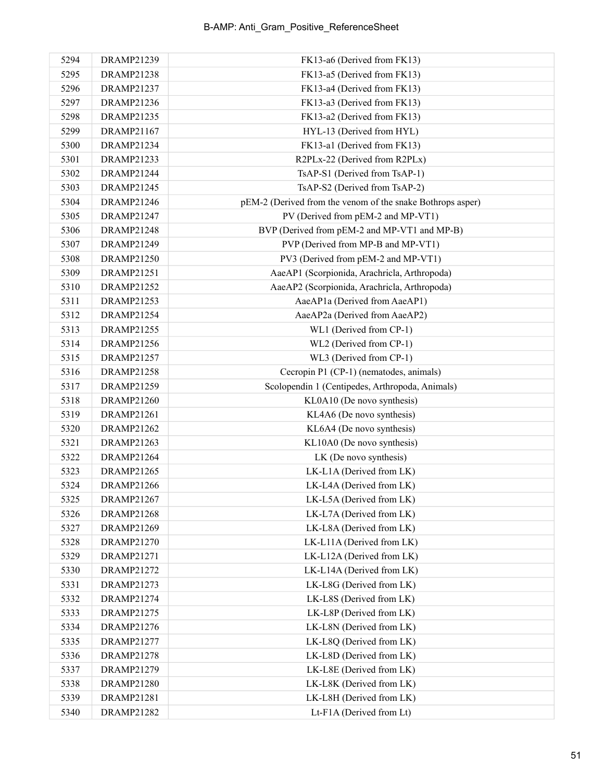| 5294 | DRAMP21239        | FK13-a6 (Derived from FK13)                                |
|------|-------------------|------------------------------------------------------------|
| 5295 | <b>DRAMP21238</b> | FK13-a5 (Derived from FK13)                                |
| 5296 | DRAMP21237        | FK13-a4 (Derived from FK13)                                |
| 5297 | DRAMP21236        | FK13-a3 (Derived from FK13)                                |
| 5298 | DRAMP21235        | FK13-a2 (Derived from FK13)                                |
| 5299 | DRAMP21167        | HYL-13 (Derived from HYL)                                  |
| 5300 | DRAMP21234        | FK13-a1 (Derived from FK13)                                |
| 5301 | DRAMP21233        | R2PLx-22 (Derived from R2PLx)                              |
| 5302 | DRAMP21244        | TsAP-S1 (Derived from TsAP-1)                              |
| 5303 | <b>DRAMP21245</b> | TsAP-S2 (Derived from TsAP-2)                              |
| 5304 | DRAMP21246        | pEM-2 (Derived from the venom of the snake Bothrops asper) |
| 5305 | DRAMP21247        | PV (Derived from pEM-2 and MP-VT1)                         |
| 5306 | <b>DRAMP21248</b> | BVP (Derived from pEM-2 and MP-VT1 and MP-B)               |
| 5307 | DRAMP21249        | PVP (Derived from MP-B and MP-VT1)                         |
| 5308 | <b>DRAMP21250</b> | PV3 (Derived from pEM-2 and MP-VT1)                        |
| 5309 | DRAMP21251        | AaeAP1 (Scorpionida, Arachricla, Arthropoda)               |
| 5310 | <b>DRAMP21252</b> | AaeAP2 (Scorpionida, Arachricla, Arthropoda)               |
| 5311 | DRAMP21253        | AaeAP1a (Derived from AaeAP1)                              |
| 5312 | DRAMP21254        | AaeAP2a (Derived from AaeAP2)                              |
| 5313 | <b>DRAMP21255</b> | WL1 (Derived from CP-1)                                    |
| 5314 | DRAMP21256        | WL2 (Derived from CP-1)                                    |
| 5315 | DRAMP21257        | WL3 (Derived from CP-1)                                    |
| 5316 | DRAMP21258        | Cecropin P1 (CP-1) (nematodes, animals)                    |
| 5317 | DRAMP21259        | Scolopendin 1 (Centipedes, Arthropoda, Animals)            |
| 5318 | <b>DRAMP21260</b> | KL0A10 (De novo synthesis)                                 |
| 5319 | DRAMP21261        | KL4A6 (De novo synthesis)                                  |
| 5320 | DRAMP21262        | KL6A4 (De novo synthesis)                                  |
| 5321 | DRAMP21263        | KL10A0 (De novo synthesis)                                 |
| 5322 | DRAMP21264        | LK (De novo synthesis)                                     |
| 5323 | DRAMP21265        | LK-L1A (Derived from LK)                                   |
| 5324 | <b>DRAMP21266</b> | LK-L4A (Derived from LK)                                   |
| 5325 | <b>DRAMP21267</b> | LK-L5A (Derived from LK)                                   |
| 5326 | <b>DRAMP21268</b> | LK-L7A (Derived from LK)                                   |
| 5327 | DRAMP21269        | LK-L8A (Derived from LK)                                   |
| 5328 | DRAMP21270        | LK-L11A (Derived from LK)                                  |
| 5329 | DRAMP21271        | LK-L12A (Derived from LK)                                  |
| 5330 | <b>DRAMP21272</b> | LK-L14A (Derived from LK)                                  |
| 5331 | DRAMP21273        | LK-L8G (Derived from LK)                                   |
| 5332 | DRAMP21274        | LK-L8S (Derived from LK)                                   |
| 5333 | <b>DRAMP21275</b> | LK-L8P (Derived from LK)                                   |
| 5334 | DRAMP21276        | LK-L8N (Derived from LK)                                   |
| 5335 | DRAMP21277        | LK-L8Q (Derived from LK)                                   |
| 5336 | <b>DRAMP21278</b> | LK-L8D (Derived from LK)                                   |
| 5337 | DRAMP21279        | LK-L8E (Derived from LK)                                   |
| 5338 | DRAMP21280        | LK-L8K (Derived from LK)                                   |
| 5339 | DRAMP21281        | LK-L8H (Derived from LK)                                   |
| 5340 | DRAMP21282        | Lt-F1A (Derived from Lt)                                   |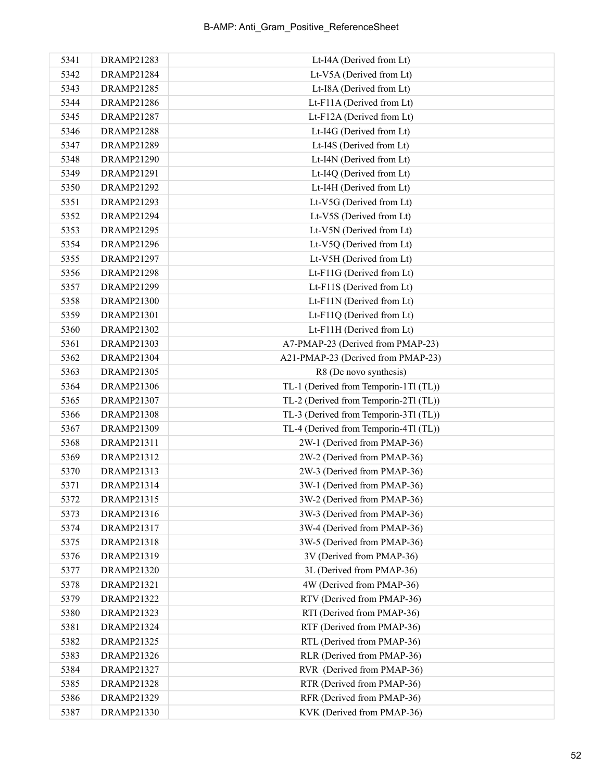| 5341 | <b>DRAMP21283</b> | Lt-I4A (Derived from Lt)              |
|------|-------------------|---------------------------------------|
| 5342 | DRAMP21284        | Lt-V5A (Derived from Lt)              |
| 5343 | DRAMP21285        | Lt-I8A (Derived from Lt)              |
| 5344 | <b>DRAMP21286</b> | Lt-F11A (Derived from Lt)             |
| 5345 | <b>DRAMP21287</b> | Lt-F12A (Derived from Lt)             |
| 5346 | <b>DRAMP21288</b> | Lt-I4G (Derived from Lt)              |
| 5347 | DRAMP21289        | Lt-I4S (Derived from Lt)              |
| 5348 | DRAMP21290        | Lt-I4N (Derived from Lt)              |
| 5349 | DRAMP21291        | Lt-I4Q (Derived from Lt)              |
| 5350 | DRAMP21292        | Lt-I4H (Derived from Lt)              |
| 5351 | DRAMP21293        | Lt-V5G (Derived from Lt)              |
| 5352 | DRAMP21294        | Lt-V5S (Derived from Lt)              |
| 5353 | DRAMP21295        | Lt-V5N (Derived from Lt)              |
| 5354 | DRAMP21296        | Lt-V5Q (Derived from Lt)              |
| 5355 | DRAMP21297        | Lt-V5H (Derived from Lt)              |
| 5356 | <b>DRAMP21298</b> | Lt-F11G (Derived from Lt)             |
| 5357 | DRAMP21299        | Lt-F11S (Derived from Lt)             |
| 5358 | DRAMP21300        | Lt-F11N (Derived from Lt)             |
| 5359 | DRAMP21301        | Lt-F11Q (Derived from Lt)             |
| 5360 | DRAMP21302        | Lt-F11H (Derived from Lt)             |
| 5361 | DRAMP21303        | A7-PMAP-23 (Derived from PMAP-23)     |
| 5362 | DRAMP21304        | A21-PMAP-23 (Derived from PMAP-23)    |
| 5363 | DRAMP21305        | R8 (De novo synthesis)                |
| 5364 | <b>DRAMP21306</b> | TL-1 (Derived from Temporin-1Tl (TL)) |
| 5365 | DRAMP21307        | TL-2 (Derived from Temporin-2Tl (TL)) |
| 5366 | <b>DRAMP21308</b> | TL-3 (Derived from Temporin-3Tl (TL)) |
| 5367 | DRAMP21309        | TL-4 (Derived from Temporin-4Tl (TL)) |
| 5368 | DRAMP21311        | 2W-1 (Derived from PMAP-36)           |
| 5369 | DRAMP21312        | 2W-2 (Derived from PMAP-36)           |
| 5370 | DRAMP21313        | 2W-3 (Derived from PMAP-36)           |
| 5371 | DRAMP21314        | 3W-1 (Derived from PMAP-36)           |
| 5372 | DRAMP21315        | 3W-2 (Derived from PMAP-36)           |
| 5373 | DRAMP21316        | 3W-3 (Derived from PMAP-36)           |
| 5374 | DRAMP21317        | 3W-4 (Derived from PMAP-36)           |
| 5375 | DRAMP21318        | 3W-5 (Derived from PMAP-36)           |
| 5376 | DRAMP21319        | 3V (Derived from PMAP-36)             |
| 5377 | <b>DRAMP21320</b> | 3L (Derived from PMAP-36)             |
| 5378 | DRAMP21321        | 4W (Derived from PMAP-36)             |
| 5379 | DRAMP21322        | RTV (Derived from PMAP-36)            |
| 5380 | DRAMP21323        | RTI (Derived from PMAP-36)            |
| 5381 | DRAMP21324        | RTF (Derived from PMAP-36)            |
| 5382 | DRAMP21325        | RTL (Derived from PMAP-36)            |
| 5383 | DRAMP21326        | RLR (Derived from PMAP-36)            |
| 5384 | DRAMP21327        | RVR (Derived from PMAP-36)            |
| 5385 | <b>DRAMP21328</b> | RTR (Derived from PMAP-36)            |
| 5386 | DRAMP21329        | RFR (Derived from PMAP-36)            |
| 5387 | DRAMP21330        | KVK (Derived from PMAP-36)            |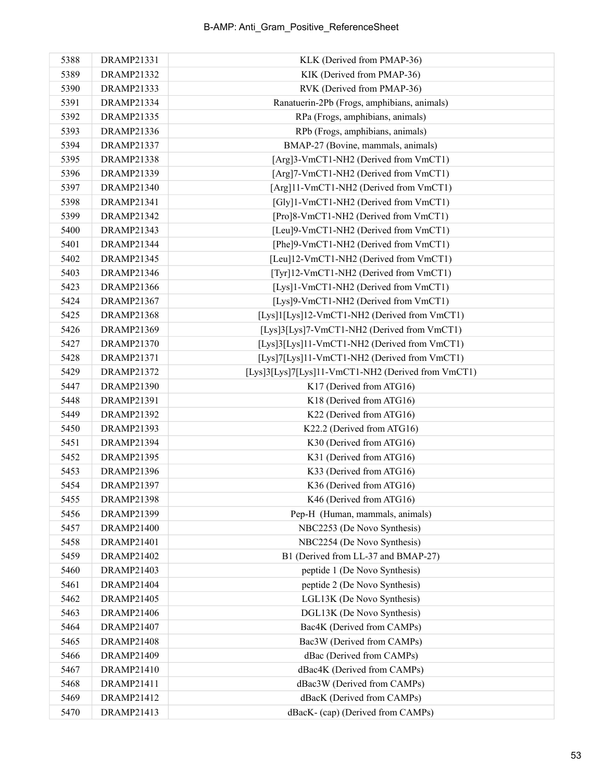| 5388 | DRAMP21331        | KLK (Derived from PMAP-36)                         |
|------|-------------------|----------------------------------------------------|
| 5389 | DRAMP21332        | KIK (Derived from PMAP-36)                         |
| 5390 | DRAMP21333        | RVK (Derived from PMAP-36)                         |
| 5391 | DRAMP21334        | Ranatuerin-2Pb (Frogs, amphibians, animals)        |
| 5392 | DRAMP21335        | RPa (Frogs, amphibians, animals)                   |
| 5393 | DRAMP21336        | RPb (Frogs, amphibians, animals)                   |
| 5394 | DRAMP21337        | BMAP-27 (Bovine, mammals, animals)                 |
| 5395 | DRAMP21338        | [Arg]3-VmCT1-NH2 (Derived from VmCT1)              |
| 5396 | DRAMP21339        | [Arg]7-VmCT1-NH2 (Derived from VmCT1)              |
| 5397 | DRAMP21340        | [Arg]11-VmCT1-NH2 (Derived from VmCT1)             |
| 5398 | DRAMP21341        | [Gly]1-VmCT1-NH2 (Derived from VmCT1)              |
| 5399 | DRAMP21342        | [Pro]8-VmCT1-NH2 (Derived from VmCT1)              |
| 5400 | DRAMP21343        | [Leu]9-VmCT1-NH2 (Derived from VmCT1)              |
| 5401 | DRAMP21344        | [Phe]9-VmCT1-NH2 (Derived from VmCT1)              |
| 5402 | DRAMP21345        | [Leu]12-VmCT1-NH2 (Derived from VmCT1)             |
| 5403 | DRAMP21346        | [Tyr]12-VmCT1-NH2 (Derived from VmCT1)             |
| 5423 | DRAMP21366        | [Lys]1-VmCT1-NH2 (Derived from VmCT1)              |
| 5424 | DRAMP21367        | [Lys]9-VmCT1-NH2 (Derived from VmCT1)              |
| 5425 | <b>DRAMP21368</b> | [Lys]1[Lys]12-VmCT1-NH2 (Derived from VmCT1)       |
| 5426 | DRAMP21369        | [Lys]3[Lys]7-VmCT1-NH2 (Derived from VmCT1)        |
| 5427 | DRAMP21370        | [Lys]3[Lys]11-VmCT1-NH2 (Derived from VmCT1)       |
| 5428 | DRAMP21371        | [Lys]7[Lys]11-VmCT1-NH2 (Derived from VmCT1)       |
| 5429 | DRAMP21372        | [Lys]3[Lys]7[Lys]11-VmCT1-NH2 (Derived from VmCT1) |
| 5447 | DRAMP21390        | K17 (Derived from ATG16)                           |
| 5448 | DRAMP21391        | K18 (Derived from ATG16)                           |
| 5449 | DRAMP21392        | K22 (Derived from ATG16)                           |
| 5450 | DRAMP21393        | K22.2 (Derived from ATG16)                         |
| 5451 | DRAMP21394        | K30 (Derived from ATG16)                           |
| 5452 | DRAMP21395        | K31 (Derived from ATG16)                           |
| 5453 | DRAMP21396        | K33 (Derived from ATG16)                           |
| 5454 | DRAMP21397        | K36 (Derived from ATG16)                           |
| 5455 | <b>DRAMP21398</b> | K46 (Derived from ATG16)                           |
| 5456 | DRAMP21399        | Pep-H (Human, mammals, animals)                    |
| 5457 | DRAMP21400        | NBC2253 (De Novo Synthesis)                        |
| 5458 | DRAMP21401        | NBC2254 (De Novo Synthesis)                        |
| 5459 | DRAMP21402        | B1 (Derived from LL-37 and BMAP-27)                |
| 5460 | DRAMP21403        | peptide 1 (De Novo Synthesis)                      |
| 5461 | DRAMP21404        | peptide 2 (De Novo Synthesis)                      |
| 5462 | DRAMP21405        | LGL13K (De Novo Synthesis)                         |
| 5463 | DRAMP21406        | DGL13K (De Novo Synthesis)                         |
| 5464 | DRAMP21407        | Bac4K (Derived from CAMPs)                         |
| 5465 | <b>DRAMP21408</b> | Bac3W (Derived from CAMPs)                         |
| 5466 | DRAMP21409        | dBac (Derived from CAMPs)                          |
| 5467 | DRAMP21410        | dBac4K (Derived from CAMPs)                        |
| 5468 | DRAMP21411        | dBac3W (Derived from CAMPs)                        |
| 5469 | DRAMP21412        | dBacK (Derived from CAMPs)                         |
| 5470 | DRAMP21413        | dBacK- (cap) (Derived from CAMPs)                  |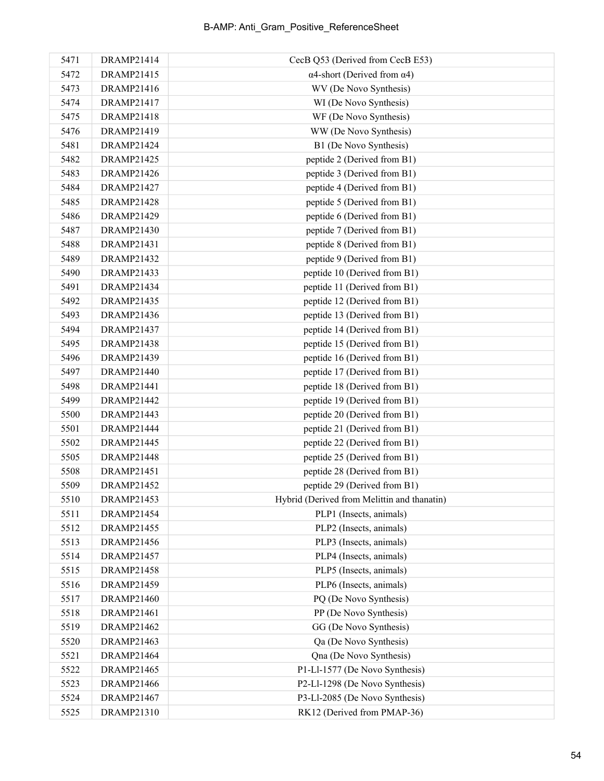| 5471 | DRAMP21414        | CecB Q53 (Derived from CecB E53)            |
|------|-------------------|---------------------------------------------|
| 5472 | DRAMP21415        | $\alpha$ 4-short (Derived from $\alpha$ 4)  |
| 5473 | DRAMP21416        | WV (De Novo Synthesis)                      |
| 5474 | DRAMP21417        | WI (De Novo Synthesis)                      |
| 5475 | DRAMP21418        | WF (De Novo Synthesis)                      |
| 5476 | DRAMP21419        | WW (De Novo Synthesis)                      |
| 5481 | DRAMP21424        | B1 (De Novo Synthesis)                      |
| 5482 | DRAMP21425        | peptide 2 (Derived from B1)                 |
| 5483 | DRAMP21426        | peptide 3 (Derived from B1)                 |
| 5484 | <b>DRAMP21427</b> | peptide 4 (Derived from B1)                 |
| 5485 | DRAMP21428        | peptide 5 (Derived from B1)                 |
| 5486 | DRAMP21429        | peptide 6 (Derived from B1)                 |
| 5487 | DRAMP21430        | peptide 7 (Derived from B1)                 |
| 5488 | DRAMP21431        | peptide 8 (Derived from B1)                 |
| 5489 | DRAMP21432        | peptide 9 (Derived from B1)                 |
| 5490 | DRAMP21433        | peptide 10 (Derived from B1)                |
| 5491 | DRAMP21434        | peptide 11 (Derived from B1)                |
| 5492 | DRAMP21435        | peptide 12 (Derived from B1)                |
| 5493 | DRAMP21436        | peptide 13 (Derived from B1)                |
| 5494 | DRAMP21437        | peptide 14 (Derived from B1)                |
| 5495 | <b>DRAMP21438</b> | peptide 15 (Derived from B1)                |
| 5496 | DRAMP21439        | peptide 16 (Derived from B1)                |
| 5497 | DRAMP21440        | peptide 17 (Derived from B1)                |
| 5498 | DRAMP21441        | peptide 18 (Derived from B1)                |
| 5499 | DRAMP21442        | peptide 19 (Derived from B1)                |
| 5500 | DRAMP21443        | peptide 20 (Derived from B1)                |
| 5501 | DRAMP21444        | peptide 21 (Derived from B1)                |
| 5502 | DRAMP21445        | peptide 22 (Derived from B1)                |
| 5505 | DRAMP21448        | peptide 25 (Derived from B1)                |
| 5508 | DRAMP21451        | peptide 28 (Derived from B1)                |
| 5509 | DRAMP21452        | peptide 29 (Derived from B1)                |
| 5510 | <b>DRAMP21453</b> | Hybrid (Derived from Melittin and thanatin) |
| 5511 | DRAMP21454        | PLP1 (Insects, animals)                     |
| 5512 | DRAMP21455        | PLP2 (Insects, animals)                     |
| 5513 | <b>DRAMP21456</b> | PLP3 (Insects, animals)                     |
| 5514 | DRAMP21457        | PLP4 (Insects, animals)                     |
| 5515 | <b>DRAMP21458</b> | PLP5 (Insects, animals)                     |
| 5516 | DRAMP21459        | PLP6 (Insects, animals)                     |
| 5517 | DRAMP21460        | PQ (De Novo Synthesis)                      |
| 5518 | DRAMP21461        | PP (De Novo Synthesis)                      |
| 5519 | DRAMP21462        | GG (De Novo Synthesis)                      |
| 5520 | DRAMP21463        | Qa (De Novo Synthesis)                      |
| 5521 | DRAMP21464        | Qna (De Novo Synthesis)                     |
| 5522 | DRAMP21465        | P1-Ll-1577 (De Novo Synthesis)              |
| 5523 | <b>DRAMP21466</b> | P2-Ll-1298 (De Novo Synthesis)              |
| 5524 | DRAMP21467        | P3-Ll-2085 (De Novo Synthesis)              |
| 5525 | DRAMP21310        | RK12 (Derived from PMAP-36)                 |